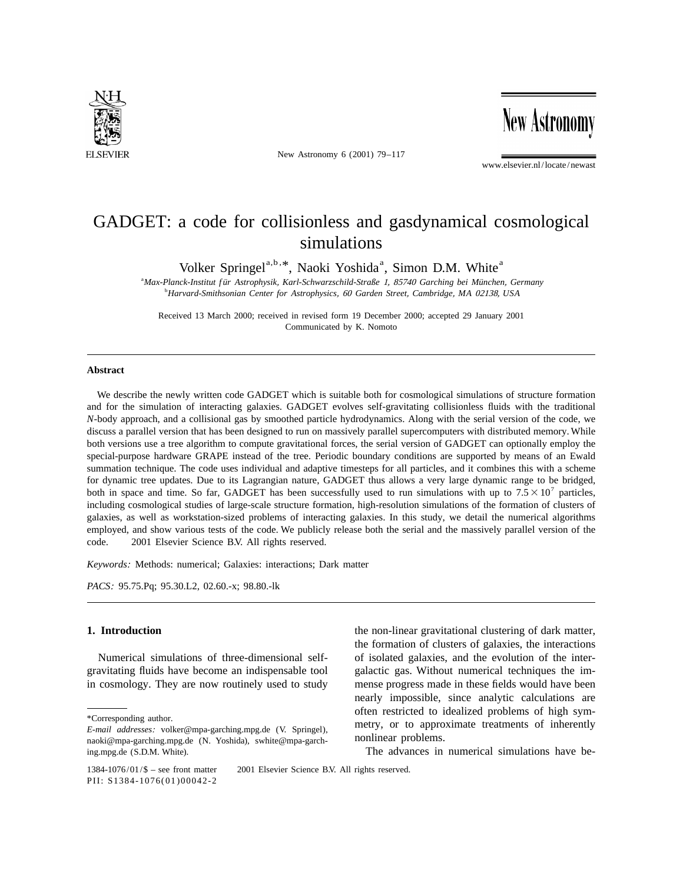

New Astronomy 6 (2001) 79–117

**New Astronomy** 

www.elsevier.nl/locate/newast

## GADGET: a code for collisionless and gasdynamical cosmological simulations

Volker Springel<sup>a,b, \*</sup>, Naoki Yoshida<sup>a</sup>, Simon D.M. White<sup>a</sup>

a *Max*-*Planck*-*Institut f ur Astrophysik ¨ ¨* , *Karl*-*Schwarzschild*-*Straße* 1, <sup>85740</sup> *Garching bei Munchen*, *Germany* b *Harvard*-*Smithsonian Center for Astrophysics*, <sup>60</sup> *Garden Street*, *Cambridge*, *MA* 02138, *USA*

Received 13 March 2000; received in revised form 19 December 2000; accepted 29 January 2001 Communicated by K. Nomoto

### **Abstract**

We describe the newly written code GADGET which is suitable both for cosmological simulations of structure formation and for the simulation of interacting galaxies. GADGET evolves self-gravitating collisionless fluids with the traditional *N*-body approach, and a collisional gas by smoothed particle hydrodynamics. Along with the serial version of the code, we discuss a parallel version that has been designed to run on massively parallel supercomputers with distributed memory. While both versions use a tree algorithm to compute gravitational forces, the serial version of GADGET can optionally employ the special-purpose hardware GRAPE instead of the tree. Periodic boundary conditions are supported by means of an Ewald summation technique. The code uses individual and adaptive timesteps for all particles, and it combines this with a scheme for dynamic tree updates. Due to its Lagrangian nature, GADGET thus allows a very large dynamic range to be bridged, both in space and time. So far, GADGET has been successfully used to run simulations with up to  $7.5 \times 1$ including cosmological studies of large-scale structure formation, high-resolution simulations of the formation of clusters of galaxies, as well as workstation-sized problems of interacting galaxies. In this study, we detail the numerical algorithms employed, and show various tests of the code. We publicly release both the serial and the massively parallel version of the code.  $\oslash$  2001 Elsevier Science B.V. All rights reserved.

*Keywords*: Methods: numerical; Galaxies: interactions; Dark matter

*PACS*: 95.75.Pq; 95.30.L2, 02.60.-x; 98.80.-lk

**1. Introduction** the non-linear gravitational clustering of dark matter, the formation of clusters of galaxies, the interactions Numerical simulations of three-dimensional self- of isolated galaxies, and the evolution of the intergravitating fluids have become an indispensable tool galactic gas. Without numerical techniques the imin cosmology. They are now routinely used to study mense progress made in these fields would have been nearly impossible, since analytic calculations are often restricted to idealized problems of high sym-<br>*E-mail addresses*: volker@mpa-garching.mpg.de (V. Springel), metry, or to approximate treatments of inherently<br>*nooki@mpa-garching.mpg.de (N. Yoshida)*, white@mpa-garch.

naoki@mpa-garching.mpg.de (N. Yoshida), swhite@mpa-garching.mpg.de (S.D.M. White). The advances in numerical simulations have be-

<sup>1384-1076/01/\$ -</sup> see front matter © 2001 Elsevier Science B.V. All rights reserved. PII: S1384-1076(01)00042-2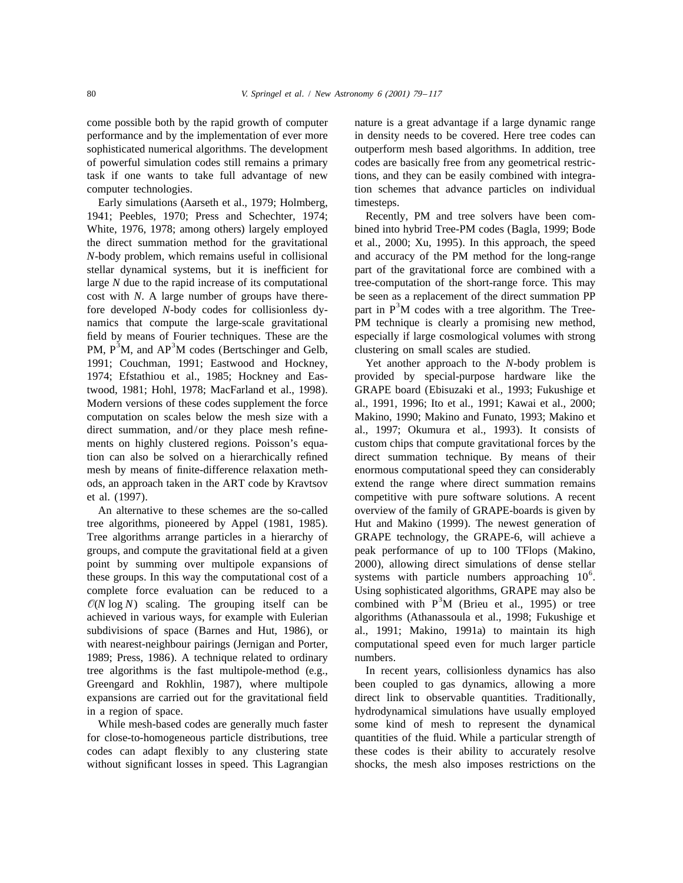performance and by the implementation of ever more in density needs to be covered. Here tree codes can sophisticated numerical algorithms. The development outperform mesh based algorithms. In addition, tree of powerful simulation codes still remains a primary codes are basically free from any geometrical restrictask if one wants to take full advantage of new tions, and they can be easily combined with integracomputer technologies. tion schemes that advance particles on individual

Early simulations (Aarseth et al., 1979; Holmberg, timesteps. 1941; Peebles, 1970; Press and Schechter, 1974; Recently, PM and tree solvers have been com-White, 1976, 1978; among others) largely employed bined into hybrid Tree-PM codes (Bagla, 1999; Bode the direct summation method for the gravitational et al., 2000; Xu, 1995). In this approach, the speed *N*-body problem, which remains useful in collisional and accuracy of the PM method for the long-range stellar dynamical systems, but it is inefficient for part of the gravitational force are combined with a large *N* due to the rapid increase of its computational tree-computation of the short-range force. This may cost with *N*. A large number of groups have there-<br>fore developed *N*-body codes for collisionless dy-<br>part in  $P^3M$  codes with a tree algorithm. The Treenamics that compute the large-scale gravitational PM technique is clearly a promising new method, field by means of Fourier techniques. These are the especially if large cosmological volumes with strong PM,  $P<sup>3</sup>M$ , and  $AP<sup>3</sup>M$  codes (Bertschinger and Gelb, clustering on small scales are studied. 1991; Couchman, 1991; Eastwood and Hockney, Yet another approach to the *N*-body problem is 1974; Efstathiou et al., 1985; Hockney and Eas- provided by special-purpose hardware like the twood, 1981; Hohl, 1978; MacFarland et al., 1998). GRAPE board (Ebisuzaki et al., 1993; Fukushige et Modern versions of these codes supplement the force al., 1991, 1996; Ito et al., 1991; Kawai et al., 2000; computation on scales below the mesh size with a Makino, 1990; Makino and Funato, 1993; Makino et direct summation, and/or they place mesh refine-<br>al., 1997; Okumura et al., 1993). It consists of ments on highly clustered regions. Poisson's equa- custom chips that compute gravitational forces by the tion can also be solved on a hierarchically refined direct summation technique. By means of their mesh by means of finite-difference relaxation meth- enormous computational speed they can considerably ods, an approach taken in the ART code by Kravtsov extend the range where direct summation remains et al. (1997). competitive with pure software solutions. A recent

tree algorithms, pioneered by Appel (1981, 1985). Hut and Makino (1999). The newest generation of Tree algorithms arrange particles in a hierarchy of GRAPE technology, the GRAPE-6, will achieve a groups, and compute the gravitational field at a given peak performance of up to 100 TFlops (Makino, point by summing over multipole expansions of 2000), allowing direct simulations of dense stellar these groups. In this way the computational cost of a systems with particle numbers approaching  $10<sup>6</sup>$ . complete force evaluation can be reduced to a Using sophisticated algorithms, GRAPE may also be  $O(N \log N)$  scaling. The grouping itself can be combined with P<sup>3</sup>M (Brieu et al., 1995) or tree achieved in various ways, for example with Eulerian algorithms (Athanassoula et al., 1998; Fukushige et subdivisions of space (Barnes and Hut, 1986), or al., 1991; Makino, 1991a) to maintain its high with nearest-neighbour pairings (Jernigan and Porter, computational speed even for much larger particle 1989; Press, 1986). A technique related to ordinary numbers. tree algorithms is the fast multipole-method (e.g., In recent years, collisionless dynamics has also Greengard and Rokhlin, 1987), where multipole been coupled to gas dynamics, allowing a more expansions are carried out for the gravitational field direct link to observable quantities. Traditionally, in a region of space. hydrodynamical simulations have usually employed

for close-to-homogeneous particle distributions, tree quantities of the fluid. While a particular strength of codes can adapt flexibly to any clustering state these codes is their ability to accurately resolve without significant losses in speed. This Lagrangian shocks, the mesh also imposes restrictions on the

come possible both by the rapid growth of computer nature is a great advantage if a large dynamic range

An alternative to these schemes are the so-called overview of the family of GRAPE-boards is given by

While mesh-based codes are generally much faster some kind of mesh to represent the dynamical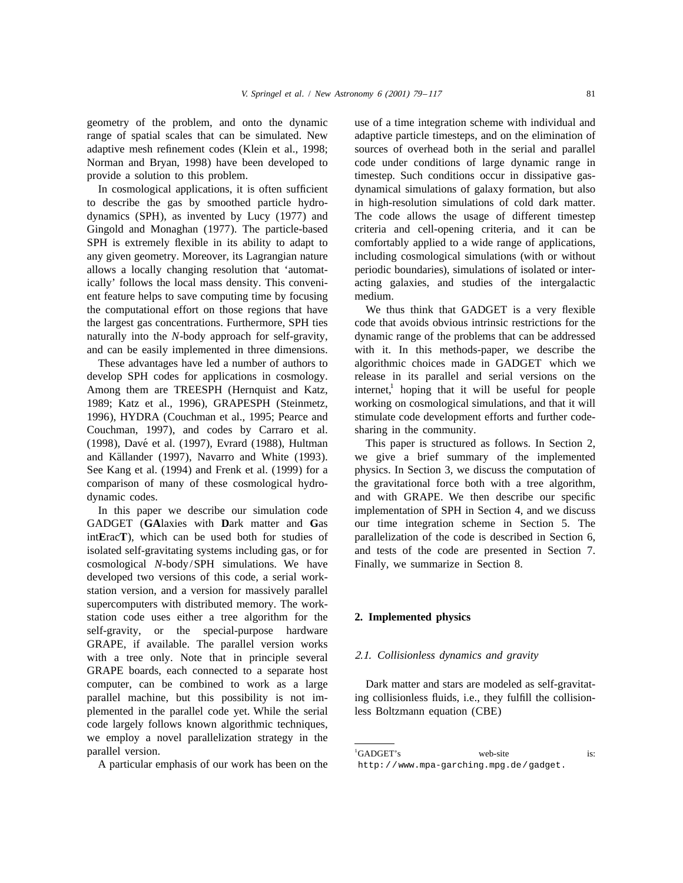geometry of the problem, and onto the dynamic use of a time integration scheme with individual and range of spatial scales that can be simulated. New adaptive particle timesteps, and on the elimination of adaptive mesh refinement codes (Klein et al., 1998; sources of overhead both in the serial and parallel Norman and Bryan, 1998) have been developed to code under conditions of large dynamic range in provide a solution to this problem. timestep. Such conditions occur in dissipative gas-

to describe the gas by smoothed particle hydro- in high-resolution simulations of cold dark matter. dynamics (SPH), as invented by Lucy (1977) and The code allows the usage of different timestep Gingold and Monaghan (1977). The particle-based criteria and cell-opening criteria, and it can be SPH is extremely flexible in its ability to adapt to comfortably applied to a wide range of applications, any given geometry. Moreover, its Lagrangian nature including cosmological simulations (with or without allows a locally changing resolution that 'automat- periodic boundaries), simulations of isolated or interically' follows the local mass density. This conveni- acting galaxies, and studies of the intergalactic ent feature helps to save computing time by focusing medium. the computational effort on those regions that have We thus think that GADGET is a very flexible the largest gas concentrations. Furthermore, SPH ties code that avoids obvious intrinsic restrictions for the naturally into the *N*-body approach for self-gravity, dynamic range of the problems that can be addressed and can be easily implemented in three dimensions. with it. In this methods-paper, we describe the

develop SPH codes for applications in cosmology. release in its parallel and serial versions on the Among them are TREESPH (Hernquist and Katz, internet, hoping that it will be useful for people 1989; Katz et al., 1996), GRAPESPH (Steinmetz, working on cosmological simulations, and that it will 1996), HYDRA (Couchman et al., 1995; Pearce and stimulate code development efforts and further code-Couchman, 1997), and codes by Carraro et al. sharing in the community. (1998), Dave et al. (1997), Evrard (1988), Hultman This paper is structured as follows. In Section 2, ´ and Källander (1997), Navarro and White (1993). we give a brief summary of the implemented See Kang et al. (1994) and Frenk et al. (1999) for a physics. In Section 3, we discuss the computation of comparison of many of these cosmological hydro- the gravitational force both with a tree algorithm, dynamic codes. and with GRAPE. We then describe our specific

GADGET (**GA**laxies with **D**ark matter and **G**as our time integration scheme in Section 5. The int**E**rac**T**), which can be used both for studies of parallelization of the code is described in Section 6, isolated self-gravitating systems including gas, or for and tests of the code are presented in Section 7. cosmological *N*-body/SPH simulations. We have Finally, we summarize in Section 8. developed two versions of this code, a serial workstation version, and a version for massively parallel supercomputers with distributed memory. The workstation code uses either a tree algorithm for the **2. Implemented physics** self-gravity, or the special-purpose hardware GRAPE, if available. The parallel version works with a tree only. Note that in principle several 2.1. *Collisionless dynamics and gravity* GRAPE boards, each connected to a separate host computer, can be combined to work as a large Dark matter and stars are modeled as self-gravitatparallel machine, but this possibility is not im- ing collisionless fluids, i.e., they fulfill the collisionplemented in the parallel code yet. While the serial less Boltzmann equation (CBE) code largely follows known algorithmic techniques, we employ a novel parallelization strategy in the parallel version. <sup>1</sup>

A particular emphasis of our work has been on the http://www.mpa-garching.mpg.de/gadget.

In cosmological applications, it is often sufficient dynamical simulations of galaxy formation, but also

These advantages have led a number of authors to algorithmic choices made in GADGET which we

In this paper we describe our simulation code implementation of SPH in Section 4, and we discuss

 ${}^{1}$ GADGET's web-site is: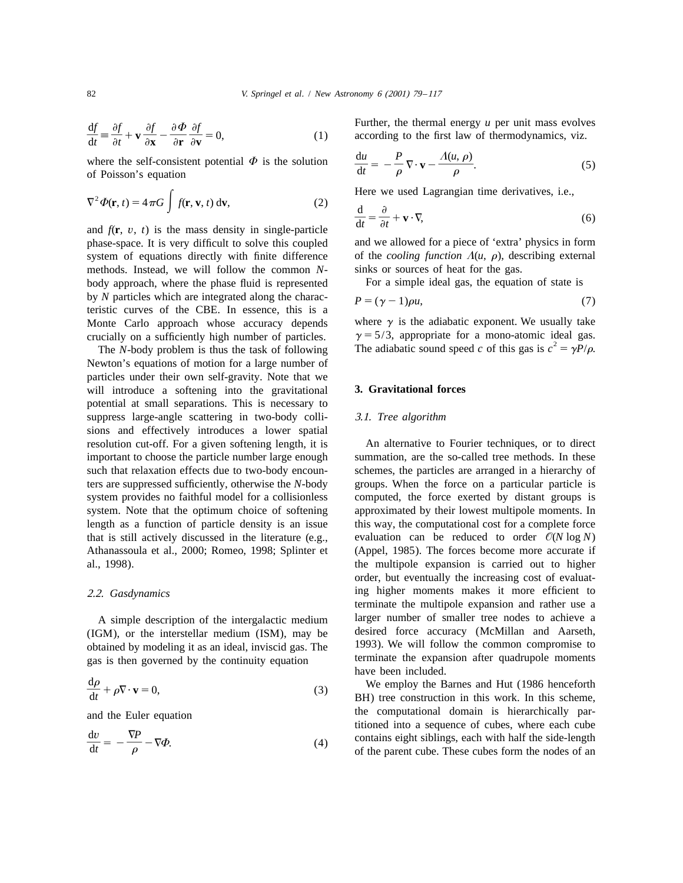$$
\frac{df}{dt} = \frac{\partial f}{\partial t} + \mathbf{v} \frac{\partial f}{\partial \mathbf{x}} - \frac{\partial \Phi}{\partial \mathbf{r}} \frac{\partial f}{\partial \mathbf{v}} = 0,
$$
\n(1)

where the self-consistent potential  $\Phi$  is the solution of Poisson's equation

$$
\nabla^2 \Phi(\mathbf{r}, t) = 4 \pi G \int f(\mathbf{r}, \mathbf{v}, t) d\mathbf{v},
$$
 Here we used Lagrangian time derivatives, i.e.,  
and  $f(\mathbf{r}, v, t)$  is the mass density in single-particle  
(6)

phase-space. It is very difficult to solve this coupled and we allowed for a piece of 'extra' physics in form system of equations directly with finite difference of the *cooling function*  $\Lambda(u, \rho)$ , describing external methods. Instead, we will follow the common *N*-<br>body approach, where the phase fluid is represented For a simple ideal gas, the equation of state is body approach, where the phase fluid is represented by *N* particles which are integrated along the charac-<br>teristic curves of the CBE. In essence, this is a<br>Monte Carlo approach whose accuracy depends where  $\gamma$  is the adiabatic exponent. We usually take Monte Carlo approach whose accuracy depends where  $\gamma$  is the adiabatic exponent. We usually take<br>crucially on a sufficiently high number of particles.  $\gamma = 5/3$ , appropriate for a mono-atomic ideal gas.

The *N*-body problem is thus the task of following Newton's equations of motion for a large number of particles under their own self-gravity. Note that we will introduce a softening into the gravitational **3. Gravitational forces** potential at small separations. This is necessary to suppress large-angle scattering in two-body colli- 3.1. *Tree algorithm* sions and effectively introduces a lower spatial resolution cut-off. For a given softening length, it is An alternative to Fourier techniques, or to direct important to choose the particle number large enough summation, are the so-called tree methods. In these such that relaxation effects due to two-body encoun-<br>schemes, the particles are arranged in a hierarchy of ters are suppressed sufficiently, otherwise the *N*-body groups. When the force on a particular particle is system provides no faithful model for a collisionless computed, the force exerted by distant groups is system. Note that the optimum choice of softening approximated by their lowest multipole moments. In length as a function of particle density is an issue this way, the computational cost for a complete force that is still actively discussed in the literature (e.g., evaluation can be reduced to order  $\mathcal{O}(N \log N)$ ) Athanassoula et al., 2000; Romeo, 1998; Splinter et (Appel, 1985). The forces become more accurate if al., 1998). the multipole expansion is carried out to higher

gas is then governed by the continuity equation

$$
\frac{\mathrm{d}\rho}{\mathrm{d}t} + \rho \nabla \cdot \mathbf{v} = 0,\tag{3}
$$

$$
\frac{\mathrm{d}v}{\mathrm{d}t} = -\frac{\nabla P}{\rho} - \nabla \Phi. \tag{4}
$$

Further, the thermal energy  $u$  per unit mass evolves according to the first law of thermodynamics, viz.

$$
\frac{du}{dt} = -\frac{P}{\rho}\nabla \cdot \mathbf{v} - \frac{\Lambda(u,\,\rho)}{\rho}.\tag{5}
$$

$$
\frac{\mathrm{d}}{\mathrm{d}t} = \frac{\partial}{\partial t} + \mathbf{v} \cdot \nabla,
$$
\n(6)

$$
P = (\gamma - 1)\rho u,\tag{7}
$$

crucially on a sufficiently high number of particles.  $\gamma = 5/3$ , appropriate for a mono-atomic ideal gas.<br>The N-body problem is thus the task of following The adiabatic sound speed c of this gas is  $c^2 = \gamma P/\rho$ .

computed, the force exerted by distant groups is order, but eventually the increasing cost of evaluat-2.2. *Gasdynamics* ing higher moments makes it more efficient to terminate the multipole expansion and rather use a A simple description of the intergalactic medium<br>
GM), or the interstellar medium (ISM), may be desired force accuracy (McMillan and Aarseth,  $(HGM)$ , or the interstellar medium (ISM), may be desired force accuracy (McMillan and Aarseth, obtained by modeling it as an ideal inviscid gas The 1993). We will follow the common compromise to obtained by modeling it as an ideal, inviscid gas. The 1993). We will follow the common compromise to gas is then governed by the continuity equation terminate the expansion after quadrupole moments have been included.

We employ the Barnes and Hut (1986 henceforth BH) tree construction in this work. In this scheme, the computational domain is hierarchically par-<br>titioned into a sequence of cubes, where each cube contains eight siblings, each with half the side-length of the parent cube. These cubes form the nodes of an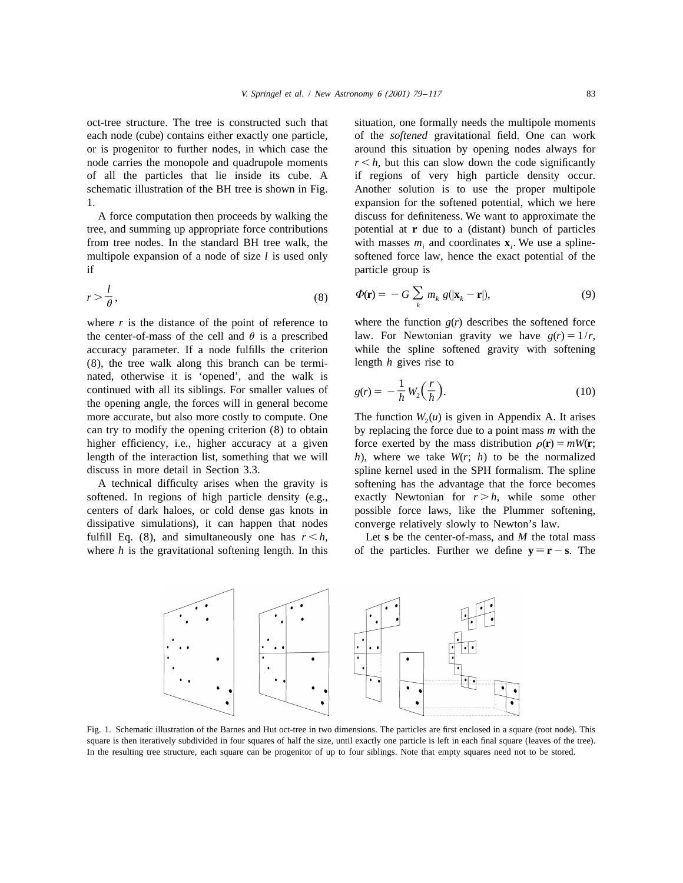each node (cube) contains either exactly one particle, of the *softened* gravitational field. One can work or is progenitor to further nodes, in which case the around this situation by opening nodes always for node carries the monopole and quadrupole moments  $r < h$ , but this can slow down the code significantly of all the particles that lie inside its cube. A if regions of very high particle density occur. schematic illustration of the BH tree is shown in Fig. Another solution is to use the proper multipole

tree, and summing up appropriate force contributions potential at **r** due to a (distant) bunch of particles from tree nodes. In the standard BH tree walk, the with masses  $m_i$  and coordinates  $\mathbf{x}_i$ . We use a splinemultipole expansion of a node of size *l* is used only softened force law, hence the exact potential of the if particle group is

$$
r > \frac{l}{\theta}, \qquad (8) \qquad \Phi(\mathbf{r}) = -G \sum_{k} m_k g(|\mathbf{x}_k - \mathbf{r}|), \qquad (9)
$$

the center-of-mass of the cell and  $\theta$  is a prescribed law. For Newtonian gravity we have  $g(r) = 1/r$ , accuracy parameter. If a node fulfills the criterion while the spline softened gravity with softening (8), the tree walk along this branch can be termi- length *h* gives rise to nated, otherwise it is 'opened', and the walk is<br>continued with all its siblings. For smaller values of<br>the opening angle, the forces will in general become more accurate, but also more costly to compute. One The function  $W_2(u)$  is given in Appendix A. It arises can try to modify the opening criterion (8) to obtain by replacing the force due to a point mass m with the higher efficiency, i.e., higher accuracy at a given force exerted by the mass distribution  $\rho(\mathbf{r}) = mW(\mathbf{r};$ length of the interaction list, something that we will *h*), where we take *W*(*r*; *h*) to be the normalized discuss in more detail in Section 3.3. spline kernel used in the SPH formalism. The spline

dissipative simulations), it can happen that nodes converge relatively slowly to Newton's law. fulfill Eq. (8), and simultaneously one has  $r < h$ , Let **s** be the center-of-mass, and *M* the total mass where *h* is the gravitational softening length. In this of the particles. Further we define  $y = r - s$ . The

oct-tree structure. The tree is constructed such that situation, one formally needs the multipole moments 1. expansion for the softened potential, which we here A force computation then proceeds by walking the discuss for definiteness. We want to approximate the

$$
\Phi(\mathbf{r}) = -G \sum_{k} m_k g(|\mathbf{x}_k - \mathbf{r}|),\tag{9}
$$

where *r* is the distance of the point of reference to where the function  $g(r)$  describes the softened force

$$
g(r) = -\frac{1}{h} W_2\left(\frac{r}{h}\right). \tag{10}
$$

by replacing the force due to a point mass  $m$  with the A technical difficulty arises when the gravity is softening has the advantage that the force becomes softened. In regions of high particle density (e.g., exactly Newtonian for  $r > h$ , while some other centers of dark haloes, or cold dense gas knots in possible force laws, like the Plummer softening,



Fig. 1. Schematic illustration of the Barnes and Hut oct-tree in two dimensions. The particles are first enclosed in a square (root node). This square is then iteratively subdivided in four squares of half the size, until exactly one particle is left in each final square (leaves of the tree). In the resulting tree structure, each square can be progenitor of up to four siblings. Note that empty squares need not to be stored.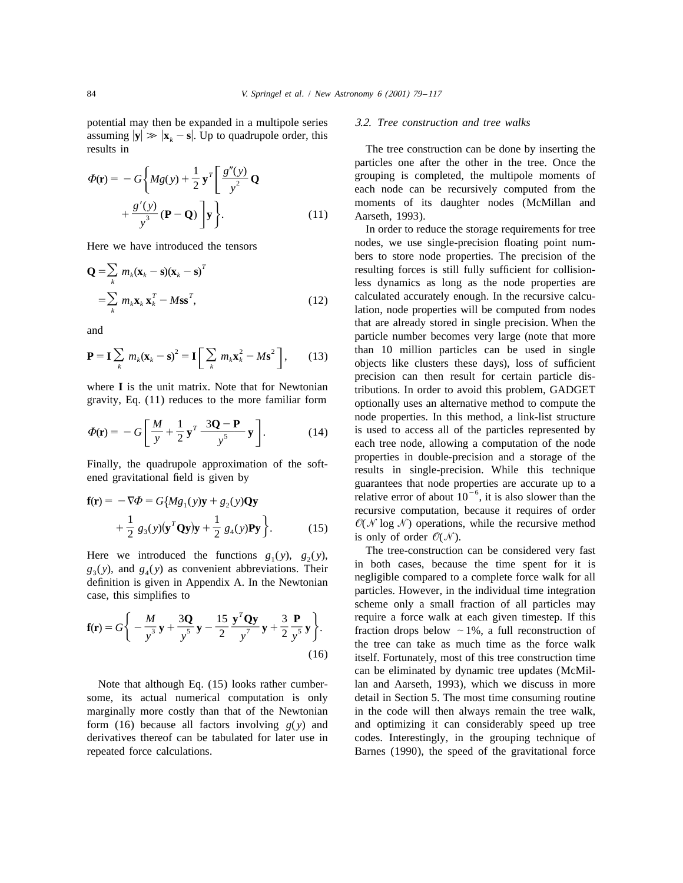potential may then be expanded in a multipole series 3.2. *Tree construction and tree walks* assuming  $|\mathbf{y}| \gg |\mathbf{x}_k - \mathbf{s}|$ . Up to quadrupole order, this results in The tree construction can be done by inserting the

$$
\Phi(\mathbf{r}) = -G \left\{ Mg(y) + \frac{1}{2} \mathbf{y}^T \left[ \frac{g''(y)}{y^2} \mathbf{Q} \right. \right. \right. \left. + \frac{g'(y)}{y^3} \left( \mathbf{P} - \mathbf{Q} \right) \right\}.
$$
\n(11) The mapping is completed, the multiple moments of each node can be recursively computed from the moments of its daughter nodes (McMillan and Aarseth, 1993). In order to reduce the storage requirements for tree

$$
\mathbf{Q} = \sum_{k} m_k (\mathbf{x}_k - \mathbf{s}) (\mathbf{x}_k - \mathbf{s})^T
$$
  
= 
$$
\sum_{k} m_k \mathbf{x}_k \mathbf{x}_k^T - M \mathbf{s} \mathbf{s}^T,
$$
 (12)

$$
\mathbf{P} = \mathbf{I} \sum_{k} m_{k} (\mathbf{x}_{k} - \mathbf{s})^{2} = \mathbf{I} \left[ \sum_{k} m_{k} \mathbf{x}_{k}^{2} - M \mathbf{s}^{2} \right], \qquad (13)
$$

$$
\Phi(\mathbf{r}) = -G\left[\frac{M}{y} + \frac{1}{2}\mathbf{y}^T \frac{3\mathbf{Q} - \mathbf{P}}{y^5}\mathbf{y}\right].
$$
 (14)

$$
\mathbf{f}(\mathbf{r}) = -\nabla \Phi = G\{Mg_1(y)\mathbf{y} + g_2(y)\mathbf{Q}\mathbf{y} \n+ \frac{1}{2} g_3(y)(\mathbf{y}^T \mathbf{Q}\mathbf{y})\mathbf{y} + \frac{1}{2} g_4(y)\mathbf{P}\mathbf{y} \}.
$$
\n(15)

$$
\mathbf{f}(\mathbf{r}) = G \Bigg\{ -\frac{M}{y^3} \mathbf{y} + \frac{3\mathbf{Q}}{y^5} \mathbf{y} - \frac{15}{2} \frac{\mathbf{y}^T \mathbf{Q} \mathbf{y}}{y^7} \mathbf{y} + \frac{3}{2} \frac{\mathbf{P}}{y^5} \mathbf{y} \Bigg\}.
$$
\n(16)

some, its actual numerical computation is only detail in Section 5. The most time consuming routine marginally more costly than that of the Newtonian in the code will then always remain the tree walk, form (16) because all factors involving *g*( *y*) and and optimizing it can considerably speed up tree derivatives thereof can be tabulated for later use in codes. Interestingly, in the grouping technique of repeated force calculations. Barnes (1990), the speed of the gravitational force

particles one after the other in the tree. Once the grouping is completed, the multipole moments of each node can be recursively computed from the

Here we have introduced the tensors nodes, we use single-precision floating point numbers to store node properties. The precision of the resulting forces is still fully sufficient for collision-<br>less dynamics as long as the node properties are <sup>5</sup>O *<sup>m</sup> T T* calculated accurately enough. In the recursive calcu- **x x** <sup>2</sup> *<sup>M</sup>***ss** , (12) *kk k <sup>k</sup>* lation, node properties will be computed from nodes that are already stored in single precision. When the particle number becomes very large (note that more than 10 million particles can be used in single objects like clusters these days), loss of sufficient precision can then result for certain particle diswhere I is the unit matrix. Note that for Newtonian tributions. In order to avoid this problem, GADGET gravity, Eq. (11) reduces to the more familiar form optionally uses an alternative method to compute the  $\Phi(\mathbf{r}) = -G\left[\frac{M}{y} + \frac{1}{2}\mathbf{y}^T\frac{3\mathbf{Q} - \mathbf{P}}{y^5}\mathbf{y}\right]$ . (14) node properties. In this method, a link-list structure<br>is used to access all of the particles represented by<br>each tree node, allowing a computation Finally, the quadrupole approximation of the soft-<br>
ened gravitational field is given by<br>  $f(r) = -\nabla\Phi = G\{Mg_1(y)y + g_2(y)Qy + \frac{1}{2}g_4(y)Py\}$ .<br>  $\begin{cases}\n\frac{1}{2}g_3(y)(y^TQy)y + \frac{1}{2}g_4(y)Py\}.\n\end{cases}$ <br>
(15)  $\begin{cases}\n\frac{\partial(\mathcal{M} \log \mathcal{M})$ 

Here we introduced the functions  $g_1(y)$ ,  $g_2(y)$ , The tree-construction can be considered very fast  $g_3(y)$ , and  $g_4(y)$  as convenient abbreviations. Their in both cases, because the time spent for it is negligible compa scheme only a small fraction of all particles may<br>require a force walk at each given timestep. If this<br>fraction drops below  $\sim$  1%, a full reconstruction of the tree can take as much time as the force walk itself. Fortunately, most of this tree construction time can be eliminated by dynamic tree updates (McMil-Note that although Eq. (15) looks rather cumber-<br>lan and Aarseth, 1993), which we discuss in more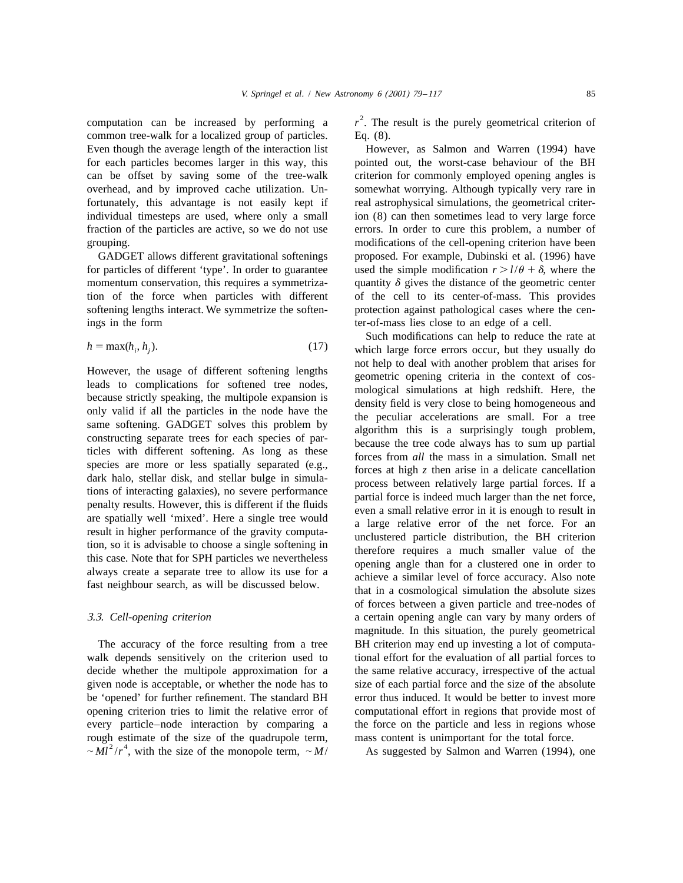common tree-walk for a localized group of particles. Eq. (8). Even though the average length of the interaction list However, as Salmon and Warren (1994) have for each particles becomes larger in this way, this pointed out, the worst-case behaviour of the BH can be offset by saving some of the tree-walk criterion for commonly employed opening angles is overhead, and by improved cache utilization. Un- somewhat worrying. Although typically very rare in fortunately, this advantage is not easily kept if real astrophysical simulations, the geometrical criterindividual timesteps are used, where only a small ion (8) can then sometimes lead to very large force fraction of the particles are active, so we do not use errors. In order to cure this problem, a number of grouping. The cell-opening criterion have been modifications of the cell-opening criterion have been

for particles of different 'type'. In order to guarantee used the simple modification  $r > l/\theta + \delta$ , where the momentum conservation, this requires a symmetriza-quantity  $\delta$  gives the distance of the geometric center tion of the force when particles with different of the cell to its center-of-mass. This provides softening lengths interact. We symmetrize the soften-<br>protection against pathological cases where the cenings in the form ter-of-mass lies close to an edge of a cell.

$$
h = \max(h_i, h_j). \tag{17}
$$

species are more or less spatially separated (e.g., forces at high *z* then arise in a delicate cancellation dark halo, stellar disk, and stellar bulge in simula-

walk depends sensitively on the criterion used to tional effort for the evaluation of all partial forces to decide whether the multipole approximation for a the same relative accuracy, irrespective of the actual given node is acceptable, or whether the node has to size of each partial force and the size of the absolute be 'opened' for further refinement. The standard BH error thus induced. It would be better to invest more opening criterion tries to limit the relative error of computational effort in regions that provide most of every particle–node interaction by comparing a the force on the particle and less in regions whose rough estimate of the size of the quadrupole term, mass content is unimportant for the total force.<br> $\sim Ml^2/r^4$ , with the size of the monopole term,  $\sim M/$  As suggested by Salmon and Warren (1994), one  $\sim Ml^2/r^4$ , with the size of the monopole term,  $\sim M/l$ 

computation can be increased by performing a  $r^2$ . The result is the purely geometrical criterion of

GADGET allows different gravitational softenings proposed. For example, Dubinski et al. (1996) have

Such modifications can help to reduce the rate at which large force errors occur, but they usually do However, the usage of different softening lengths<br>
leads to complications for softened tree nodes,<br>
because strictly speaking, the multipole expansion is<br>
only valid if all the particles in the node have the<br>
same softenin dark halo, stellar disk, and stellar bulge in simula-<br>
tions of interacting galaxies), no severe performance<br>
penalty results. However, this is different if the fluids<br>
are spatiall force is indeed much larger than the net of forces between a given particle and tree-nodes of 3.3. *Cell*-*opening criterion* a certain opening angle can vary by many orders of magnitude. In this situation, the purely geometrical The accuracy of the force resulting from a tree BH criterion may end up investing a lot of computa-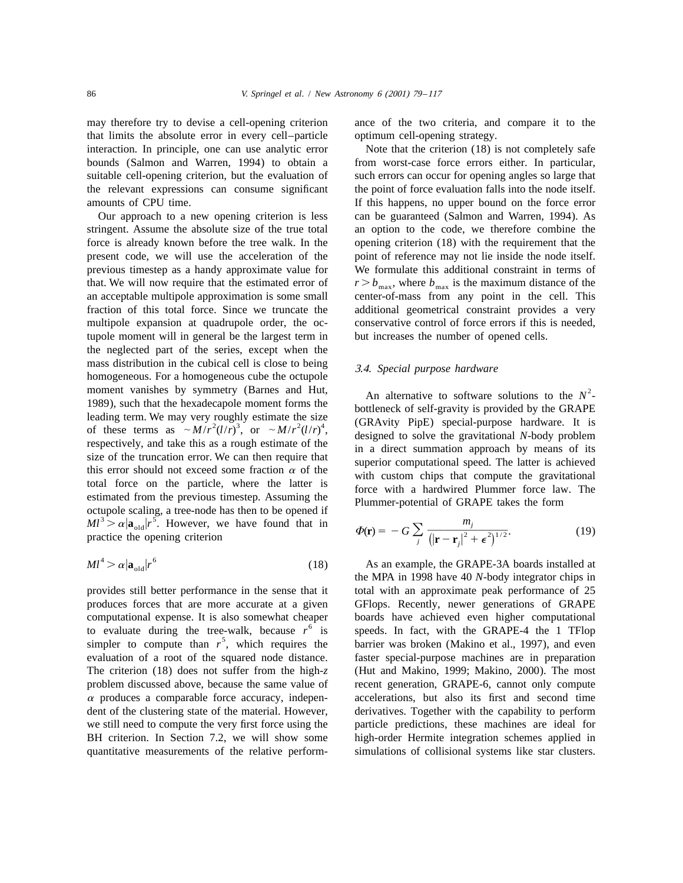that limits the absolute error in every cell–particle optimum cell-opening strategy. interaction. In principle, one can use analytic error Note that the criterion (18) is not completely safe bounds (Salmon and Warren, 1994) to obtain a from worst-case force errors either. In particular, suitable cell-opening criterion, but the evaluation of such errors can occur for opening angles so large that the relevant expressions can consume significant the point of force evaluation falls into the node itself. amounts of CPU time. If this happens, no upper bound on the force error

stringent. Assume the absolute size of the true total an option to the code, we therefore combine the force is already known before the tree walk. In the opening criterion (18) with the requirement that the present code, we will use the acceleration of the point of reference may not lie inside the node itself. previous timestep as a handy approximate value for We formulate this additional constraint in terms of that. We will now require that the estimated error of  $r > b_{\text{max}}$ , where  $b_{\text{max}}$  is the maximum distance of the an acceptable multipole approximation is some small center-of-mass from any point in the cell. This fraction of this total force. Since we truncate the additional geometrical constraint provides a very multipole expansion at quadrupole order, the oc- conservative control of force errors if this is needed, tupole moment will in general be the largest term in but increases the number of opened cells. the neglected part of the series, except when the mass distribution in the cubical cell is close to being 3.4. *Special purpose hardware* homogeneous. For a homogeneous cube the octupole moment vanishes by symmetry (Barnes and Hut,<br>
1989), such that the hexadecapole moment forms the<br>
leading term. We may very roughly estimate the size<br>
of these terms as  $\sim M/r^2(l/r)^3$ , or  $\sim M/r^2(l/r)^4$ ,<br>
respectively, and ta From the previous timestep. Assuming the extinct of GRAPE takes the form octupole scaling, a tree-node has then to be opened if  $Ml^3 > \alpha |\mathbf{a}_{old}|r^5$ . However, we have found that in practice the opening criterion

$$
M l^4 > \alpha |\mathbf{a}_{\text{old}}| r^6 \tag{18}
$$

produces forces that are more accurate at a given GFlops. Recently, newer generations of GRAPE computational expense. It is also somewhat cheaper boards have achieved even higher computational<br>to evaluate during the tree-walk, because  $r^6$  is speeds. In fact, with the GRAPE-4 the 1 TFlop<br>simpler to compute than  $r$ evaluation of a root of the squared node distance. faster special-purpose machines are in preparation The criterion (18) does not suffer from the high-*z* (Hut and Makino, 1999; Makino, 2000). The most problem discussed above, because the same value of recent generation, GRAPE-6, cannot only compute dent of the clustering state of the material. However, derivatives. Together with the capability to perform we still need to compute the very first force using the particle predictions, these machines are ideal for BH criterion. In Section 7.2, we will show some high-order Hermite integration schemes applied in quantitative measurements of the relative perform- simulations of collisional systems like star clusters.

may therefore try to devise a cell-opening criterion ance of the two criteria, and compare it to the

Our approach to a new opening criterion is less can be guaranteed (Salmon and Warren, 1994). As

$$
\Phi(\mathbf{r}) = -G \sum_{j} \frac{m_j}{\left(|\mathbf{r} - \mathbf{r}_j|^2 + \epsilon^2\right)^{1/2}}.
$$
\n(19)

1 **As an example, the GRAPE-3A boards installed at**  $\blacksquare$ the MPA in 1998 have 40 *N*-body integrator chips in provides still better performance in the sense that it total with an approximate peak performance of 25  $\alpha$  produces a comparable force accuracy, indepen- accelerations, but also its first and second time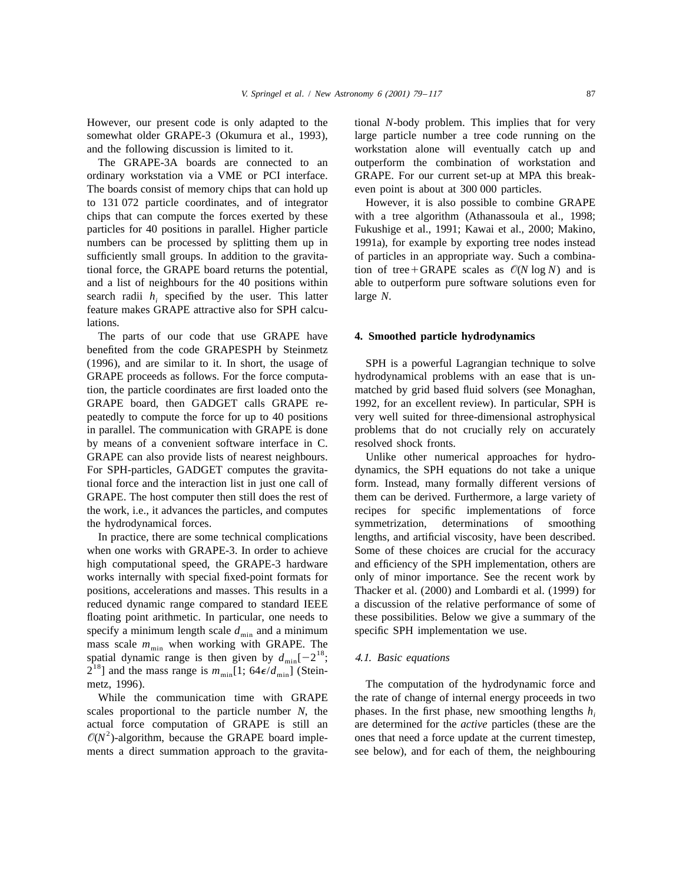However, our present code is only adapted to the tional *N*-body problem. This implies that for very somewhat older GRAPE-3 (Okumura et al., 1993), large particle number a tree code running on the and the following discussion is limited to it. workstation alone will eventually catch up and

ordinary workstation via a VME or PCI interface. GRAPE. For our current set-up at MPA this break-The boards consist of memory chips that can hold up even point is about at 300 000 particles. to 131 072 particle coordinates, and of integrator However, it is also possible to combine GRAPE chips that can compute the forces exerted by these with a tree algorithm (Athanassoula et al., 1998; particles for 40 positions in parallel. Higher particle Fukushige et al., 1991; Kawai et al., 2000; Makino, numbers can be processed by splitting them up in 1991a), for example by exporting tree nodes instead sufficiently small groups. In addition to the gravita- of particles in an appropriate way. Such a combinational force, the GRAPE board returns the potential, tion of tree+GRAPE scales as  $\mathcal{O}(N \log N)$  and is and a list of neighbours for the 40 positions within able to outperform pure software solutions even for search radii  $h_i$  specified by the user. This latter large  $N$ . feature makes GRAPE attractive also for SPH calculations.

The parts of our code that use GRAPE have **4. Smoothed particle hydrodynamics** benefited from the code GRAPESPH by Steinmetz (1996), and are similar to it. In short, the usage of SPH is a powerful Lagrangian technique to solve by means of a convenient software interface in C. resolved shock fronts. GRAPE can also provide lists of nearest neighbours. Unlike other numerical approaches for hydro-

specify a minimum length scale  $d_{\text{min}}$  and a minimum specific SPH implementation we use. mass scale  $m_{\text{min}}$  when working with GRAPE. The spatial dynamic range is then given by  $d_{\text{min}}[-2^{18};$  4.1. *Basic equations*  $2^{18}$  and the mass range is  $m_{\text{min}}[1; 64\epsilon/d_{\text{min}}]$  (Stein-<br>metz, 1996). The computation of

scales proportional to the particle number *N*, the phases. In the first phase, new smoothing lengths  $h_i$  actual force computation of GRAPE is still an are determined for the *active* particles (these are the ments a direct summation approach to the gravita-see below), and for each of them, the neighbouring

The GRAPE-3A boards are connected to an outperform the combination of workstation and

GRAPE proceeds as follows. For the force computa- hydrodynamical problems with an ease that is untion, the particle coordinates are first loaded onto the matched by grid based fluid solvers (see Monaghan, GRAPE board, then GADGET calls GRAPE re- 1992, for an excellent review). In particular, SPH is peatedly to compute the force for up to 40 positions very well suited for three-dimensional astrophysical in parallel. The communication with GRAPE is done problems that do not crucially rely on accurately

For SPH-particles, GADGET computes the gravita- dynamics, the SPH equations do not take a unique tional force and the interaction list in just one call of form. Instead, many formally different versions of GRAPE. The host computer then still does the rest of them can be derived. Furthermore, a large variety of the work, i.e., it advances the particles, and computes recipes for specific implementations of force the hydrodynamical forces. symmetrization, determinations of smoothing In practice, there are some technical complications lengths, and artificial viscosity, have been described. when one works with GRAPE-3. In order to achieve Some of these choices are crucial for the accuracy high computational speed, the GRAPE-3 hardware and efficiency of the SPH implementation, others are works internally with special fixed-point formats for only of minor importance. See the recent work by positions, accelerations and masses. This results in a Thacker et al. (2000) and Lombardi et al. (1999) for reduced dynamic range compared to standard IEEE a discussion of the relative performance of some of floating point arithmetic. In particular, one needs to these possibilities. Below we give a summary of the

The computation of the hydrodynamic force and While the communication time with GRAPE the rate of change of internal energy proceeds in two actual force computation of GRAPE is still an are determined for the *active* particles (these are the  $\mathcal{O}(N^2)$ -algorithm, because the GRAPE board imple- ones that need a force update at the current timestep,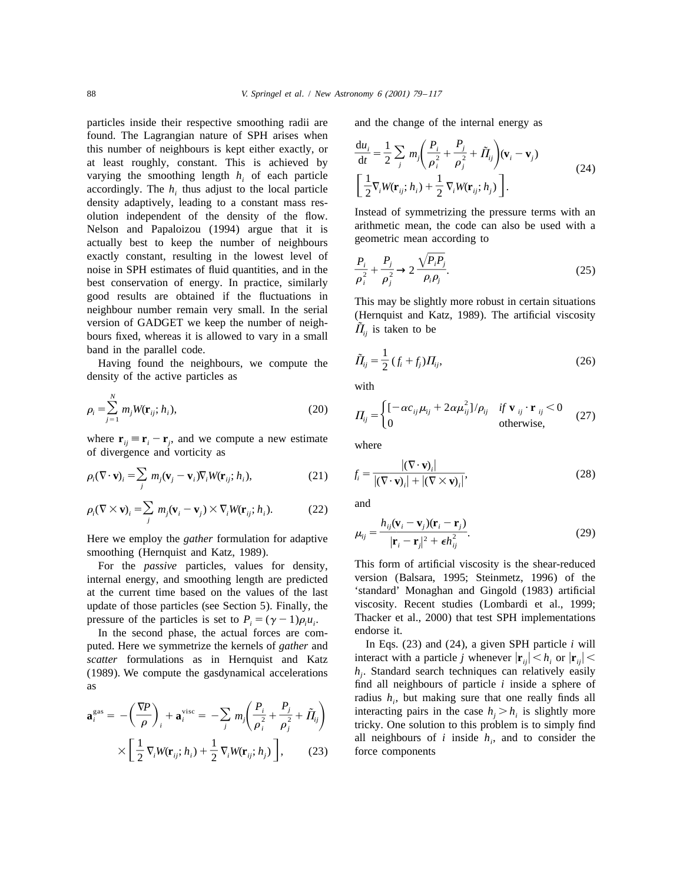particles inside their respective smoothing radii are and the change of the internal energy as found. The Lagrangian nature of SPH arises when<br>this number of neighbours is kept either exactly, or<br>at least roughly, constant. This is achieved by<br>varying the smoothing length  $h_i$  of each particle  $\left[1_{\text{row}}\right]$   $\left(1$ at least roughly, constant. This is achieved by varying the smoothing length  $h_i$  of each particle accordingly. The  $h_i$  thus adjust to the local particle density adaptively, leading to a constant mass resolution independent of the density of the flow. Instead of symmetrizing the pressure terms with an Nelson and Papaloizou (1994) argue that it is a arithmetic mean, the code can also be used with a Nelson and Papaloizou (1994) argue that it is arithmetic mean, the code can according to be used with a used with a second with a second with a second with a second with a second with a second with a second with a second actually best to keep the number of neighbours exactly constant, resulting in the lowest level of exactly constant, resulting in the lowest level of  $\frac{P_i}{\rho_i^2} + \frac{P_j}{\rho_j^2} \rightarrow 2 \frac{\sqrt{P_i P_j}}{\rho_i \rho_j}$  best conservation of energy. In practice, similarly  $\rho_i^2$  i  $\rho_j^2$ good results are obtained if the fluctuations in<br>neighbour number remain very small. In the serial<br>version of GADGET we keep the number of neigh-<br>bours fixed, whereas it is allowed to vary in a small  $\tilde{\Pi}_{ij}$  is taken t band in the parallel code.

Having found the neighbours, we compute the density of the active particles as with  $\frac{1}{2}$  with

$$
\rho_i = \sum_{j=1}^N m_j W(\mathbf{r}_{ij}; h_i),
$$
\n(20) 
$$
H_{ij} = \begin{cases} \left[ -\alpha c_{ij} \mu_{ij} + 2\alpha \mu_{ij}^2 \right] / \rho_{ij} & \text{if } \mathbf{v}_{ij} \cdot \mathbf{r}_{ij} < 0\\ 0 & \text{otherwise,} \end{cases}
$$
\n(27)

where  $\mathbf{r}_{ij} = \mathbf{r}_i - \mathbf{r}_j$ , and we compute a new estimate where of divergence and vorticity as

$$
\rho_i(\nabla \cdot \mathbf{v})_i = \sum_j m_j(\mathbf{v}_j - \mathbf{v}_i) \nabla_i W(\mathbf{r}_{ij}; h_i),
$$
\n(21)

$$
\rho_i(\nabla \times \mathbf{v})_i = \sum_j m_j(\mathbf{v}_i - \mathbf{v}_j) \times \nabla_i W(\mathbf{r}_{ij}; h_i).
$$
 and 
$$
h_{ij}(\mathbf{v}_i - \mathbf{v}_j)(\mathbf{r}_i - \mathbf{r}_j)
$$

Here we employ the *gather* formulation for adaptive smoothing (Hernquist and Katz, 1989).

internal energy, and smoothing length are predicted version (Balsara, 1995; Steinmetz, 1996) of the at the current time based on the values of the last 'standard' Monaghan and Gingold (1983) artificial update of those particles (see Section 5). Finally, the viscosity. Recent studies (Lombardi et al., 1999;<br>pressure of the particles is set to  $P = (\gamma - 1) \delta u$ . Thacker et al., 2000) that test SPH implementations pressure of the particles is set to  $P_i = (\gamma - 1)\rho_i u_i$ . Thacker et al., 2000 in the second phase the actual forces are com-

In the second phase, the actual forces are computed. Here we symmetrize the kernels of *gather* and In Eqs. (23) and (24), a given SPH particle *i* will *scatter* formulations as in Hernquist and Katz interact with a particle *j* whenever  $|\mathbf{r}_{ij}| < h_i$  or  $|\mathbf{r}_{ij}| <$ (1989). We compute the gasdynamical accelerations *hj* as find all neighbours of particle *i* inside a sphere of

$$
\mathbf{a}_{i}^{\text{gas}} = -\left(\frac{\nabla P}{\rho}\right)_{i} + \mathbf{a}_{i}^{\text{visc}} = -\sum_{j} m_{j} \left(\frac{P_{i}}{\rho_{i}^{2}} + \frac{P_{j}}{\rho_{j}^{2}} + \tilde{\Pi}_{ij}\right) \quad \text{interacting pairs i}
$$
  
 
$$
\times \left[\frac{1}{2} \nabla_{i} W(\mathbf{r}_{ij}; h_{i}) + \frac{1}{2} \nabla_{i} W(\mathbf{r}_{ij}; h_{j})\right], \quad (23) \quad \text{force components}
$$

$$
\frac{du_i}{dt} = \frac{1}{2} \sum_j m_j \left( \frac{P_i}{\rho_i^2} + \frac{P_j}{\rho_j^2} + \tilde{\Pi}_{ij} \right) (\mathbf{v}_i - \mathbf{v}_j)
$$
\n
$$
\left[ \frac{1}{2} \nabla_i W(\mathbf{r}_{ij}; h_i) + \frac{1}{2} \nabla_i W(\mathbf{r}_{ij}; h_j) \right].
$$
\n(24)

$$
\frac{P_i}{\rho_i^2} + \frac{P_j}{\rho_j^2} \rightarrow 2 \frac{\sqrt{P_i P_j}}{\rho_i \rho_j}.
$$
\n(25)

$$
\tilde{\Pi}_{ij} = \frac{1}{2} (f_i + f_j) \Pi_{ij},
$$
\n(26)

$$
\Pi_{ij} = \begin{cases}\n[-\alpha c_{ij}\mu_{ij} + 2\alpha\mu_{ij}^2]/\rho_{ij} & \text{if } \mathbf{v}_{ij} \cdot \mathbf{r}_{ij} < 0 \\
0 & \text{otherwise,} \n\end{cases} \tag{27}
$$

or divergence and vorticity as  
\n
$$
\rho_i(\nabla \cdot \mathbf{v})_i = \sum_j m_j(\mathbf{v}_j - \mathbf{v}_i) \nabla_i W(\mathbf{r}_{ij}; h_i),
$$
\n(21) 
$$
f_i = \frac{|(\nabla \cdot \mathbf{v})_i|}{|(\nabla \cdot \mathbf{v})_i| + |(\nabla \times \mathbf{v})_i|},
$$
\n(28)

and

$$
\mu_{ij} = \frac{h_{ij}(\mathbf{v}_i - \mathbf{v}_j)(\mathbf{r}_i - \mathbf{r}_j)}{|\mathbf{r}_i - \mathbf{r}_j|^2 + \epsilon h_{ij}^2}.
$$
(29)

For the *passive* particles, values for density, This form of artificial viscosity is the shear-reduced

 $h_i$ . Standard search techniques can relatively easily radius  $h_i$ , but making sure that one really finds all interacting pairs in the case  $h_j > h_i$  is slightly more<br>tricky. One solution to this problem is to simply find all neighbours of *i* inside  $h_i$ , and to consider the force components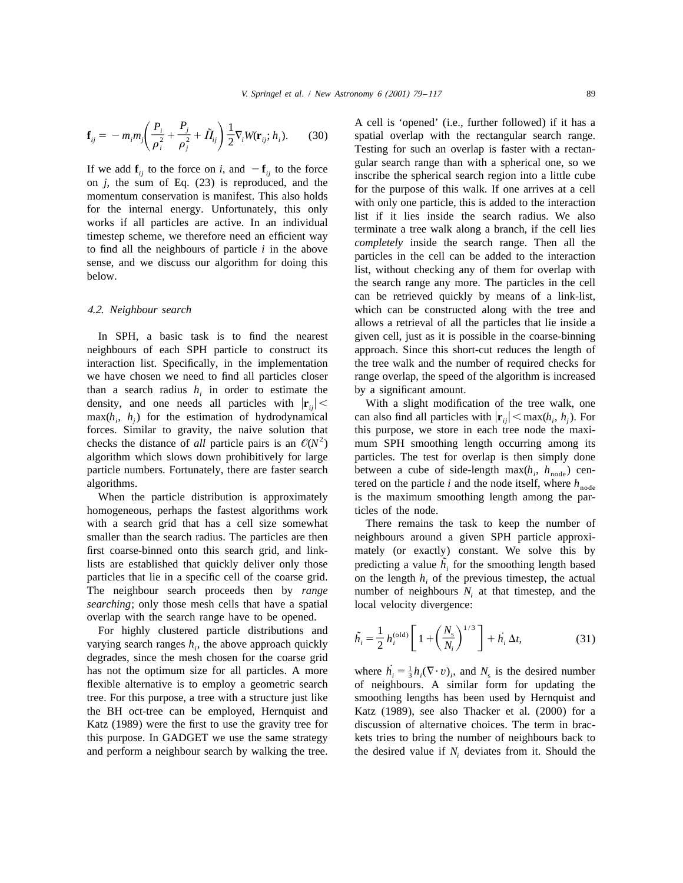$$
\mathbf{f}_{ij} = -m_i m_j \left( \frac{P_i}{\rho_i^2} + \frac{P_j}{\rho_j^2} + \tilde{H}_{ij} \right) \frac{1}{2} \nabla_i W(\mathbf{r}_{ij}; h_i). \tag{30}
$$

than a search radius  $h_i$  in order to estimate the by a significant amount. density, and one needs all particles with  $\left|\mathbf{r}_{ii}\right| <$  With a slight modification of the tree walk, one

homogeneous, perhaps the fastest algorithms work ticles of the node. with a search grid that has a cell size somewhat There remains the task to keep the number of smaller than the search radius. The particles are then neighbours around a given SPH particle approxifirst coarse-binned onto this search grid, and link- mately (or exactly) constant. We solve this by lists are established that quickly deliver only those predicting a value  $\tilde{h}_i$  for the smoothing length based particles that lie in a specific cell of the coarse grid.  $\qquad$  on the length  $h_i$  of the previous timestep, the actual The neighbour search proceeds then by *range* number of neighbours *N<sub>i</sub>* at that timestep, and the *searching*; only those mesh cells that have a spatial local velocity divergence: overlap with the search range have to be opened.

For highly clustered particle distributions and degrades, since the mesh chosen for the coarse grid has not the optimum size for all particles. A more where  $h_i = \frac{1}{3} h_i (\nabla \cdot v)_i$ , and  $N_s$  is the desired number Katz (1989) were the first to use the gravity tree for discussion of alternative choices. The term in bracand perform a neighbour search by walking the tree. the desired value if  $N_i$  deviates from it. Should the

 $\mathbf{f}_{ij} = -m_i m_j \left( \frac{P_i}{\rho_i^2} + \frac{P_j}{\rho_j^2} + \tilde{\Pi}_{ij} \right) \frac{1}{2} \nabla_i W(\mathbf{r}_{ij}; h_i).$  (30) A cell is 'opened' (i.e., further followed) if it has a spatial overlap with the rectangular search range. Testing for such an overlap is faster with a rectan-If we add  $f_{ij}$  to the force on *i*, and  $-f_{ij}$  to the force<br>on *j*, the sum of Eq. (23) is reproduced, and the<br>momentum conservation is manifest. This also holds<br>for the internal energy. Unfortunately, this only<br>works i can be retrieved quickly by means of a link-list, 4.2. *Neighbour search* which can be constructed along with the tree and allows a retrieval of all the particles that lie inside a In SPH, a basic task is to find the nearest given cell, just as it is possible in the coarse-binning neighbours of each SPH particle to construct its approach. Since this short-cut reduces the length of interaction list. Specifically, in the implementation the tree walk and the number of required checks for we have chosen we need to find all particles closer range overlap, the speed of the algorithm is increased

max $(h_i, h_i)$  for the estimation of hydrodynamical can also find all particles with  $|\mathbf{r}_{ii}| \le \max(h_i, h_i)$ . For forces. Similar to gravity, the naive solution that this purpose, we store in each tree node the maxi-<br>checks the distance of *all* particle pairs is an  $O(N^2)$  mum SPH smoothing length occurring among its algorithm which slows down prohibitively for large particles. The test for overlap is then simply done particle numbers. Fortunately, there are faster search between a cube of side-length max $(h_i, h_{\text{node}})$  cenalgorithms. tered on the particle *i* and the node itself, where  $h_{\text{node}}$ When the particle distribution is approximately is the maximum smoothing length among the par-

overlap with the search range have to be opened.

\nFor highly clustered particle distributions and varying search ranges 
$$
h_i
$$
, the above approach quickly

\n
$$
\tilde{h}_i = \frac{1}{2} h_i^{(\text{old})} \left[ 1 + \left( \frac{N_s}{N_i} \right)^{1/3} \right] + \dot{h}_i \Delta t,
$$
\n(31)

\ndearcides since the mesh chosen for the coarse grid

flexible alternative is to employ a geometric search of neighbours. A similar form for updating the tree. For this purpose, a tree with a structure just like smoothing lengths has been used by Hernquist and the BH oct-tree can be employed, Hernquist and Katz (1989), see also Thacker et al. (2000) for a this purpose. In GADGET we use the same strategy kets tries to bring the number of neighbours back to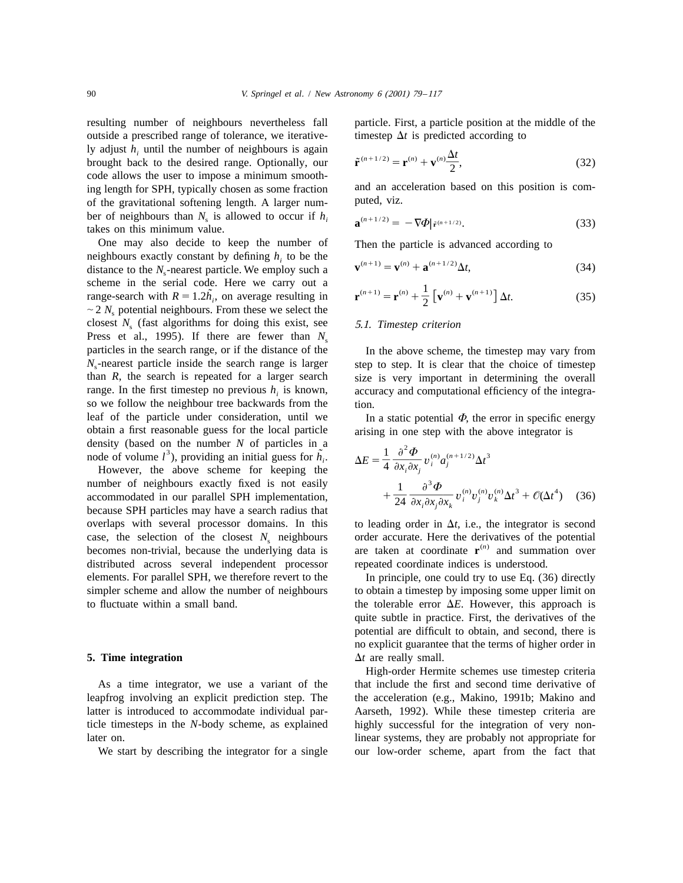outside a prescribed range of tolerance, we iterative-<br>timestep  $\Delta t$  is predicted according to Iy adjust  $h_i$  until the number of neighbours is again<br>brought back to the desired range. Optionally, our code allows the user to impose a minimum smoothing length for SPH, typically chosen as some fraction and an acceleration based on this position is com-<br>of the gravitational softening length A larger num-<br>puted, viz. of the gravitational softening length. A larger number of neighbours than  $N_s$  is allowed to occur if  $h_i$  takes on this minimum value.

One may also decide to keep the number of Then the particle is advanced according to neighbours exactly constant by defining  $h_i$  to be the distance to the  $N_s$ -nearest particle. We employ such a scheme in the serial code. Here we carry out a  $\mathbf{r}^{(n+1)} = \mathbf{r}^{(n)} + \frac{1}{2} \left[ \mathbf{v}^{(n)} + \mathbf{v}^{(n+1)} \right] \Delta t.$  (35)  $\sim 2 N$  potential neighbours. From these we select the  $\sim$  2  $N_s$  potential neighbours. From these we select the closest *N*<sup>s</sup> (fast algorithms for doing this exist, see 5.1. *Timestep criterion* Press et al., 1995). If there are fewer than  $N_s$ particles in the search range, or if the distance of the In the above scheme, the timestep may vary from  $N_s$ -nearest particle inside the search range is larger step to step. It is clear that the choice of timestep than *R*, the search is repeated for a larger search size is very important in determining the overall range. In the first timestep no previous  $h_i$  is known, accuracy and computational efficiency of the integraso we follow the neighbour tree backwards from the tion. leaf of the particle under consideration, until we In a static potential  $\Phi$ , the error in specific energy obtain a first reasonable guess for the local particle arising in one step with the above integrator is density (based on the number  $N$  of particles in a node of volume  $l^3$ ), providing an initial guess for  $h_i$ .  $\Delta E = \frac{1}{\rho} \frac{\partial^2 \Phi}{\partial n} n^{(n)} a^{(n+1/2)} \Delta t^3$ *i* de of volume  $l^3$ , providing an initial guess for  $\tilde{h}_i$ .<br> *AE* =  $\frac{1}{4} \frac{\partial^2 \Phi}{\partial x_i \partial x_j} v_i^{(n)} a_j^{(n+1/2)} \Delta t$ <br> *However*, the above scheme for keeping the

However, the above scheme for keeping the<br>number of neighbours exactly fixed is not easily<br>accommodated in our parallel SPH implementation,<br>because SPH particles may have a search radius that overlaps with several processor domains. In this to leading order in  $\Delta t$ , i.e., the integrator is second case, the selection of the closest  $N_s$  neighbours order accurate. Here the derivatives of the potential becomes non-trivial, because the underlying data is are taken at coordinate  $\mathbf{r}^{(n)}$  and summation over distributed across several independent processor repeated coordinate indices is understood. elements. For parallel SPH, we therefore revert to the In principle, one could try to use Eq. (36) directly simpler scheme and allow the number of neighbours to obtain a timestep by imposing some upper limit on to fluctuate within a small band.  $t$  the tolerable error  $\Delta E$ . However, this approach is

resulting number of neighbours nevertheless fall particle. First, a particle position at the middle of the

$$
\tilde{\mathbf{r}}^{(n+1/2)} = \mathbf{r}^{(n)} + \mathbf{v}^{(n)} \frac{\Delta t}{2},\tag{32}
$$

$$
\mathbf{a}^{(n+1/2)} = -\nabla \Phi|_{\mathbf{f}^{(n+1/2)}}.
$$
 (33)

$$
\mathbf{v}^{(n+1)} = \mathbf{v}^{(n)} + \mathbf{a}^{(n+1/2)} \Delta t,\tag{34}
$$

$$
\mathbf{r}^{(n+1)} = \mathbf{r}^{(n)} + \frac{1}{2} \left[ \mathbf{v}^{(n)} + \mathbf{v}^{(n+1)} \right] \Delta t.
$$
 (35)

$$
\Delta E = \frac{1}{4} \frac{\partial^2 \Phi}{\partial x_i \partial x_j} v_i^{(n)} a_j^{(n+1/2)} \Delta t^3 + \frac{1}{24} \frac{\partial^3 \Phi}{\partial x_i \partial x_j \partial x_k} v_i^{(n)} v_j^{(n)} v_k^{(n)} \Delta t^3 + \mathcal{O}(\Delta t^4) \quad (36)
$$

quite subtle in practice. First, the derivatives of the potential are difficult to obtain, and second, there is no explicit guarantee that the terms of higher order in **5. Time integration**  $\Delta t$  are really small.

High-order Hermite schemes use timestep criteria As a time integrator, we use a variant of the that include the first and second time derivative of leapfrog involving an explicit prediction step. The the acceleration (e.g., Makino, 1991b; Makino and latter is introduced to accommodate individual par- Aarseth, 1992). While these timestep criteria are ticle timesteps in the *N*-body scheme, as explained highly successful for the integration of very nonlater on. linear systems, they are probably not appropriate for We start by describing the integrator for a single our low-order scheme, apart from the fact that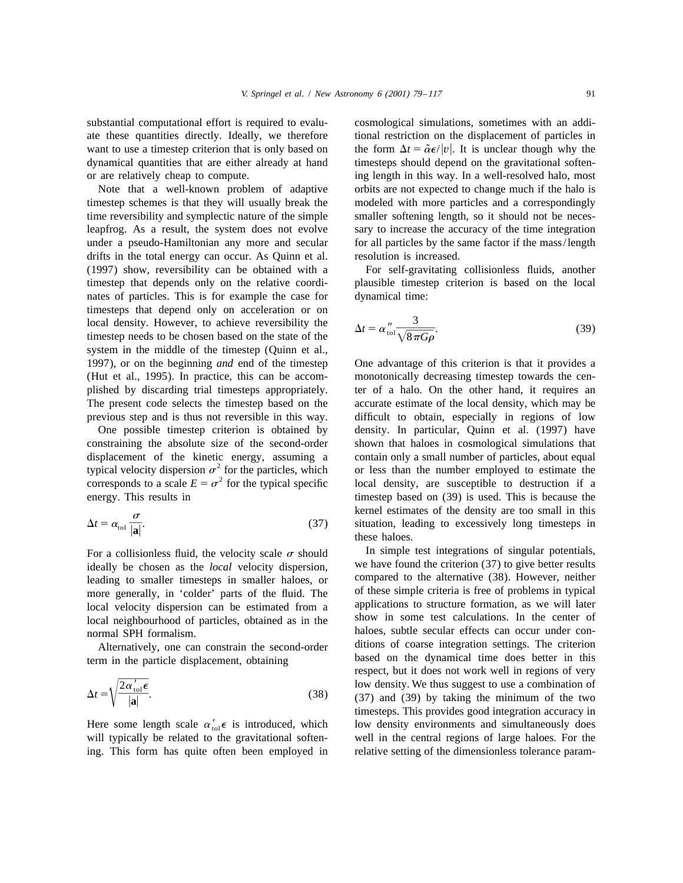timestep schemes is that they will usually break the modeled with more particles and a correspondingly time reversibility and symplectic nature of the simple smaller softening length, so it should not be necesleapfrog. As a result, the system does not evolve sary to increase the accuracy of the time integration under a pseudo-Hamiltonian any more and secular for all particles by the same factor if the mass/length drifts in the total energy can occur. As Quinn et al. resolution is increased. (1997) show, reversibility can be obtained with a For self-gravitating collisionless fluids, another timestep that depends only on the relative coordi- plausible timestep criterion is based on the local nates of particles. This is for example the case for dynamical time: timesteps that depend only on acceleration or on local density. However, to achieve reversibility the timestep needs to be chosen based on the state of the system in the middle of the timestep (Quinn et al., 1997), or on the beginning *and* end of the timestep One advantage of this criterion is that it provides a (Hut et al., 1995). In practice, this can be accom- monotonically decreasing timestep towards the cenplished by discarding trial timesteps appropriately. ter of a halo. On the other hand, it requires an The present code selects the timestep based on the accurate estimate of the local density, which may be previous step and is thus not reversible in this way. difficult to obtain, especially in regions of low

$$
\Delta t = \alpha_{\text{tol}} \frac{\sigma}{|\mathbf{a}|}. \tag{37}
$$

ideally be chosen as the *local* velocity dispersion, we have found the criterion (37) to give better results leading to smaller timestens in smaller haloes or compared to the alternative (38). However, neither leading to smaller timesteps in smaller haloes, or compared to the alternative (38). However, neither leading to smaller haloes, or compared to the alternative (38). However, neither more generally in 'colder' parts of the more generally, in 'colder' parts of the fluid. The of these simple criteria is free of problems in typical<br>local velocity dispersion can be estimated from a poplications to structure formation, as we will later local velocity dispersion can be estimated from a applications to structure formation, as we will later local neighbourhood of particles obtained as in the show in some test calculations. In the center of local neighbourhood of particles, obtained as in the haloes, subtle secular effects can occur under con-

$$
\Delta t = \sqrt{\frac{2\alpha'_{\text{tol}}\epsilon}{|\mathbf{a}|}}.\tag{38}
$$

ing. This form has quite often been employed in relative setting of the dimensionless tolerance param-

substantial computational effort is required to evalu- cosmological simulations, sometimes with an addiate these quantities directly. Ideally, we therefore tional restriction on the displacement of particles in want to use a timestep criterion that is only based on the form  $\Delta t = \tilde{\alpha} \epsilon / |v|$ . It is unclear though why the dynamical quantities that are either already at hand timesteps should depend on the gravitational softenor are relatively cheap to compute. ing length in this way. In a well-resolved halo, most Note that a well-known problem of adaptive orbits are not expected to change much if the halo is

$$
\Delta t = \alpha''_{\text{tol}} \frac{3}{\sqrt{8\pi G\rho}}.\tag{39}
$$

One possible timestep criterion is obtained by density. In particular, Quinn et al. (1997) have constraining the absolute size of the second-order shown that haloes in cosmological simulations that displacement of the kinetic energy, assuming a contain only a small number of particles, about equal typical velocity dispersion  $\sigma^2$  for the particles, which or less than the number employed to estimate the corresponds to a scale  $E = \sigma^2$  for the typical specific local density, are susceptible to destruction if a energy. This results in timestep based on (39) is used. This is because the kernel estimates of the density are too small in this situation, leading to excessively long timesteps in these haloes.

For a collisionless fluid, the velocity scale  $\sigma$  should In simple test integrations of singular potentials, Alternatively, one can constrain the second-order ditions of coarse integration settings. The criterion term in the particle displacement, obtaining<br>respect, but it does not work well in regions of very<br>term in this respect, but it does not work well in regions of very respect, but it does not work well in regions of very low density. We thus suggest to use a combination of very low density. We thus suggest to use a combination of  $\Delta t = \sqrt{\frac{2\alpha'_{\text{tol}}\epsilon}{|\mathbf{a}|}}.$  (38) (37) and (39) by taking the minimum of the two timesteps. This provides good integration accuracy in Here some length scale  $\alpha'_{\text{tol}}\epsilon$  is introduced, which low density environments and simultaneously does will typically be related to the gravitational soften-<br>well in the central regions of large haloes. For the well in the central regions of large haloes. For the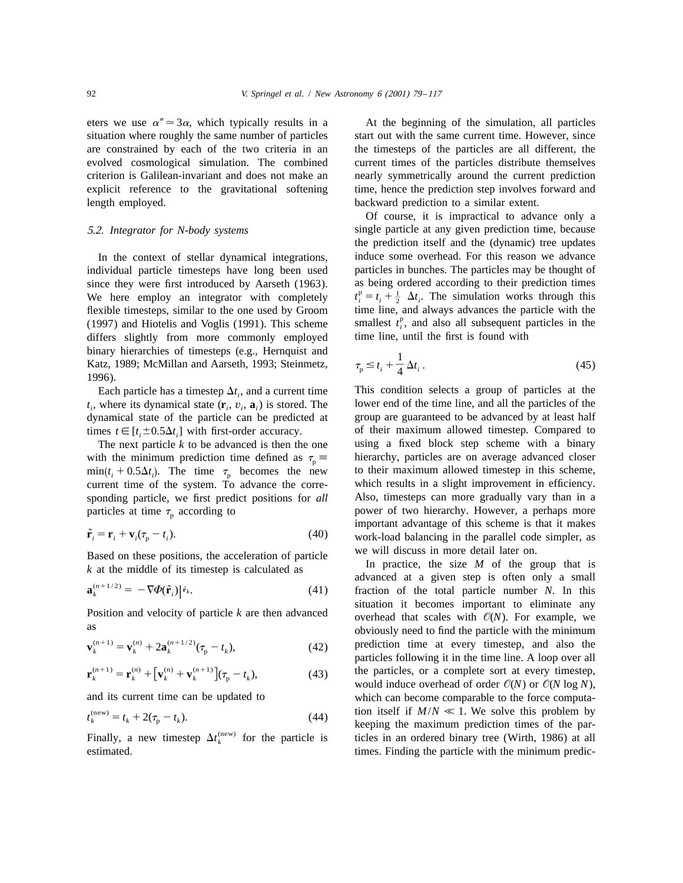eters we use  $\alpha'' \approx 3\alpha$ , which typically results in a At the beginning of the simulation, all particles situation where roughly the same number of particles start out with the same current time. However, since are constrained by each of the two criteria in an the timesteps of the particles are all different, the evolved cosmological simulation. The combined current times of the particles distribute themselves criterion is Galilean-invariant and does not make an nearly symmetrically around the current prediction explicit reference to the gravitational softening time, hence the prediction step involves forward and length employed. backward prediction to a similar extent.

individual particle timesteps have long been used particles in bunches. The particles may be thought of since they were first introduced by Aarseth (1963). as being ordered according to their prediction times We here employ an integrator with completely  $t_i^p = t_i + \frac{1}{2} \Delta t_i$ . The simulation works through this flexible timesteps, similar to the one used by Groom time line, and always advances the particle with the flexible timesteps, similar to the one used by Groom time line, and always advances the particle with the (1997) and Hiotelis and Voglis (1991). This scheme smallest  $t_i^p$ , and also all subsequent particles in the differ differs slightly from more commonly employed binary hierarchies of timesteps (e.g., Hernquist and Katz, 1989; McMillan and Aarseth, 1993; Steinmetz, 1996).

*t<sub>i</sub>*, where its dynamical state  $(\mathbf{r}_i, v_i, \mathbf{a}_i)$  is stored. The lower end of the time line, and all the particles of the *inference* dynamical state of the *particle* can be predicted at group are guaranteed to be dynamical state of the particle can be predicted at

The next particle  $k$  to be advanced is then the one with the minimum prediction time defined as  $\tau_p \equiv$  hierarchy, particles are on average advanced closer min( $t_t + 0.5\Delta t$ ). The time  $\tau$  becomes the new to their maximum allowed timestep in this scheme,  $min(t_i + 0.5\Delta t_i)$ . The time  $\tau_p$  becomes the new to their maximum allowed timestep in this scheme, current time of the system. To advance the corre-<br>which results in a slight improvement in efficiency. current time of the system. To advance the corresponding particle, we first predict positions for *all* Also, timesteps can more gradually vary than in a particles at time  $\tau_{\text{p}}$  according to power of two hierarchy. However, a perhaps more

$$
\tilde{\mathbf{r}}_i = \mathbf{r}_i + \mathbf{v}_i (\tau_{\rm n} - t_i). \tag{40}
$$

$$
\mathbf{a}_{k}^{(n+1/2)} = -\nabla \Phi(\tilde{\mathbf{r}}_{i}) \big| \tilde{\mathbf{r}}_{k}.
$$
 (41)

$$
\mathbf{v}_{k}^{(n+1)} = \mathbf{v}_{k}^{(n)} + 2\mathbf{a}_{k}^{(n+1/2)}(\tau_{p} - t_{k}),
$$
 (42)

$$
\mathbf{r}_{k}^{(n+1)} = \mathbf{r}_{k}^{(n)} + \left[\mathbf{v}_{k}^{(n)} + \mathbf{v}_{k}^{(n+1)}\right] (\tau_{p} - t_{k}), \tag{43}
$$

$$
t_k^{(\text{new})} = t_k + 2(\tau_p - t_k). \tag{44}
$$

Of course, it is impractical to advance only a 5.2. *Integrator for N*-*body systems* single particle at any given prediction time, because the prediction itself and the (dynamic) tree updates In the context of stellar dynamical integrations, induce some overhead. For this reason we advance

$$
\tau_{\rm p} \le t_i + \frac{1}{4} \,\Delta t_i \,. \tag{45}
$$

Each particle has a timestep  $\Delta t_i$ , and a current time This condition selects a group of particles at the *i*<sup>n</sup> where its dynamical state  $(\mathbf{r}_i, v_i, \mathbf{a}_i)$  is stored. The *i*<sup>n</sup> lower end of the time line, and all t times  $t \in [t_i \pm 0.5\Delta t_i]$  with first-order accuracy. of their maximum allowed timestep. Compared to *i* if the next particle k to be advanced is then the one using a fixed block step scheme with a binary important advantage of this scheme is that it makes **r***˜* 5 **r** 1 **v** (<sup>t</sup> 2 *t* ). (40) *iii* <sup>p</sup> *<sup>i</sup>* work-load balancing in the parallel code simpler, as

Based on these positions, the acceleration of particle we will discuss in more detail later on.<br>  $k$  at the middle of its timestep is calculated as  $k$  at a given step is often only a small  $frac{1}{\pi}$  fraction of the total particle number *N*. In this Position and velocity of particle *k* are then advanced situation it becomes important to eliminate any overhead that scales with  $O(N)$ . For example, we as obviously need to find the particle with the minimum (*n*) prediction time at every timestep, and also the particles following it in the time line. A loop over all  $n$ <sub>**h**</sub> the particles, or a complete sort at every timestep, would induce overhead of order  $\mathcal{O}(N)$  or  $\mathcal{O}(N \log N)$ , and its current time can be updated to which can become comparable to the force computa tion itself if  $M/N \ll 1$ . We solve this problem by keeping the maximum prediction times of the par-Finally, a new timestep  $\Delta t_k^{(\text{new})}$  for the particle is ticles in an ordered binary tree (Wirth, 1986) at all estimated. times. Finding the particle with the minimum predic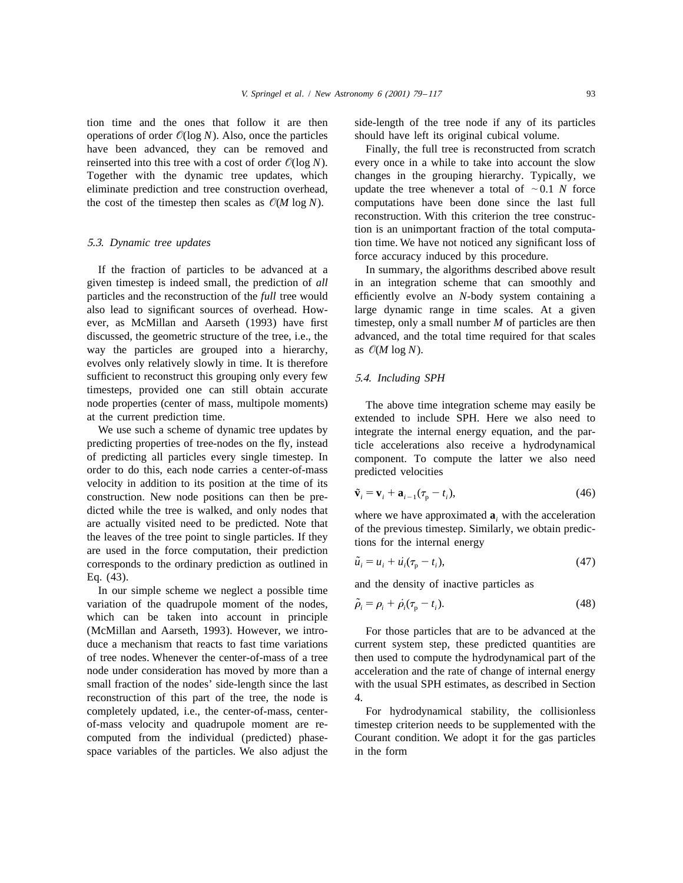operations of order  $O(\log N)$ . Also, once the particles should have left its original cubical volume. have been advanced, they can be removed and Finally, the full tree is reconstructed from scratch reinserted into this tree with a cost of order  $\mathcal{O}(\log N)$ . every once in a while to take into account the slow Together with the dynamic tree updates, which changes in the grouping hierarchy. Typically, we eliminate prediction and tree construction overhead, update the tree whenever a total of  $\sim 0.1$  *N* force the cost of the timestep then scales as  $\mathcal{O}(M \log N)$ . computations have been done since the last full

given timestep is indeed small, the prediction of *all* in an integration scheme that can smoothly and particles and the reconstruction of the *full* tree would efficiently evolve an *N*-body system containing a also lead to significant sources of overhead. How- large dynamic range in time scales. At a given ever, as McMillan and Aarseth (1993) have first timestep, only a small number *M* of particles are then discussed, the geometric structure of the tree, i.e., the advanced, and the total time required for that scales way the particles are grouped into a hierarchy, as  $O(M \log N)$ . evolves only relatively slowly in time. It is therefore sufficient to reconstruct this grouping only every few 5.4. *Including SPH* timesteps, provided one can still obtain accurate node properties (center of mass, multipole moments) The above time integration scheme may easily be at the current prediction time.<br>
extended to include SPH. Here we also need to

We use such a scheme of dynamic tree updates by integrate the internal energy equation, and the par-<br>predicting properties of tree-nodes on the fly, instead ticle accelerations also receive a hydrodynamical predicting properties of tree-nodes on the fly, instead ticle accelerations also receive a hydrodynamical of predicting all particles every single timestep. In component. To compute the latter we also need order to do this, each node carries a center-of-mass predicted velocities velocity in addition to its position at the time of its construction. New node positions can then be pre-<br>dicted while the tree is walked, and only nodes that the dividend while the time is waiked, and only holds that<br>the leaves of the tree point to single particles. If they<br>are used in the force computation, their prediction<br>are used in the force computation, their prediction corresponds to the ordinary prediction as outlined in Eq. (43). <br>In our simple scheme we neglect a possible time and the density of inactive particles as

variation of the quadrupole moment of the nodes, which can be taken into account in principle (McMillan and Aarseth, 1993). However, we intro- For those particles that are to be advanced at the reconstruction of this part of the tree, the node is 4. completely updated, i.e., the center-of-mass, center- For hydrodynamical stability, the collisionless space variables of the particles. We also adjust the in the form

tion time and the ones that follow it are then side-length of the tree node if any of its particles

reconstruction. With this criterion the tree construction is an unimportant fraction of the total computa-5.3. *Dynamic tree updates* tion time. We have not noticed any significant loss of force accuracy induced by this procedure.

If the fraction of particles to be advanced at a In summary, the algorithms described above result

the current prediction time.<br>We use such a scheme of dynamic tree updates by integrate the internal energy equation, and the parcomponent. To compute the latter we also need

$$
\tilde{\mathbf{v}}_i = \mathbf{v}_i + \mathbf{a}_{i-1}(\tau_p - t_i),\tag{46}
$$

$$
\tilde{u}_i = u_i + \dot{u}_i(\tau_n - t_i),\tag{47}
$$

$$
\tilde{\rho}_i = \rho_i + \dot{\rho}_i (\tau_{\rm p} - t_i). \tag{48}
$$

duce a mechanism that reacts to fast time variations current system step, these predicted quantities are of tree nodes. Whenever the center-of-mass of a tree then used to compute the hydrodynamical part of the node under consideration has moved by more than a acceleration and the rate of change of internal energy small fraction of the nodes' side-length since the last with the usual SPH estimates, as described in Section

of-mass velocity and quadrupole moment are re- timestep criterion needs to be supplemented with the computed from the individual (predicted) phase- Courant condition. We adopt it for the gas particles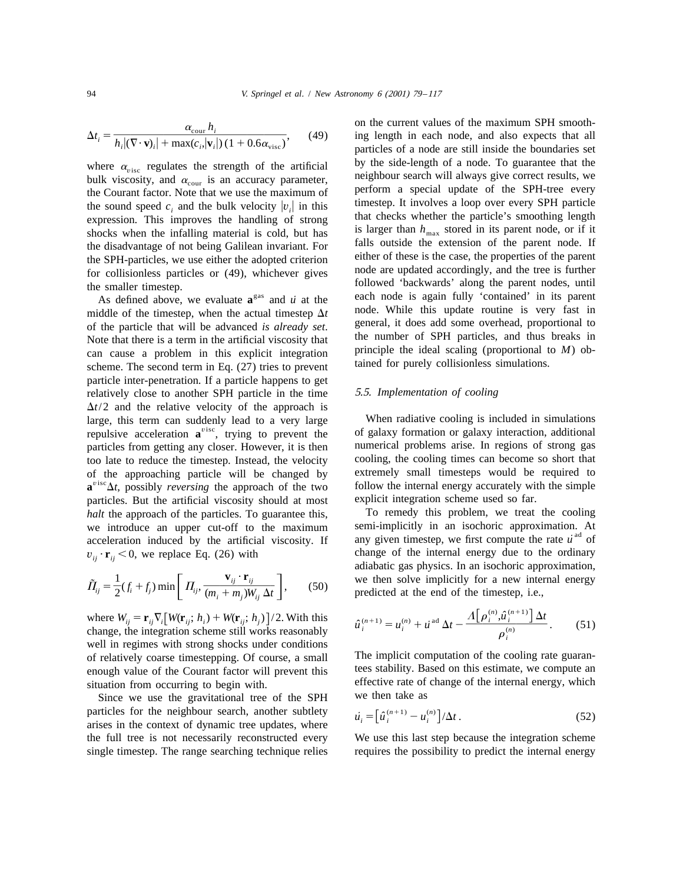$$
\Delta t_i = \frac{\alpha_{\text{cour}} h_i}{h_i | (\nabla \cdot \mathbf{v})_i | + \max(c_i, |\mathbf{v}_i|) (1 + 0.6 \alpha_{\text{visc}})},\qquad(49)
$$

Note that there is a term in the artificial viscosity that can cause a problem in this explicit integration principle the ideal scaling (proportional to  $M$ ) ob-<br>scheme. The second term in Eq. (27) tries to prevent tained for purely collisionless simulations. particle inter-penetration. If a particle happens to get relatively close to another SPH particle in the time 5.5. *Implementation of cooling*  $\Delta t/2$  and the relative velocity of the approach is large, this term can suddenly lead to a very large When radiative cooling is included in simulations repulsive acceleration  $\mathbf{a}^{\text{visc}}$ , trying to prevent the of galaxy formation or galaxy interaction, additional parti particles from getting any closer. However, it is then too late to reduce the timestep. Instead, the velocity cooling, the cooling times can become so short that the approaching particle will be changed by extremely small timesteps would be required to of the approaching particle will be changed by extremely small timesteps would be required to  $\mathbf{a}^{\text{visc}}\Delta t$ , possibly *reversing* the approach of the two follow the internal energy accurately with the simple particle particles. But the artificial viscosity should at most explicit integration scheme used so far.<br>
particles had the particles are particles. To guarantee this. To remedy this problem, we treat the cooling *halt* the approach of the particles. To guarantee this, To remedy this problem, we treat the cooling we introduce an upper cut-off to the maximum semi-implicitly in an isochoric approximation. At we introduce an upper cut-off to the maximum semi-implicitly in an isochoric approximation. At acceleration induced by the artificial viscosity. If any given timestep, we first compute the rate  $i^{ad}$  of  $v_{ii} \cdot \mathbf{r}_{ii} \leq 0$ , we replace Eq. (26) with change of the internal energy due to the ordinary

$$
\tilde{\Pi}_{ij} = \frac{1}{2} (f_i + f_j) \min \left[ \prod_{ij}, \frac{\mathbf{v}_{ij} \cdot \mathbf{r}_{ij}}{(m_i + m_j) W_{ij} \Delta t} \right], \qquad (50)
$$

where  $W_{ij} = \mathbf{r}_{ij} \nabla_i [W(\mathbf{r}_{ij}; h_i) + W(\mathbf{r}_{ij}; h_j)]/2$ . With this change, the integration scheme still works reasonably well in regimes with strong shocks under conditions of relatively coarse timestepping. Of course, a small The implicit computation of the cooling rate guaran-<br>enough value of the Courant factor will prevent this tees stability. Based on this estimate, we compute an enough value of the Courant factor will prevent this

Since we use the gravitational tree of the SPH particles for the neighbour search, another subtlety arises in the context of dynamic tree updates, where the full tree is not necessarily reconstructed every We use this last step because the integration scheme single timestep. The range searching technique relies requires the possibility to predict the internal energy

 $\Delta t_i = \frac{\alpha_{\text{court}} h_i}{h_i | (\nabla \cdot \mathbf{v})_i | + \max(c_i, |\mathbf{v}_i|) (1 + 0.6\alpha_{\text{visc}})}$ , (49) on the current values of the maximum SPH smooth-<br>ing length in each node, and also expects that all particles of a node are still inside the bou where  $\alpha_{visc}$  regulates the strength of the artificial by the side-length of a node. To guarantee that the bulk viscosity, and  $\alpha_{\text{cour}}$  is an accuracy parameter, the Courant factor. Note that we use the maximum of the the sound speed  $c_i$  and the bulk velocity  $|v_i|$  in this timestep. It involves a loop over every SPH particle<br>expression. This improves the handling of strong that checks whether the particle's smoothing length<br>shocks wh the disadvantage of not being Galilean invariant. For<br>the SPH-particles, we use either the adopted criterion<br>for collisionless particles or (49), whichever gives<br>the smaller timestep.<br>As defined above, we evaluate  $\mathbf{a}$ middle of the timestep, when the actual timestep  $\Delta t$  node. While this update routine is very fast in of the particle that will be advanced is *already set* general, it does add some overhead, proportional to of the particle that will be advanced *is already set*. general, it does add some overhead, proportional to of the particle that there is a term in the artificial viscosity that the number of SPH particles, and thus breaks

adiabatic gas physics. In an isochoric approximation, we then solve implicitly for a new internal energy<br>predicted at the end of the timestep, i.e.,

$$
\hat{u}_i^{(n+1)} = u_i^{(n)} + \dot{u}^{\text{ad}} \Delta t - \frac{A[\rho_i^{(n)}, \hat{u}_i^{(n+1)}] \Delta t}{\rho_i^{(n)}}.
$$
 (51)

situation from occurring to begin with. effective rate of change of the internal energy, which<br>Since we use the gravitational tree of the SPH we then take as

$$
\dot{u}_i = \left[\hat{u}_i^{(n+1)} - u_i^{(n)}\right] / \Delta t \,. \tag{52}
$$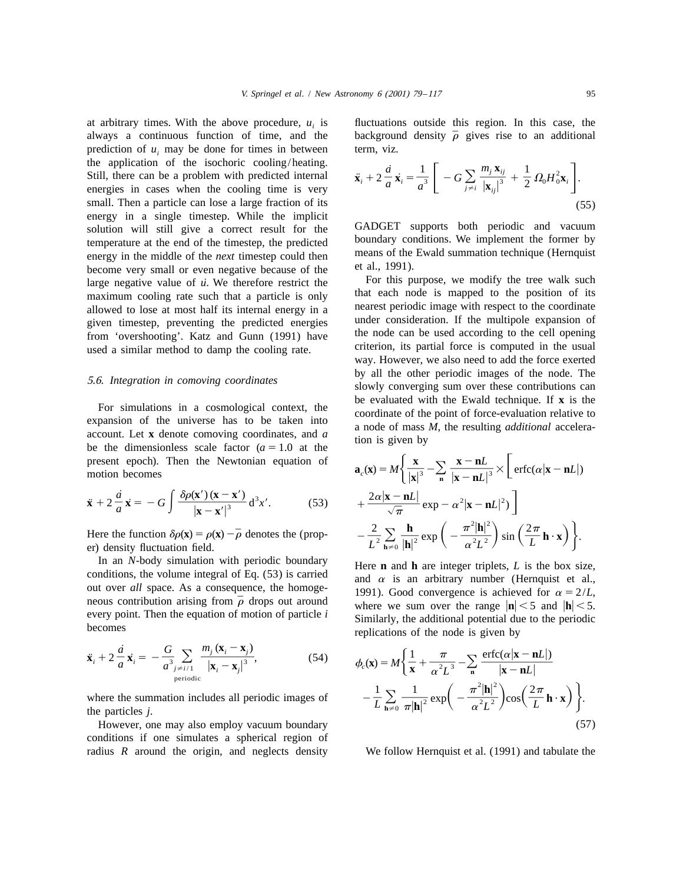prediction of  $u_i$  may be done for times in between term, viz. the application of the isochoric cooling/heating.<br>Still, there can be a problem with predicted internal<br>energies in cases when the cooling time is very small. Then a particle can lose a large fraction of its energy in a single timestep. While the implicit solution will still give a correct result for the GADGET supports both periodic and vacuum<br>temperature at the end of the timesten the predicted boundary conditions. We implement the former by temperature at the end of the timestep, the predicted<br>
energy in the middle of the *next* timestep could then<br>
become very small or even negative because of the<br>
large negative value of *ii*. We therefore restrict the<br>
ma maximum cooling rate such that a particle is only that each node is mapped to the position of its<br>allowed to lose at most half its internal energy in a nearest periodic image with respect to the coordinate

present epoch). Then the Newtonian equation of  $\mathbf{x} = \mathbf{x} - \mathbf{n}L$ be the dimensionless scale factor ( $a = 1.0$  at the present epoch). Then the Newtonian equation of  $\mathbf{a}_c(\mathbf{x}) = M \left\{ \frac{\mathbf{x}}{|\mathbf{x}|^3} - \sum_{\mathbf{n}} \frac{\mathbf{x} - \mathbf{n}L}{|\mathbf{x} - \mathbf{n}L|^3} \times \left[ \text{erfc}(\alpha |\mathbf{x} - \mathbf{n}L|) \right] \right\}$ 

$$
\ddot{\mathbf{x}} + 2\frac{\dot{a}}{a}\dot{\mathbf{x}} = -G \int \frac{\delta \rho(\mathbf{x}')(\mathbf{x} - \mathbf{x}')}{|\mathbf{x} - \mathbf{x}'|^3} d^3 x'. \qquad (53) \qquad + \frac{2\alpha |\mathbf{x} - \mathbf{n}L|}{\sqrt{\pi}} \exp(-\alpha^2 |\mathbf{x} - \mathbf{n}L|^2) \bigg]
$$

Here the function  $\delta \rho(\mathbf{x}) = \rho(\mathbf{x}) - \overline{\rho}$  denotes the (prop-<br>er) density fluctuation field.<br>In an *N*-body simulation with periodic boundary

In an *N*-body simulation with periodic boundary<br>
out over all space. As a consequence, the homoge-<br>
neous contribution arising from  $\overline{\rho}$  drops out around<br>
every point. Then the equation of motion of particle *i*<br>
eve

$$
\ddot{\mathbf{x}}_i + 2\frac{\dot{a}}{a}\dot{\mathbf{x}}_i = -\frac{G}{a^3}\sum_{j \neq i/1} \frac{m_j(\mathbf{x}_i - \mathbf{x}_j)}{|\mathbf{x}_i - \mathbf{x}_j|^3},
$$
\n(54) 
$$
\phi_c(\mathbf{x}) = M \left\{ \frac{1}{\mathbf{x}} + \frac{\pi}{\alpha^2 L^3} - \sum_{\mathbf{n}} \frac{\text{erfc}(\alpha|\mathbf{x} - \mathbf{n}L|)}{|\mathbf{x} - \mathbf{n}L|} \right\}
$$

where the summation includes all periodic images of the particles *j*.

However, one may also employ vacuum boundary conditions if one simulates a spherical region of radius *R* around the origin, and neglects density We follow Hernquist et al. (1991) and tabulate the

at arbitrary times. With the above procedure,  $u_i$  is fluctuations outside this region. In this case, the always a continuous function of time, and the background density  $\overline{\rho}$  gives rise to an additional

$$
\ddot{\mathbf{x}}_i + 2\frac{\dot{a}}{a}\dot{\mathbf{x}}_i = \frac{1}{a^3} \left[ -G \sum_{j \neq i} \frac{m_j \mathbf{x}_{ij}}{|\mathbf{x}_{ij}|^3} + \frac{1}{2} \Omega_0 H_0^2 \mathbf{x}_i \right].
$$
\n(55)

allowed to lose at most half its internal energy in a<br>given timestep, preventing the predicted energies<br>from 'overshooting'. Katz and Gunn (1991) have the node can be used according to the cell opening<br>used a similar metho by all the other periodic images of the node. The 5.6. *Integration in comoving coordinates* slowly converging sum over these contributions can For simulations in a cosmological context, the<br>expansion of the universe has to be taken into<br>account. Let **x** denote comoving coordinates, and *a*<br>be the dimensionless scale factor ( $a = 1.0$  at the<br>dimensionless scale fa

$$
\mathbf{a}_{c}(\mathbf{x}) = M \left\{ \frac{\mathbf{x}}{|\mathbf{x}|^{3}} - \sum_{\mathbf{n}} \frac{\mathbf{x} - \mathbf{n}L}{|\mathbf{x} - \mathbf{n}L|^{3}} \times \left[ \text{erfc}(\alpha |\mathbf{x} - \mathbf{n}L|) + \frac{2\alpha |\mathbf{x} - \mathbf{n}L|}{\sqrt{\pi}} \exp(-\alpha^{2} |\mathbf{x} - \mathbf{n}L|^{2}) \right] - \frac{2}{L^{2}} \sum_{\mathbf{h} \neq 0} \frac{\mathbf{h}}{|\mathbf{h}|^{2}} \exp\left(-\frac{\pi^{2}|\mathbf{h}|^{2}}{\alpha^{2}L^{2}}\right) \sin\left(\frac{2\pi}{L} \mathbf{h} \cdot \mathbf{x}\right) \right\}.
$$

every point. Then the equation of motion of particle *i* Similarly, the additional potential due to the periodic becomes replications of the node is given by

$$
\phi_c(\mathbf{x}) = M \left\{ \frac{1}{\mathbf{x}} + \frac{\pi}{\alpha^2 L^3} - \sum_{\mathbf{n}} \frac{\text{erfc}(\alpha|\mathbf{x} - \mathbf{n}L|)}{|\mathbf{x} - \mathbf{n}L|} - \frac{1}{L} \sum_{\mathbf{h} \neq 0} \frac{1}{\pi |\mathbf{h}|^2} \exp\left(-\frac{\pi^2 |\mathbf{h}|^2}{\alpha^2 L^2}\right) \cos\left(\frac{2\pi}{L} \mathbf{h} \cdot \mathbf{x}\right) \right\}.
$$
\n(57)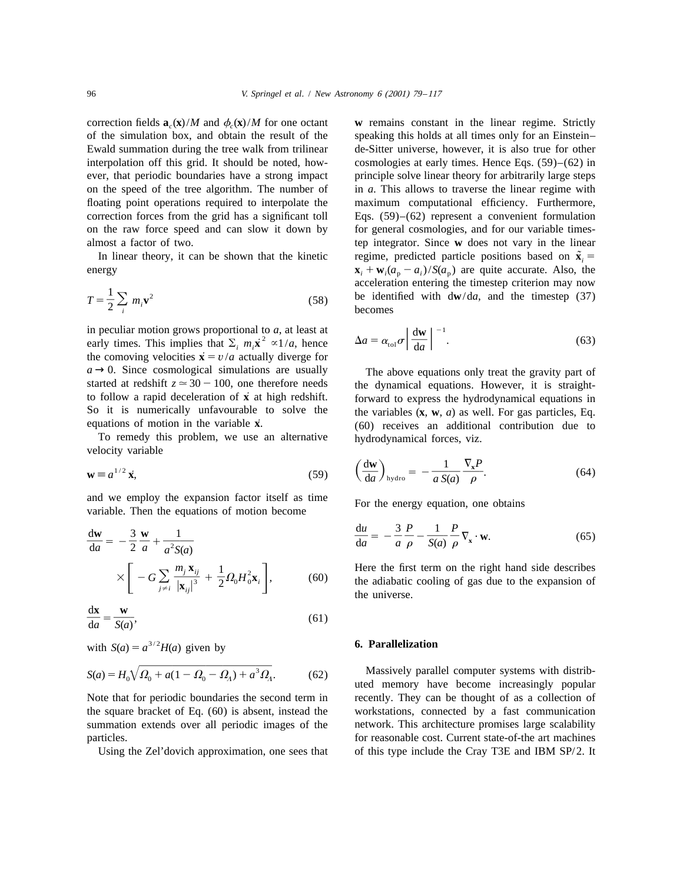$$
T = \frac{1}{2} \sum_{i} m_i \mathbf{v}^2
$$
 (58)

in peculiar motion grows proportional to *a*, at least at early times. This implies that  $\Sigma_i$ ,  $m_i \vec{x}^2 \propto 1/a$ , hence the comoving velocities  $\dot{\mathbf{x}} = v/a$  actually diverge for  $a \rightarrow 0$ . Since cosmological simulations are usually The above equations only treat the gravity part of started at redshift  $z \approx 30 - 100$ , one therefore needs the dynamical equations. However it is straight-

To remedy this problem, we use an alternative hydrodynamical forces, viz. velocity variable

$$
\mathbf{w} \equiv a^{1/2} \dot{\mathbf{x}},\tag{59}
$$

and we employ the expansion factor itself as time<br>variable. Then the equations of motion become<br> $\frac{1}{2}$  For the energy equation, one obtains

$$
\frac{d\mathbf{w}}{da} = -\frac{3}{2}\frac{\mathbf{w}}{a} + \frac{1}{a^2 S(a)}
$$
\n
$$
\times \left[ -G \sum_{j \neq i} \frac{m_j \mathbf{x}_{ij}}{|\mathbf{x}_{ij}|^3} + \frac{1}{2} \Omega_0 H_0^2 \mathbf{x}_i \right],
$$
\n(60) Here the first term on the right hand side describes the adiabatic cooling of gas due to the expansion of the universe.

$$
\frac{\mathrm{d}\mathbf{x}}{\mathrm{d}a} = \frac{\mathbf{w}}{S(a)},\tag{61}
$$

with 
$$
S(a) = a^{3/2}H(a)
$$
 given by  
\n
$$
S(a) = H_0 \sqrt{Q_0 + a(1 - Q_0 - Q_A) + a^3 Q_A}.
$$
\n(62) Masively paral  
\nunder the number of matrices  $\mathbf{Q}$  and  $\mathbf{Q}$  are  $\mathbf{Q}$ .

correction fields  $\mathbf{a}_c(\mathbf{x})/M$  and  $\phi_c(\mathbf{x})/M$  for one octant **w** remains constant in the linear regime. Strictly of the simulation box, and obtain the result of the speaking this holds at all times only for an Einstein– Ewald summation during the tree walk from trilinear de-Sitter universe, however, it is also true for other interpolation off this grid. It should be noted, how- cosmologies at early times. Hence Eqs. (59)–(62) in ever, that periodic boundaries have a strong impact principle solve linear theory for arbitrarily large steps on the speed of the tree algorithm. The number of in *a*. This allows to traverse the linear regime with floating point operations required to interpolate the maximum computational efficiency. Furthermore, correction forces from the grid has a significant toll Eqs.  $(59)$ – $(62)$  represent a convenient formulation on the raw force speed and can slow it down by for general cosmologies, and for our variable timesalmost a factor of two. tep integrator. Since **w** does not vary in the linear In linear theory, it can be shown that the kinetic regime, predicted particle positions based on  $\tilde{\mathbf{x}}_i =$ energy  $\mathbf{x}_i + \mathbf{w}_i (a_p - a_i) / S(a_p)$  are quite accurate. Also, the acceleration entering the timestep criterion may now be identified with dw/d*a*, and the timestep (37) becomes

$$
\Delta a = \alpha_{\text{tol}} \sigma \left| \frac{\text{d}\mathbf{w}}{\text{d}a} \right|^{-1}.
$$
 (63)

the dynamical equations. However, it is straightto follow a rapid deceleration of **x**<sup> $>$ </sup> at high redshift. forward to express the hydrodynamical equations in So it is numerically unfavourable to solve the variables  $(\mathbf{x} \times a)$  as well. For gas particles Eq. So it is numerically unfavourable to solve the the variables  $(\mathbf{x}, \mathbf{w}, a)$  as well. For gas particles, Eq. equations of motion in the variable  $\dot{\mathbf{x}}$ . (60) receives an additional contribution due to (60) receives an additional contribution due to

velocity variable  
\n
$$
\mathbf{w} \equiv a^{1/2} \mathbf{x}, \qquad (59) \qquad \left(\frac{\mathrm{d}\mathbf{w}}{\mathrm{d}a}\right)_{\mathrm{hydro}} = -\frac{1}{a} \frac{\nabla_{\mathbf{x}} P}{\rho}. \qquad (64)
$$

$$
\frac{du}{da} = -\frac{3}{a} \frac{P}{\rho} - \frac{1}{S(a)} \frac{P}{\rho} \nabla_x \cdot \mathbf{w}.
$$
 (65)

**6. Parallelization**<br>Massively parallel computer systems with distributed memory have become increasingly popular Note that for periodic boundaries the second term in recently. They can be thought of as a collection of the square bracket of Eq. (60) is absent, instead the workstations, connected by a fast communication summation extends over all periodic images of the network. This architecture promises large scalability particles. for reasonable cost. Current state-of-the art machines Using the Zel'dovich approximation, one sees that of this type include the Cray T3E and IBM SP/2. It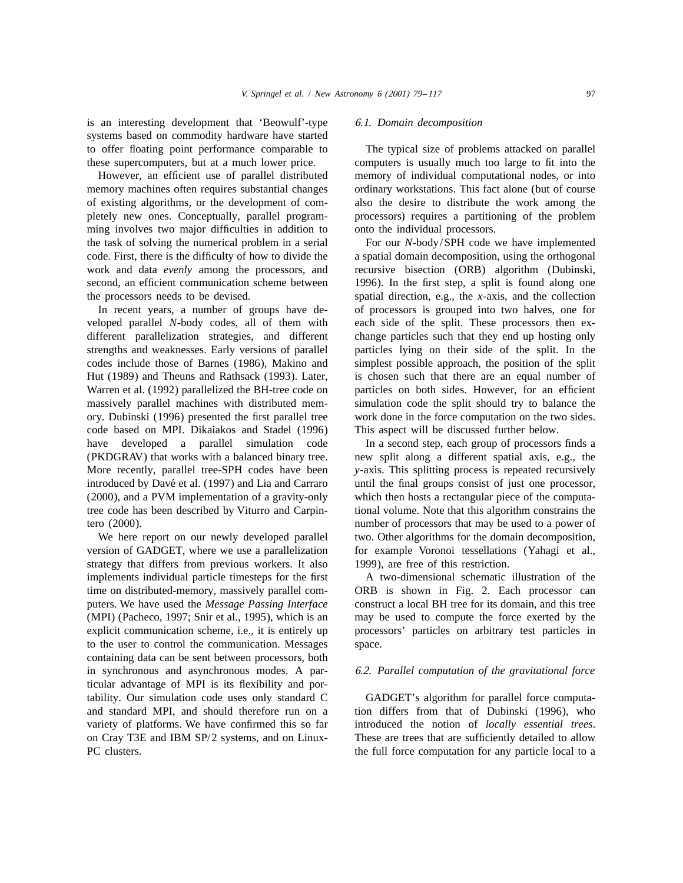is an interesting development that 'Beowulf'-type 6.1. *Domain decomposition* systems based on commodity hardware have started to offer floating point performance comparable to The typical size of problems attacked on parallel these supercomputers, but at a much lower price. computers is usually much too large to fit into the

memory machines often requires substantial changes ordinary workstations. This fact alone (but of course of existing algorithms, or the development of com- also the desire to distribute the work among the pletely new ones. Conceptually, parallel program- processors) requires a partitioning of the problem ming involves two major difficulties in addition to onto the individual processors. the task of solving the numerical problem in a serial For our *N*-body/SPH code we have implemented code. First, there is the difficulty of how to divide the a spatial domain decomposition, using the orthogonal work and data *evenly* among the processors, and recursive bisection (ORB) algorithm (Dubinski, second, an efficient communication scheme between 1996). In the first step, a split is found along one the processors needs to be devised. spatial direction, e.g., the *x*-axis, and the collection

veloped parallel *N*-body codes, all of them with each side of the split. These processors then exdifferent parallelization strategies, and different change particles such that they end up hosting only strengths and weaknesses. Early versions of parallel particles lying on their side of the split. In the codes include those of Barnes (1986), Makino and simplest possible approach, the position of the split Hut (1989) and Theuns and Rathsack (1993). Later, is chosen such that there are an equal number of Warren et al. (1992) parallelized the BH-tree code on particles on both sides. However, for an efficient massively parallel machines with distributed mem- simulation code the split should try to balance the ory. Dubinski (1996) presented the first parallel tree work done in the force computation on the two sides. code based on MPI. Dikaiakos and Stadel (1996) This aspect will be discussed further below. have developed a parallel simulation code In a second step, each group of processors finds a (PKDGRAV) that works with a balanced binary tree. new split along a different spatial axis, e.g., the More recently, parallel tree-SPH codes have been *y*-axis. This splitting process is repeated recursively introduced by Dave et al. (1997) and Lia and Carraro until the final groups consist of just one processor, ´ (2000), and a PVM implementation of a gravity-only which then hosts a rectangular piece of the computatree code has been described by Viturro and Carpin- tional volume. Note that this algorithm constrains the tero (2000). The number of processors that may be used to a power of processors that may be used to a power of

strategy that differs from previous workers. It also 1999), are free of this restriction. implements individual particle timesteps for the first A two-dimensional schematic illustration of the to the user to control the communication. Messages space. containing data can be sent between processors, both in synchronous and asynchronous modes. A par- 6.2. *Parallel computation of the gravitational force* ticular advantage of MPI is its flexibility and portability. Our simulation code uses only standard C GADGET's algorithm for parallel force computaand standard MPI, and should therefore run on a tion differs from that of Dubinski (1996), who variety of platforms. We have confirmed this so far introduced the notion of *locally essential trees*. on Cray T3E and IBM SP/2 systems, and on Linux- These are trees that are sufficiently detailed to allow PC clusters. the full force computation for any particle local to a

However, an efficient use of parallel distributed memory of individual computational nodes, or into

In recent years, a number of groups have de- of processors is grouped into two halves, one for

We here report on our newly developed parallel two. Other algorithms for the domain decomposition, version of GADGET, where we use a parallelization for example Voronoi tessellations (Yahagi et al.,

time on distributed-memory, massively parallel com- ORB is shown in Fig. 2. Each processor can puters. We have used the *Message Passing Interface* construct a local BH tree for its domain, and this tree (MPI) (Pacheco, 1997; Snir et al., 1995), which is an may be used to compute the force exerted by the explicit communication scheme, i.e., it is entirely up processors' particles on arbitrary test particles in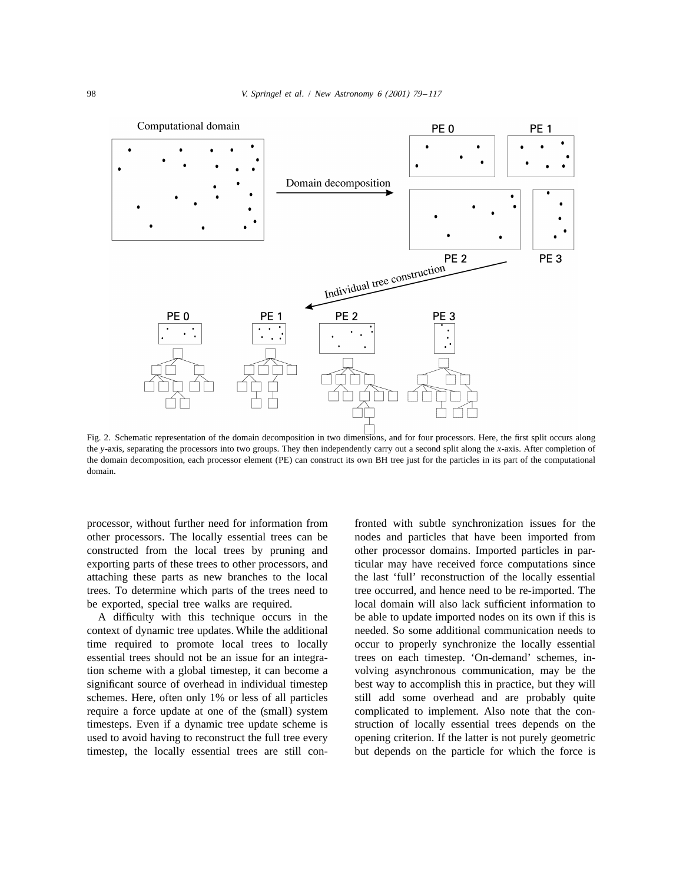

Fig. 2. Schematic representation of the domain decomposition in two dimensions, and for four processors. Here, the first split occurs along the *y*-axis, separating the processors into two groups. They then independently carry out a second split along the *x*-axis. After completion of the domain decomposition, each processor element (PE) can construct its own BH tree just for the particles in its part of the computational domain.

other processors. The locally essential trees can be nodes and particles that have been imported from constructed from the local trees by pruning and other processor domains. Imported particles in parexporting parts of these trees to other processors, and ticular may have received force computations since attaching these parts as new branches to the local the last 'full' reconstruction of the locally essential trees. To determine which parts of the trees need to tree occurred, and hence need to be re-imported. The be exported, special tree walks are required. local domain will also lack sufficient information to

context of dynamic tree updates. While the additional needed. So some additional communication needs to time required to promote local trees to locally occur to properly synchronize the locally essential essential trees should not be an issue for an integra- trees on each timestep. 'On-demand' schemes, intion scheme with a global timestep, it can become a volving asynchronous communication, may be the significant source of overhead in individual timestep best way to accomplish this in practice, but they will schemes. Here, often only 1% or less of all particles still add some overhead and are probably quite require a force update at one of the (small) system complicated to implement. Also note that the contimesteps. Even if a dynamic tree update scheme is struction of locally essential trees depends on the used to avoid having to reconstruct the full tree every opening criterion. If the latter is not purely geometric timestep, the locally essential trees are still con- but depends on the particle for which the force is

processor, without further need for information from fronted with subtle synchronization issues for the A difficulty with this technique occurs in the be able to update imported nodes on its own if this is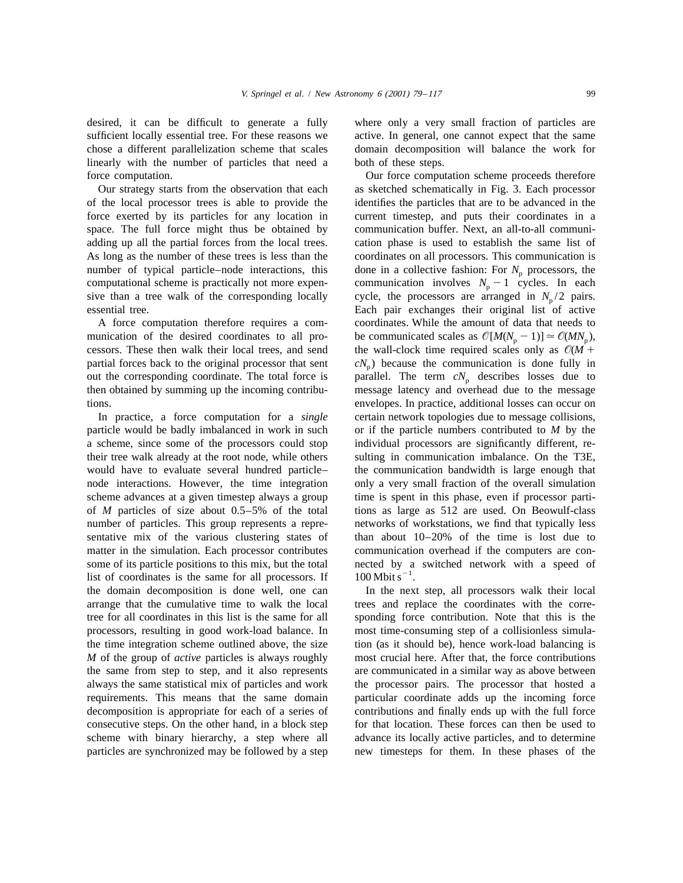desired, it can be difficult to generate a fully where only a very small fraction of particles are sufficient locally essential tree. For these reasons we active. In general, one cannot expect that the same chose a different parallelization scheme that scales domain decomposition will balance the work for linearly with the number of particles that need a both of these steps. force computation. Our force computation scheme proceeds therefore

of the local processor trees is able to provide the identifies the particles that are to be advanced in the force exerted by its particles for any location in current timestep, and puts their coordinates in a space. The full force might thus be obtained by communication buffer. Next, an all-to-all communiadding up all the partial forces from the local trees. cation phase is used to establish the same list of As long as the number of these trees is less than the coordinates on all processors. This communication is number of typical particle–node interactions, this done in a collective fashion: For  $N_p$  processors, the computational scheme is practically not more expen-<br>communication involves  $N_p - 1$  cycles. In each sive than a tree walk of the corresponding locally cycle, the processors are arranged in  $N_p/2$  pairs. essential tree. Each pair exchanges their original list of active

munication of the desired coordinates to all pro-<br>be communicated scales as  $\mathcal{O}[M(N_{p}-1)] \simeq \mathcal{O}(MN_{p})$ , cessors. These then walk their local trees, and send the wall-clock time required scales only as  $O(M +$ partial forces back to the original processor that sent  $cN_p$  because the communication is done fully in out the corresponding coordinate. The total force is parallel. The term  $cN_p$  describes losses due to then obtained by summing up the incoming contribu- message latency and overhead due to the message tions. envelopes. In practice, additional losses can occur on

particle would be badly imbalanced in work in such or if the particle numbers contributed to *M* by the a scheme, since some of the processors could stop individual processors are significantly different, retheir tree walk already at the root node, while others sulting in communication imbalance. On the T3E, would have to evaluate several hundred particle– the communication bandwidth is large enough that node interactions. However, the time integration only a very small fraction of the overall simulation scheme advances at a given timestep always a group time is spent in this phase, even if processor partiof *M* particles of size about 0.5–5% of the total tions as large as 512 are used. On Beowulf-class number of particles. This group represents a repre- networks of workstations, we find that typically less sentative mix of the various clustering states of than about 10–20% of the time is lost due to matter in the simulation. Each processor contributes communication overhead if the computers are consome of its particle positions to this mix, but the total nected by a switched network with a speed of list of coordinates is the same for all processors. If  $100 \text{ Mbit s}^{-1}$ . the domain decomposition is done well, one can In the next step, all processors walk their local arrange that the cumulative time to walk the local trees and replace the coordinates with the corretree for all coordinates in this list is the same for all sponding force contribution. Note that this is the processors, resulting in good work-load balance. In most time-consuming step of a collisionless simulathe time integration scheme outlined above, the size tion (as it should be), hence work-load balancing is *M* of the group of *active* particles is always roughly most crucial here. After that, the force contributions the same from step to step, and it also represents are communicated in a similar way as above between always the same statistical mix of particles and work the processor pairs. The processor that hosted a requirements. This means that the same domain particular coordinate adds up the incoming force decomposition is appropriate for each of a series of contributions and finally ends up with the full force consecutive steps. On the other hand, in a block step for that location. These forces can then be used to scheme with binary hierarchy, a step where all advance its locally active particles, and to determine particles are synchronized may be followed by a step new timesteps for them. In these phases of the

Our strategy starts from the observation that each as sketched schematically in Fig. 3. Each processor A force computation therefore requires a com- coordinates. While the amount of data that needs to In practice, a force computation for a *single* certain network topologies due to message collisions,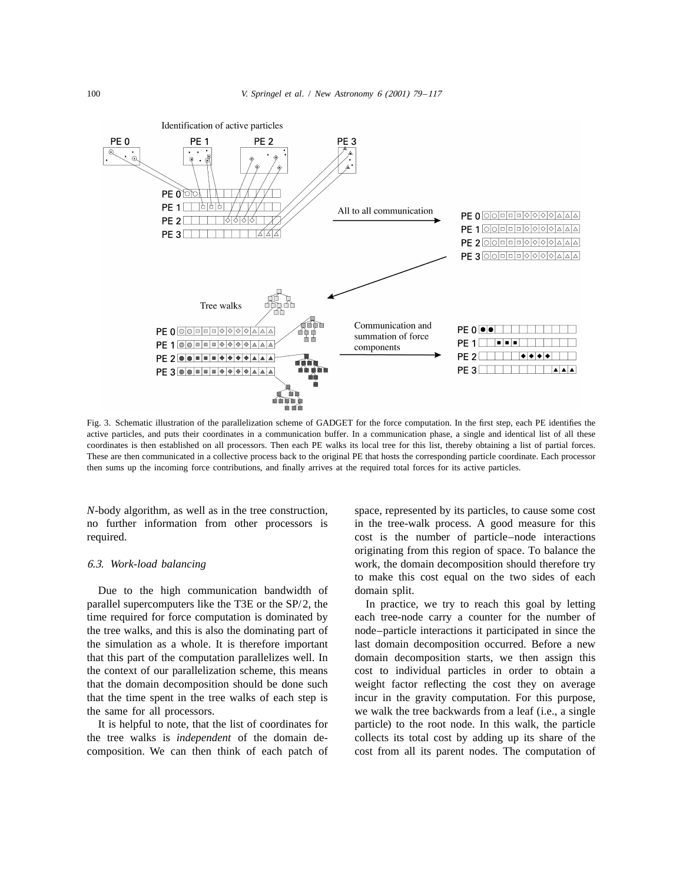

Fig. 3. Schematic illustration of the parallelization scheme of GADGET for the force computation. In the first step, each PE identifies the active particles, and puts their coordinates in a communication buffer. In a communication phase, a single and identical list of all these coordinates is then established on all processors. Then each PE walks its local tree for this list, thereby obtaining a list of partial forces. These are then communicated in a collective process back to the original PE that hosts the corresponding particle coordinate. Each processor then sums up the incoming force contributions, and finally arrives at the required total forces for its active particles.

Due to the high communication bandwidth of domain split. parallel supercomputers like the T3E or the SP/2, the In practice, we try to reach this goal by letting

*N*-body algorithm, as well as in the tree construction, space, represented by its particles, to cause some cost no further information from other processors is in the tree-walk process. A good measure for this required. cost is the number of particle–node interactions originating from this region of space. To balance the 6.3. *Work*-*load balancing* work, the domain decomposition should therefore try to make this cost equal on the two sides of each

time required for force computation is dominated by each tree-node carry a counter for the number of the tree walks, and this is also the dominating part of node–particle interactions it participated in since the the simulation as a whole. It is therefore important last domain decomposition occurred. Before a new that this part of the computation parallelizes well. In domain decomposition starts, we then assign this the context of our parallelization scheme, this means cost to individual particles in order to obtain a that the domain decomposition should be done such weight factor reflecting the cost they on average that the time spent in the tree walks of each step is incur in the gravity computation. For this purpose, the same for all processors. we walk the tree backwards from a leaf (i.e., a single It is helpful to note, that the list of coordinates for particle) to the root node. In this walk, the particle the tree walks is *independent* of the domain de- collects its total cost by adding up its share of the composition. We can then think of each patch of cost from all its parent nodes. The computation of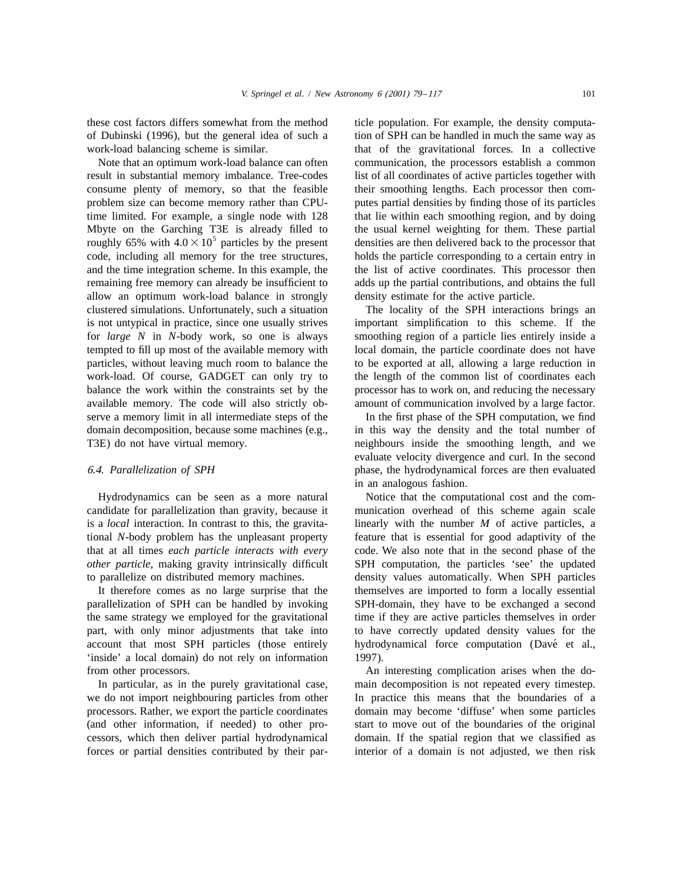result in substantial memory imbalance. Tree-codes list of all coordinates of active particles together with consume plenty of memory, so that the feasible their smoothing lengths. Each processor then comproblem size can become memory rather than CPU- putes partial densities by finding those of its particles time limited. For example, a single node with 128 that lie within each smoothing region, and by doing Mbyte on the Garching T3E is already filled to the usual kernel weighting for them. These partial roughly 65% with  $4.0 \times 10^5$  particles by the present densities are then delivered back to the processor that code, including all memory for the tree structures, holds the particle corresponding to a certain entry in and the time integration scheme. In this example, the the list of active coordinates. This processor then remaining free memory can already be insufficient to adds up the partial contributions, and obtains the full allow an optimum work-load balance in strongly density estimate for the active particle. clustered simulations. Unfortunately, such a situation The locality of the SPH interactions brings an is not untypical in practice, since one usually strives important simplification to this scheme. If the for *large N* in *N*-body work, so one is always smoothing region of a particle lies entirely inside a tempted to fill up most of the available memory with local domain, the particle coordinate does not have particles, without leaving much room to balance the to be exported at all, allowing a large reduction in work-load. Of course, GADGET can only try to the length of the common list of coordinates each balance the work within the constraints set by the processor has to work on, and reducing the necessary available memory. The code will also strictly ob- amount of communication involved by a large factor. serve a memory limit in all intermediate steps of the In the first phase of the SPH computation, we find domain decomposition, because some machines (e.g., in this way the density and the total number of T3E) do not have virtual memory. T3E) do not have virtual memory.

Hydrodynamics can be seen as a more natural Notice that the computational cost and the comcandidate for parallelization than gravity, because it munication overhead of this scheme again scale is a *local* interaction. In contrast to this, the gravita- linearly with the number *M* of active particles, a tional *N*-body problem has the unpleasant property feature that is essential for good adaptivity of the that at all times *each particle interacts with every* code. We also note that in the second phase of the *other particle*, making gravity intrinsically difficult SPH computation, the particles 'see' the updated to parallelize on distributed memory machines. density values automatically. When SPH particles

parallelization of SPH can be handled by invoking SPH-domain, they have to be exchanged a second the same strategy we employed for the gravitational time if they are active particles themselves in order part, with only minor adjustments that take into to have correctly updated density values for the account that most SPH particles (those entirely bydrodynamical force computation (Davé et al., 'inside' a local domain) do not rely on information 1997). from other processors. An interesting complication arises when the do-

we do not import neighbouring particles from other In practice this means that the boundaries of a processors. Rather, we export the particle coordinates domain may become 'diffuse' when some particles (and other information, if needed) to other pro- start to move out of the boundaries of the original cessors, which then deliver partial hydrodynamical domain. If the spatial region that we classified as forces or partial densities contributed by their par- interior of a domain is not adjusted, we then risk

these cost factors differs somewhat from the method ticle population. For example, the density computaof Dubinski (1996), but the general idea of such a tion of SPH can be handled in much the same way as work-load balancing scheme is similar. that of the gravitational forces. In a collective Note that an optimum work-load balance can often communication, the processors establish a common

evaluate velocity divergence and curl. In the second 6.4. *Parallelization of SPH* phase, the hydrodynamical forces are then evaluated in an analogous fashion.

It therefore comes as no large surprise that the themselves are imported to form a locally essential

In particular, as in the purely gravitational case, main decomposition is not repeated every timestep.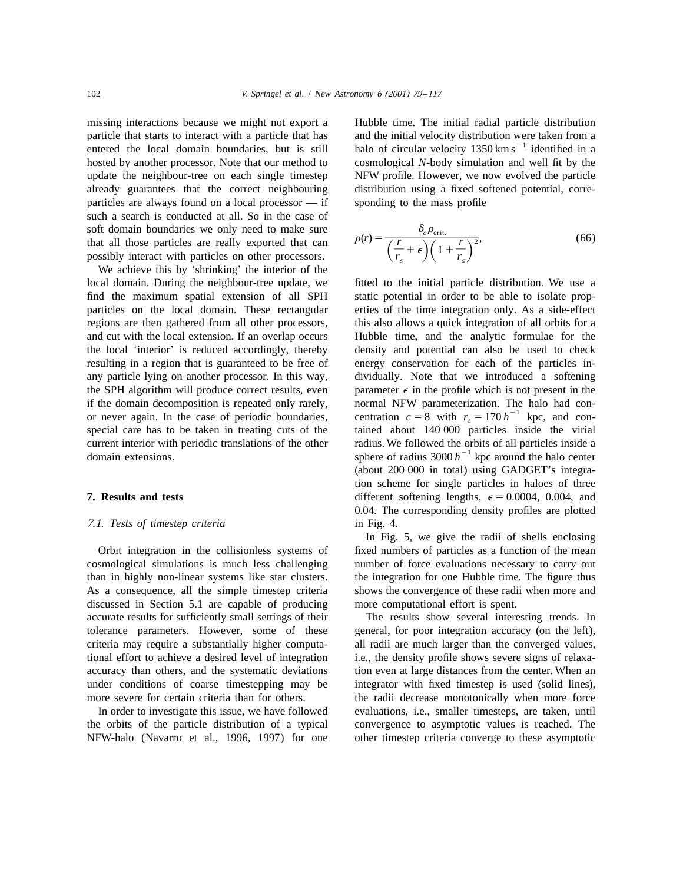particle that starts to interact with a particle that has and the initial velocity distribution were taken from a entered the local domain boundaries, but is still halo of circular velocity 1350 km s<sup>-1</sup> identified in a hosted by another processor. Note that our method to cosmological *N*-body simulation and well fit by the update the neighbour-tree on each single timestep NFW profile. However, we now evolved the particle already guarantees that the correct neighbouring distribution using a fixed softened potential, correparticles are always found on a local processor  $\frac{d}{dx}$  is sponding to the mass profile such a search is conducted at all. So in the case of soft domain boundaries we only need to make sure<br>that all those particles are really exported that can<br>possibly interact with particles on other processors.

We achieve this by 'shrinking' the interior of the local domain. During the neighbour-tree update, we fitted to the initial particle distribution. We use a find the maximum spatial extension of all SPH static potential in order to be able to isolate propparticles on the local domain. These rectangular erties of the time integration only. As a side-effect regions are then gathered from all other processors, this also allows a quick integration of all orbits for a and cut with the local extension. If an overlap occurs Hubble time, and the analytic formulae for the the local 'interior' is reduced accordingly, thereby density and potential can also be used to check resulting in a region that is guaranteed to be free of energy conservation for each of the particles inany particle lying on another processor. In this way, dividually. Note that we introduced a softening the SPH algorithm will produce correct results, even parameter  $\epsilon$  in the profile which is not present in the if the domain decomposition is repeated only rarely, normal NFW parameterization. The halo had con-<br>or never again. In the case of periodic boundaries, centration  $c = 8$  with  $r_s = 170 h^{-1}$  kpc, and con-<br>special care has t current interior with periodic translations of the other radius. We followed the orbits of all particles inside a  $\phi$  sphere of radius 3000  $h^{-1}$  kpc around the halo center

## 7.1. *Tests of timestep criteria* in Fig. 4.

cosmological simulations is much less challenging number of force evaluations necessary to carry out than in highly non-linear systems like star clusters. the integration for one Hubble time. The figure thus As a consequence, all the simple timestep criteria shows the convergence of these radii when more and discussed in Section 5.1 are capable of producing more computational effort is spent. accurate results for sufficiently small settings of their The results show several interesting trends. In tolerance parameters. However, some of these general, for poor integration accuracy (on the left), criteria may require a substantially higher computa- all radii are much larger than the converged values, tional effort to achieve a desired level of integration i.e., the density profile shows severe signs of relaxaaccuracy than others, and the systematic deviations tion even at large distances from the center. When an under conditions of coarse timestepping may be integrator with fixed timestep is used (solid lines), more severe for certain criteria than for others. the radii decrease monotonically when more force

missing interactions because we might not export a Hubble time. The initial radial particle distribution

$$
\rho(r) = \frac{\delta_c \rho_{\text{crit.}}}{\left(\frac{r}{r_s} + \epsilon\right) \left(1 + \frac{r}{r_s}\right)^2},\tag{66}
$$

tained about 140 000 particles inside the virial (about 200 000 in total) using GADGET's integration scheme for single particles in haloes of three **7. Results and tests** different softening lengths,  $\epsilon = 0.0004$ , 0.004, and 0.04. The corresponding density profiles are plotted

In Fig. 5, we give the radii of shells enclosing Orbit integration in the collisionless systems of fixed numbers of particles as a function of the mean

In order to investigate this issue, we have followed evaluations, i.e., smaller timesteps, are taken, until the orbits of the particle distribution of a typical convergence to asymptotic values is reached. The NFW-halo (Navarro et al., 1996, 1997) for one other timestep criteria converge to these asymptotic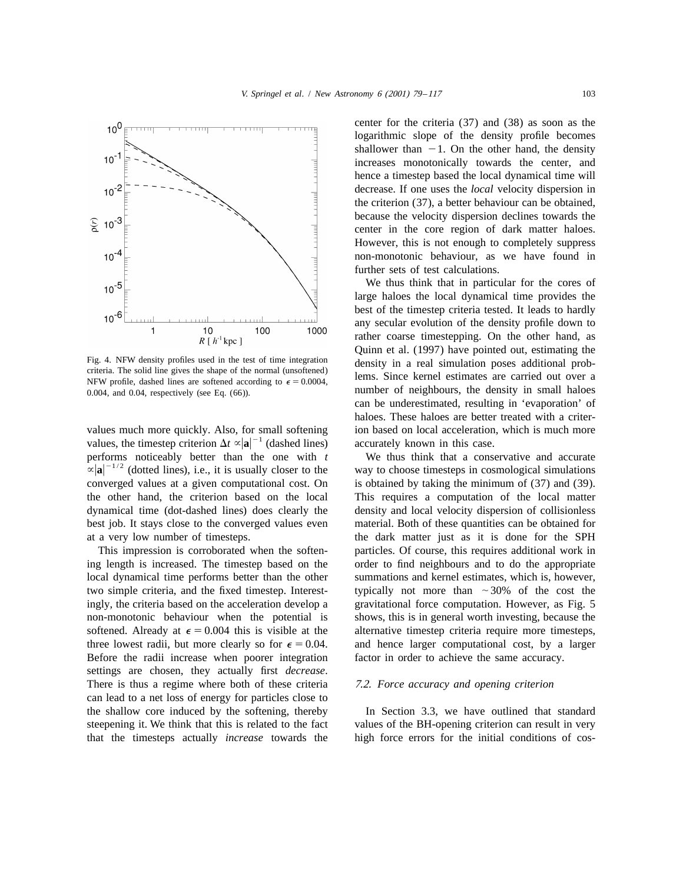

performs noticeably better than the one with *t* We thus think that a conservative and accurate  $\alpha |\mathbf{a}|^{-1/2}$  (dotted lines), i.e., it is usually closer to the way to choose timesteps in cosmological simulations converged values at a given computational cost. On is obtained by taking the minimum of (37) and (39). the other hand, the criterion based on the local This requires a computation of the local matter dynamical time (dot-dashed lines) does clearly the density and local velocity dispersion of collisionless best job. It stays close to the converged values even material. Both of these quantities can be obtained for at a very low number of timesteps. the dark matter just as it is done for the SPH

ing length is increased. The timestep based on the order to find neighbours and to do the appropriate local dynamical time performs better than the other summations and kernel estimates, which is, however, two simple criteria, and the fixed timestep. Interest-<br>typically not more than  $\sim$  30% of the cost the ingly, the criteria based on the acceleration develop a gravitational force computation. However, as Fig. 5 non-monotonic behaviour when the potential is shows, this is in general worth investing, because the softened. Already at  $\epsilon = 0.004$  this is visible at the alternative timestep criteria require more timesteps, three lowest radii, but more clearly so for  $\epsilon = 0.04$ . and hence larger computational cost, by a larger Before the radii increase when poorer integration factor in order to achieve the same accuracy. settings are chosen, they actually first *decrease*. There is thus a regime where both of these criteria 7.2. *Force accuracy and opening criterion* can lead to a net loss of energy for particles close to the shallow core induced by the softening, thereby In Section 3.3, we have outlined that standard steepening it. We think that this is related to the fact values of the BH-opening criterion can result in very that the timesteps actually *increase* towards the high force errors for the initial conditions of cos-

center for the criteria (37) and (38) as soon as the logarithmic slope of the density profile becomes shallower than  $-1$ . On the other hand, the density increases monotonically towards the center, and hence a timestep based the local dynamical time will decrease. If one uses the *local* velocity dispersion in the criterion (37), a better behaviour can be obtained, because the velocity dispersion declines towards the center in the core region of dark matter haloes. However, this is not enough to completely suppress non-monotonic behaviour, as we have found in further sets of test calculations.

We thus think that in particular for the cores of large haloes the local dynamical time provides the best of the timestep criteria tested. It leads to hardly any secular evolution of the density profile down to rather coarse timestepping. On the other hand, as Quinn et al. (1997) have pointed out, estimating the Fig. 4. NFW density profiles used in the test of time integration<br>criteria. The solid line gives the shape of the normal (unsoftened)<br>NFW profile, dashed lines are softened according to  $\epsilon = 0.0004$ ,<br>0.004, and 0.04, resp can be underestimated, resulting in 'evaporation' of haloes. These haloes are better treated with a critervalues much more quickly. Also, for small softening ion based on local acceleration, which is much more values, the timestep criterion  $\Delta t \propto |\mathbf{a}|^{-1}$  (dashed lines) accurately known in this case.

This impression is corroborated when the soften- particles. Of course, this requires additional work in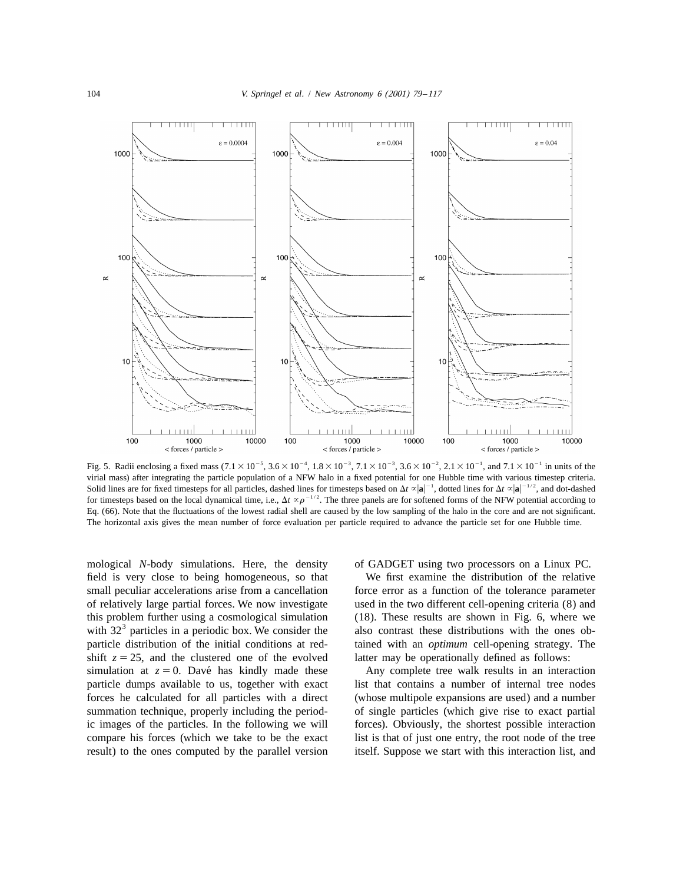

Fig. 5. Radii enclosing a fixed mass  $(7.1 \times 10^{-5}, 3.6 \times 10^{-4}, 1.8 \times 10^{-3}, 7.1 \times 10^{-3}, 3.6 \times 10^{-2}, 2.1 \times 10^{-1}$ , and  $7.1 \times 10^{-1}$  in units of the virial mass) after integrating the particle population of a NFW halo in a fixed potential for one Hubble time with various timestep criteria. Solid lines are for fixed timesteps for all particles, dashed lines for timesteps based on  $\Delta t \propto |\mathbf{a}|^{-1}$ , dotted lines for  $\Delta t \propto |\mathbf{a}|^{-1/2}$ , and dot-dashed for timesteps based on the local dynamical time, i.e.,  $\Delta t \propto \rho^{-1/2}$ . The three panels are for softened forms of the NFW potential according to Eq. (66). Note that the fluctuations of the lowest radial shell are caused by the low sampling of the halo in the core and are not significant. The horizontal axis gives the mean number of force evaluation per particle required to advance the particle set for one Hubble time.

field is very close to being homogeneous, so that We first examine the distribution of the relative shift  $z = 25$ , and the clustered one of the evolved latter may be operationally defined as follows: simulation at  $z = 0$ . Davé has kindly made these Any complete tree walk results in an interaction

mological *N*-body simulations. Here, the density of GADGET using two processors on a Linux PC.

small peculiar accelerations arise from a cancellation force error as a function of the tolerance parameter of relatively large partial forces. We now investigate used in the two different cell-opening criteria (8) and this problem further using a cosmological simulation (18). These results are shown in Fig. 6, where we with  $32<sup>3</sup>$  particles in a periodic box. We consider the also contrast these distributions with the ones obparticle distribution of the initial conditions at red- tained with an *optimum* cell-opening strategy. The

particle dumps available to us, together with exact list that contains a number of internal tree nodes forces he calculated for all particles with a direct (whose multipole expansions are used) and a number summation technique, properly including the period- of single particles (which give rise to exact partial ic images of the particles. In the following we will forces). Obviously, the shortest possible interaction compare his forces (which we take to be the exact list is that of just one entry, the root node of the tree result) to the ones computed by the parallel version itself. Suppose we start with this interaction list, and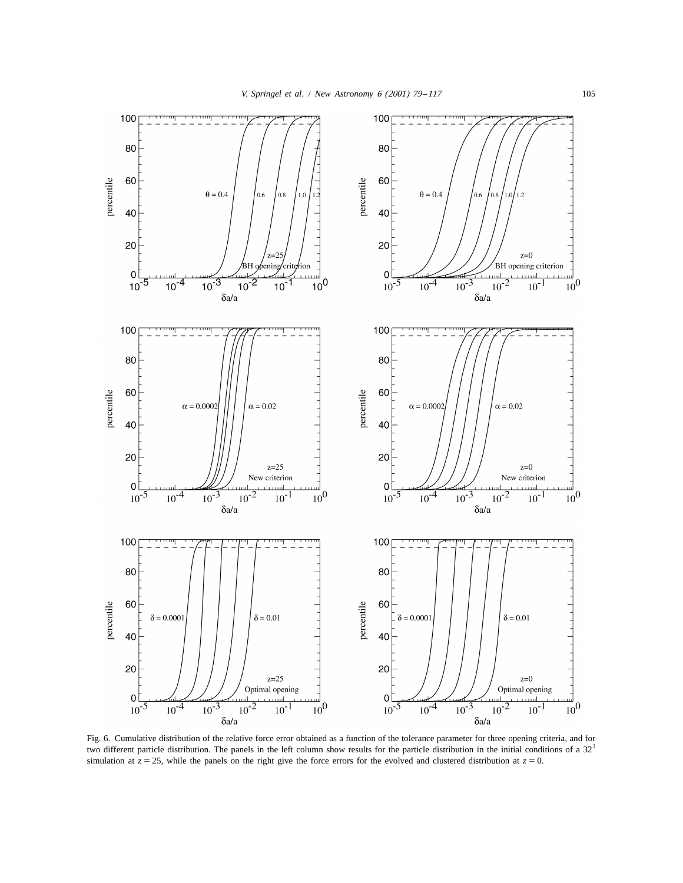

Fig. 6. Cumulative distribution of the relative force error obtained as a function of the tolerance parameter for three opening criteria, and for two different particle distribution. The panels in the left column show res simulation at  $z = 25$ , while the panels on the right give the force errors for the evolved and clustered distribution at  $z = 0$ .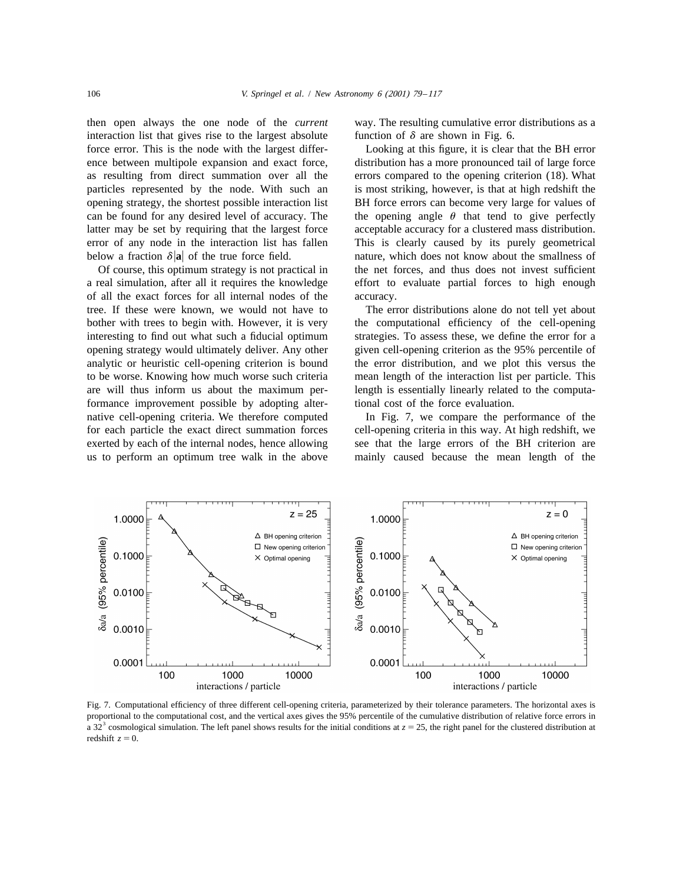then open always the one node of the *current* way. The resulting cumulative error distributions as a interaction list that gives rise to the largest absolute function of  $\delta$  are shown in Fig. 6. force error. This is the node with the largest differ- Looking at this figure, it is clear that the BH error ence between multipole expansion and exact force, distribution has a more pronounced tail of large force as resulting from direct summation over all the errors compared to the opening criterion (18). What particles represented by the node. With such an is most striking, however, is that at high redshift the opening strategy, the shortest possible interaction list BH force errors can become very large for values of can be found for any desired level of accuracy. The the opening angle  $\theta$  that tend to give perfectly latter may be set by requiring that the largest force acceptable accuracy for a clustered mass distribution. error of any node in the interaction list has fallen This is clearly caused by its purely geometrical below a fraction  $\delta |\mathbf{a}|$  of the true force field. nature, which does not know about the smallness of

a real simulation, after all it requires the knowledge effort to evaluate partial forces to high enough of all the exact forces for all internal nodes of the accuracy. tree. If these were known, we would not have to The error distributions alone do not tell yet about bother with trees to begin with. However, it is very the computational efficiency of the cell-opening interesting to find out what such a fiducial optimum strategies. To assess these, we define the error for a opening strategy would ultimately deliver. Any other given cell-opening criterion as the 95% percentile of analytic or heuristic cell-opening criterion is bound the error distribution, and we plot this versus the to be worse. Knowing how much worse such criteria mean length of the interaction list per particle. This are will thus inform us about the maximum per- length is essentially linearly related to the computaformance improvement possible by adopting alter- tional cost of the force evaluation. native cell-opening criteria. We therefore computed In Fig. 7, we compare the performance of the

Of course, this optimum strategy is not practical in the net forces, and thus does not invest sufficient

for each particle the exact direct summation forces cell-opening criteria in this way. At high redshift, we exerted by each of the internal nodes, hence allowing see that the large errors of the BH criterion are us to perform an optimum tree walk in the above mainly caused because the mean length of the



Fig. 7. Computational efficiency of three different cell-opening criteria, parameterized by their tolerance parameters. The horizontal axes is proportional to the computational cost, and the vertical axes gives the 95% percentile of the cumulative distribution of relative force errors in a 32<sup>3</sup> cosmological simulation. The left panel shows results for the initial conditions at  $z = 25$ , the right panel for the clustered distribution at redshift  $z = 0$ .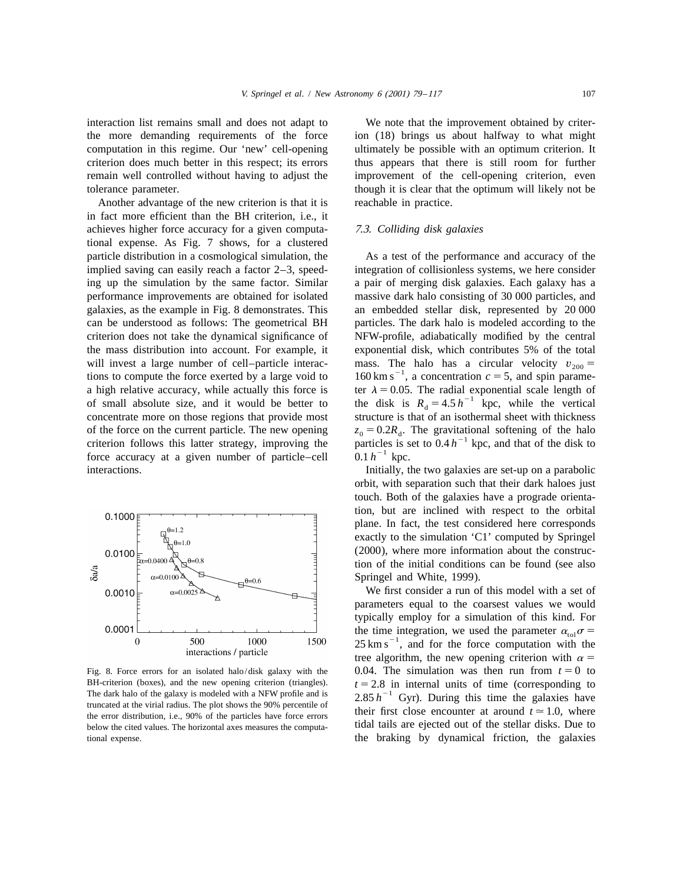interaction list remains small and does not adapt to We note that the improvement obtained by criterthe more demanding requirements of the force ion (18) brings us about halfway to what might computation in this regime. Our 'new' cell-opening ultimately be possible with an optimum criterion. It criterion does much better in this respect; its errors thus appears that there is still room for further remain well controlled without having to adjust the improvement of the cell-opening criterion, even

Another advantage of the new criterion is that it is reachable in practice. in fact more efficient than the BH criterion, i.e., it achieves higher force accuracy for a given computa- 7.3. *Colliding disk galaxies* tional expense. As Fig. 7 shows, for a clustered particle distribution in a cosmological simulation, the As a test of the performance and accuracy of the implied saving can easily reach a factor 2–3, speed- integration of collisionless systems, we here consider ing up the simulation by the same factor. Similar a pair of merging disk galaxies. Each galaxy has a performance improvements are obtained for isolated massive dark halo consisting of 30 000 particles, and galaxies, as the example in Fig. 8 demonstrates. This an embedded stellar disk, represented by 20 000 can be understood as follows: The geometrical BH particles. The dark halo is modeled according to the criterion does not take the dynamical significance of NFW-profile, adiabatically modified by the central the mass distribution into account. For example, it exponential disk, which contributes 5% of the total will invest a large number of cell–particle interac-<br>tions is a circular velocity  $v_{200}$  =<br>tions to compute the force exerted by a large void to 160 km s<sup>-1</sup>, a concentration  $c = 5$ , and spin paramea high relative accuracy, while actually this force is ter  $\lambda = 0.05$ . The radial exponential scale length of of small absolute size, and it would be better to the disk is  $R_d = 4.5 h^{-1}$  kpc, while the vertical concentrate concentrate more on those regions that provide most of the force on the current particle. The new opening  $z_0 = 0.2R_d$ . The gravitational softening of the halo criterion follows this latter strategy, improving the particles is set to  $0.4 h^{-1}$  kpc, and that of the disk to interactions. Initially, the two galaxies are set-up on a parabolic



tolerance parameter. though it is clear that the optimum will likely not be

orbit, with separation such that their dark haloes just touch. Both of the galaxies have a prograde orientation, but are inclined with respect to the orbital plane. In fact, the test considered here corresponds exactly to the simulation 'C1' computed by Springel (2000), where more information about the construction of the initial conditions can be found (see also Springel and White, 1999).

We first consider a run of this model with a set of parameters equal to the coarsest values we would typically employ for a simulation of this kind. For the time integration, we used the parameter  $\alpha_{\text{tol}}\sigma = 25 \text{ km s}^{-1}$ , and for the force computation with the tree algorithm, the new opening criterion with  $\alpha =$ Fig. 8. Force errors for an isolated halo/disk galaxy with the 0.04. The simulation was then run from  $t = 0$  to BH-criterion (boxes), and the new opening criterion (triangles).  $t = 2.8$  in internal units of time (corresponding to The dark halo of the galaxy is modeled with a NFW profile and is The dark halo of the galaxy is modeled with a NFW profile and is<br>truncated at the virial radius. The plot shows the 90% percentile of<br>the error distribution, i.e., 90% of the particles have force errors<br>their first close below the cited values. The horizontal axes measures the computa- tidal tails are ejected out of the stellar disks. Due to tional expense. the braking by dynamical friction, the galaxies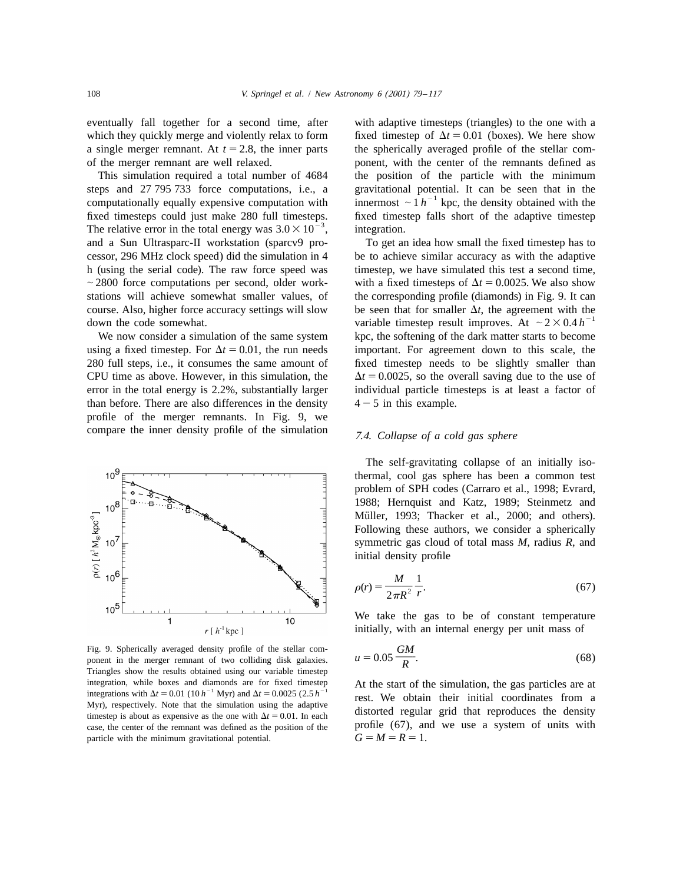steps and 27 795 733 force computations, i.e., a gravitational potential. It can be seen that in the computationally equally expensive computation with innermost  $\sim 1 h^{-1}$  kpc, the density obtained with the fixed timesteps could just make 280 full timesteps. fixed timestep falls short of the adaptive timestep The relative error in the total energy was  $3.0 \times 10^{-3}$ , integration. and a Sun Ultrasparc-II workstation (sparcv9 pro- To get an idea how small the fixed timestep has to cessor, 296 MHz clock speed) did the simulation in 4 be to achieve similar accuracy as with the adaptive h (using the serial code). The raw force speed was timestep, we have simulated this test a second time,  $\sim$  2800 force computations per second, older workstations will achieve somewhat smaller values, of the corresponding profile (diamonds) in Fig. 9. It can course. Also, higher force accuracy settings will slow be seen that for smaller  $\Delta t$ , the agreement with the down the code somewhat. variable timestep result improves. At  $\sim 2 \times 0.4 h^{-1}$ 

using a fixed timestep. For  $\Delta t = 0.01$ , the run needs important. For agreement down to this scale, the 280 full steps, i.e., it consumes the same amount of fixed timestep needs to be slightly smaller than CPU time as above. However, in this simulation, the  $\Delta t = 0.0025$ , so the overall saving due to the use of error in the total energy is 2.2%, substantially larger individual particle timesteps is at least a factor of than before. There are also differences in the density  $4 - 5$  in this example. profile of the merger remnants. In Fig. 9, we compare the inner density profile of the simulation 7.4. *Collapse of a cold gas sphere*



Fig. 9. Spherically averaged density profile of the stellar com- *GM* Triangles show the results obtained using our variable timestep integration, while boxes and diamonds are for fixed timestep<br>integrations with  $\Delta t = 0.01 (10 h^{-1} \text{ Myr})$  and  $\Delta t = 0.0025 (2.5 h^{-1})$ <br>Myr), respectively. Note that the simulation using the adaptive particle with the minimum gravitational potential.

eventually fall together for a second time, after with adaptive timesteps (triangles) to the one with a which they quickly merge and violently relax to form fixed timestep of  $\Delta t = 0.01$  (boxes). We here show a single merger remnant. At  $t = 2.8$ , the inner parts the spherically averaged profile of the stellar comof the merger remnant are well relaxed. ponent, with the center of the remnants defined as This simulation required a total number of 4684 the position of the particle with the minimum

with a fixed timesteps of  $\Delta t = 0.0025$ . We also show We now consider a simulation of the same system kpc, the softening of the dark matter starts to become

The self-gravitating collapse of an initially isothermal, cool gas sphere has been a common test problem of SPH codes (Carraro et al., 1998; Evrard, 1988; Hernquist and Katz, 1989; Steinmetz and Müller, 1993; Thacker et al., 2000; and others). Following these authors, we consider a spherically symmetric gas cloud of total mass *M*, radius *R*, and initial density profile

$$
\rho(r) = \frac{M}{2\pi R^2} \frac{1}{r}.
$$
\n(67)

We take the gas to be of constant temperature initially, with an internal energy per unit mass of

Fig. 9. Spherically averaged density profile of the stellar com-  
ponent in the merger remnant of two colliding disk galaxies. 
$$
u = 0.05 \frac{GM}{R}
$$
. (68)

 $M_y$ r), respectively. Note that the simulation using the adaptive distorted regular grid that reproduces the density timestep is about as expensive as the one with  $\Delta t = 0.01$ . In each case, the center of the remnant was defined as the position of the profile (67), and we use a system of units with particle with the minimum gravitational potential.  $G = M = R = 1$ .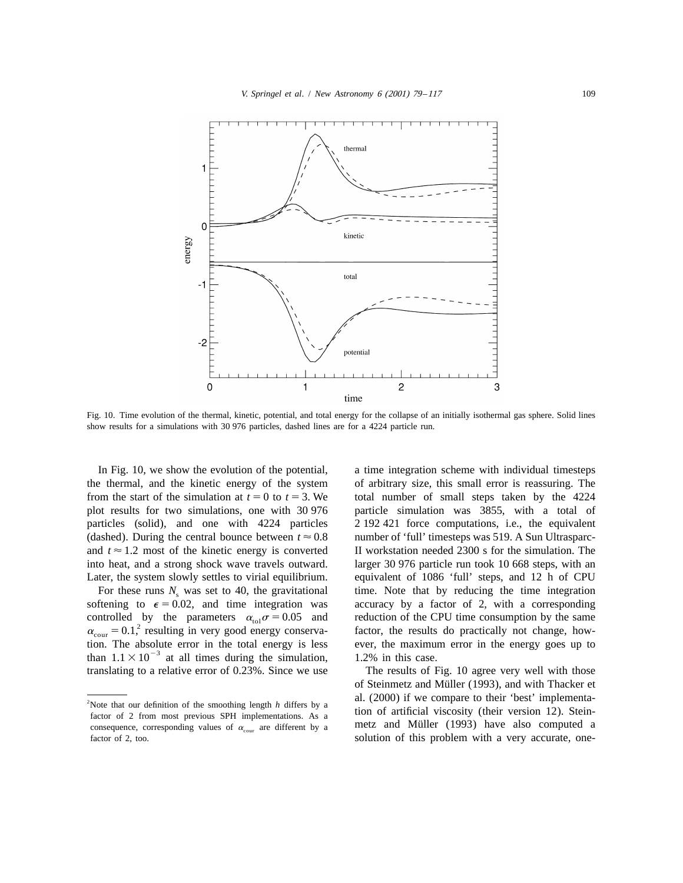

Fig. 10. Time evolution of the thermal, kinetic, potential, and total energy for the collapse of an initially isothermal gas sphere. Solid lines show results for a simulations with 30 976 particles, dashed lines are for a 4224 particle run.

In Fig. 10, we show the evolution of the potential, a time integration scheme with individual timesteps the thermal, and the kinetic energy of the system of arbitrary size, this small error is reassuring. The from the start of the simulation at  $t = 0$  to  $t = 3$ . We total number of small steps taken by the 4224 plot results for two simulations, one with 30 976 particle simulation was 3855, with a total of particles (solid), and one with 4224 particles 2 192 421 force computations, i.e., the equivalent (dashed). During the central bounce between  $t \approx 0.8$  number of 'full' timesteps was 519. A Sun Ultrasparcand  $t \approx 1.2$  most of the kinetic energy is converted II workstation needed 2300 s for the simulation. The into heat, and a strong shock wave travels outward. larger 30 976 particle run took 10 668 steps, with an

controlled by the parameters  $\alpha_{\text{col}}\sigma = 0.05$  and reduction of the CPU time consumption by the same  $\alpha_{\text{cour}} = 0.1$ , resulting in very good energy conserva-<br>tion. The absolute error in the total energy is less ever, th tion. The absolute error in the total energy is less ever, the maximum error in the energy goes up to than  $1.1 \times 10^{-3}$  at all times during the simulation, 1.2% in this case. translating to a relative error of 0.23%. Since we use The results of Fig. 10 agree very well with those

Later, the system slowly settles to virial equilibrium. equivalent of 1086 'full' steps, and 12 h of CPU For these runs  $N_s$  was set to 40, the gravitational time. Note that by reducing the time integration softening to  $\epsilon = 0.02$ , and time integration was accuracy by a factor of 2, with a corresponding accuracy by a factor of 2, with a corresponding

of Steinmetz and Müller (1993), and with Thacker et Pote that our definition of the smoothing length h differs by a and  $(2000)$  if we compare to their 'best' implementa-Note that our definition of the smoothing length *h* differs by a tion of artificial viscosity (their version 12). Stein-<br>factor of 2 from most previous SPH implementations. As a consequence, corresponding values of  $\alpha_{\text{corr}}$  are different by a <u>metz</u> and Müller (1993) have also computed a factor of 2, too. solution of this problem with a very accurate, one-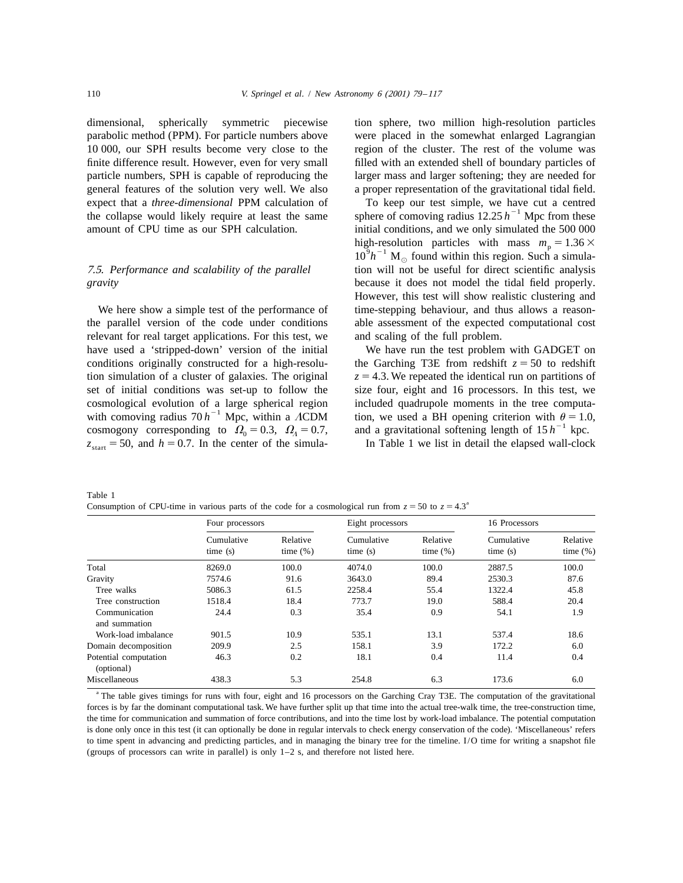dimensional, spherically symmetric piecewise tion sphere, two million high-resolution particles parabolic method (PPM). For particle numbers above were placed in the somewhat enlarged Lagrangian 10 000, our SPH results become very close to the region of the cluster. The rest of the volume was finite difference result. However, even for very small filled with an extended shell of boundary particles of particle numbers, SPH is capable of reproducing the larger mass and larger softening; they are needed for general features of the solution very well. We also a proper representation of the gravitational tidal field. expect that a *three-dimensional* PPM calculation of To keep our test simple, we have cut a centred the collapse would likely require at least the same sphere of comoving radius  $12.25 h^{-1}$  Mpc from these

# 7.5. Performance and scalability of the parallel

the parallel version of the code under conditions able assessment of the expected computational cost relevant for real target applications. For this test, we and scaling of the full problem. have used a 'stripped-down' version of the initial We have run the test problem with GADGET on conditions originally constructed for a high-resolu-<br>the Garching T3E from redshift  $z = 50$  to redshift tion simulation of a cluster of galaxies. The original  $z = 4.3$ . We repeated the identical run on partitions of set of initial conditions was set-up to follow the size four, eight and 16 processors. In this test, we cosmological evolution of a large spherical region included quadrupole moments in the tree computation<br>with comoving radius 70  $h^{-1}$  Mpc, within a  $\Lambda$ CDM ion, we used a BH opening criterion with  $\theta = 1.0$ , cosmogony cor  $z_{\text{start}} = 50$ , and  $h = 0.7$ . In the center of the simula- In Table 1 we list in detail the elapsed wall-clock

amount of CPU time as our SPH calculation. initial conditions, and we only simulated the 500 000<br>high-resolution particles with mass  $m_p = 1.36 \times$  $10^{9}h^{-1}$  M<sub>\o found within this region. Such a simula-</sub> tion will not be useful for direct scientific analysis *gravity* because it does not model the tidal field properly. However, this test will show realistic clustering and We here show a simple test of the performance of time-stepping behaviour, and thus allows a reason-

Table 1 Consumption of CPU-time in various parts of the code for a cosmological run from  $z = 50$  to  $z = 4.3^\circ$ 

|                                     | Four processors       |                          | Eight processors      |                          | 16 Processors         |                          |
|-------------------------------------|-----------------------|--------------------------|-----------------------|--------------------------|-----------------------|--------------------------|
|                                     | Cumulative<br>time(s) | Relative<br>time $(\% )$ | Cumulative<br>time(s) | Relative<br>time $(\% )$ | Cumulative<br>time(s) | Relative<br>time $(\% )$ |
| Total                               | 8269.0                | 100.0                    | 4074.0                | 100.0                    | 2887.5                | 100.0                    |
| Gravity                             | 7574.6                | 91.6                     | 3643.0                | 89.4                     | 2530.3                | 87.6                     |
| Tree walks                          | 5086.3                | 61.5                     | 2258.4                | 55.4                     | 1322.4                | 45.8                     |
| Tree construction                   | 1518.4                | 18.4                     | 773.7                 | 19.0                     | 588.4                 | 20.4                     |
| Communication                       | 24.4                  | 0.3                      | 35.4                  | 0.9                      | 54.1                  | 1.9                      |
| and summation                       |                       |                          |                       |                          |                       |                          |
| Work-load imbalance                 | 901.5                 | 10.9                     | 535.1                 | 13.1                     | 537.4                 | 18.6                     |
| Domain decomposition                | 209.9                 | 2.5                      | 158.1                 | 3.9                      | 172.2                 | 6.0                      |
| Potential computation<br>(optional) | 46.3                  | 0.2                      | 18.1                  | 0.4                      | 11.4                  | 0.4                      |
| Miscellaneous                       | 438.3                 | 5.3                      | 254.8                 | 6.3                      | 173.6                 | 6.0                      |

<sup>a</sup> The table gives timings for runs with four, eight and 16 processors on the Garching Cray T3E. The computation of the gravitational forces is by far the dominant computational task. We have further split up that time into the actual tree-walk time, the tree-construction time, the time for communication and summation of force contributions, and into the time lost by work-load imbalance. The potential computation is done only once in this test (it can optionally be done in regular intervals to check energy conservation of the code). 'Miscellaneous' refers to time spent in advancing and predicting particles, and in managing the binary tree for the timeline. I/O time for writing a snapshot file (groups of processors can write in parallel) is only 1–2 s, and therefore not listed here.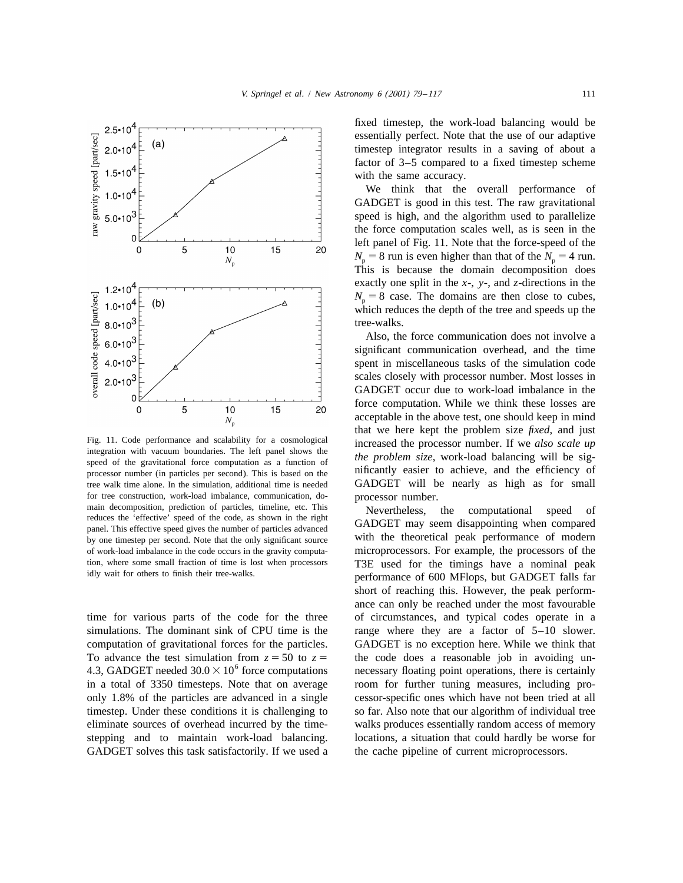

for tree construction, work-load imbalance, communication, do-<br>main decomposition, prediction of particles, timeline, etc. This main decomposition, prediction of particles, timeline, etc. This<br>reduces the 'effective' speed of the code, as shown in the right<br>panel. This effective speed gives the number of particles advanced<br>and GADGET may seem disap

simulations. The dominant sink of CPU time is the range where they are a factor of 5–10 slower. computation of gravitational forces for the particles. GADGET is no exception here. While we think that To advance the test simulation from  $z = 50$  to  $z =$  the code does a reasonable job in avoiding un-<br>4.3, GADGET needed  $30.0 \times 10^6$  force computations necessary floating point operations, there is certainly in a total of 3350 timesteps. Note that on average room for further tuning measures, including proonly 1.8% of the particles are advanced in a single cessor-specific ones which have not been tried at all timestep. Under these conditions it is challenging to so far. Also note that our algorithm of individual tree eliminate sources of overhead incurred by the time- walks produces essentially random access of memory stepping and to maintain work-load balancing. locations, a situation that could hardly be worse for GADGET solves this task satisfactorily. If we used a the cache pipeline of current microprocessors.

fixed timestep, the work-load balancing would be essentially perfect. Note that the use of our adaptive timestep integrator results in a saving of about a factor of 3–5 compared to a fixed timestep scheme with the same accuracy.

We think that the overall performance of GADGET is good in this test. The raw gravitational speed is high, and the algorithm used to parallelize the force computation scales well, as is seen in the left panel of Fig. 11. Note that the force-speed of the  $N_p = 8$  run is even higher than that of the  $N_p = 4$  run. This is because the domain decomposition does exactly one split in the *x*-, *y*-, and *z*-directions in the  $N_p = 8$  case. The domains are then close to cubes, which reduces the depth of the tree and speeds up the tree-walks.

Also, the force communication does not involve a significant communication overhead, and the time spent in miscellaneous tasks of the simulation code scales closely with processor number. Most losses in GADGET occur due to work-load imbalance in the force computation. While we think these losses are acceptable in the above test, one should keep in mind that we here kept the problem size *fixed*, and just Fig. 11. Code performance and scalability for a cosmological<br>increased the processor number. If we also scale up<br>integration with vacuum boundaries. The left panel shows the<br>speed of the gravitational force computation as tree walk time alone. In the simulation, additional time is needed GADGET will be nearly as high as for small

by one timestep per second. Note that the only significant source with the theoretical peak performance of modern of work-load imbalance in the code occurs in the gravity computa- microprocessors. For example, the processors of the tion, where some small fraction of time is lost when processors T3E used for the timings have a nominal peak<br>idly wait for others to finish their tree-walks.<br> **T3E** used for the timings have a nominal peak<br> **T3E** used for performance of 600 MFlops, but GADGET falls far short of reaching this. However, the peak performance can only be reached under the most favourable time for various parts of the code for the three of circumstances, and typical codes operate in a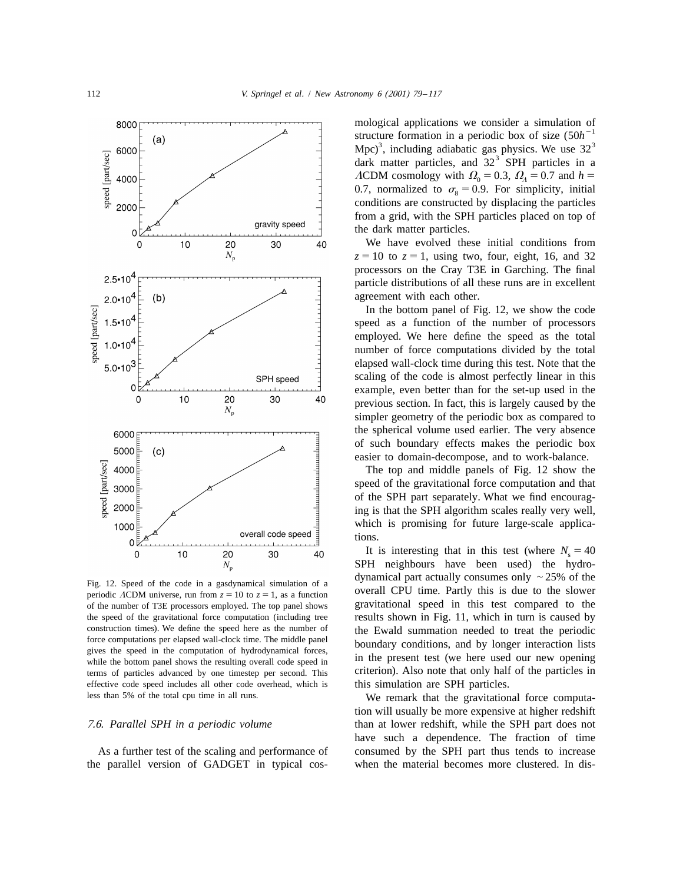

of the number of T3E processors employed. The top panel shows gravitational speed in this test compared to the the speed of the gravitational force computation (including tree results shown in Fig. 11, which in turn is caused by construction times). We define the speed here as the number of the Ewald summation needed to treat the p construction times). We define the speed here as the number of<br>force computations per elapsed wall-clock time. The middle panel<br>gives the speed in the computation of hydrodynamical forces,<br>while the bottom panel shows the terms of particles advanced by one timestep per second. This criterion). Also note that only half of the particles in effective code speed includes all other code overhead, which is this simulation are SPH particles.<br>
Less than 5% of the total cpu time in all runs.<br>
We remark that the gravitation

the parallel version of GADGET in typical cos- when the material becomes more clustered. In dis-

mological applications we consider a simulation of structure formation in a periodic box of size  $(50h^{-1}$  Mpc)<sup>3</sup>, including adiabatic gas physics. We use 32<sup>3</sup> dark matter particles, and 32<sup>3</sup> SPH particles in a  $\Lambda$ CDM cosmology with  $\Omega_0 = 0.3$ ,  $\Omega_A = 0.7$  and  $h =$ 0.7, normalized to  $\sigma_{\rm s} = 0.9$ . For simplicity, initial conditions are constructed by displacing the particles from a grid, with the SPH particles placed on top of the dark matter particles.

We have evolved these initial conditions from  $z = 10$  to  $z = 1$ , using two, four, eight, 16, and 32 processors on the Cray T3E in Garching. The final particle distributions of all these runs are in excellent agreement with each other.

In the bottom panel of Fig. 12, we show the code speed as a function of the number of processors employed. We here define the speed as the total number of force computations divided by the total elapsed wall-clock time during this test. Note that the scaling of the code is almost perfectly linear in this example, even better than for the set-up used in the previous section. In fact, this is largely caused by the simpler geometry of the periodic box as compared to the spherical volume used earlier. The very absence of such boundary effects makes the periodic box easier to domain-decompose, and to work-balance.

The top and middle panels of Fig. 12 show the speed of the gravitational force computation and that of the SPH part separately. What we find encouraging is that the SPH algorithm scales really very well, which is promising for future large-scale applications.

It is interesting that in this test (where  $N_s = 40$ SPH neighbours have been used) the hydro- $N_p$  SPH neighbours have been used) the hydro-<br>Fig. 12. Speed of the code in a gasdynamical simulation of a<br>periodic *ACDM* universe, run from  $z = 10$  to  $z = 1$ , as a function of a<br>periodic *ACDM* universe, run from  $z = 1$ 

We remark that the gravitational force computation will usually be more expensive at higher redshift 7.6. *Parallel SPH in a periodic volume* than at lower redshift, while the SPH part does not have such a dependence. The fraction of time As a further test of the scaling and performance of consumed by the SPH part thus tends to increase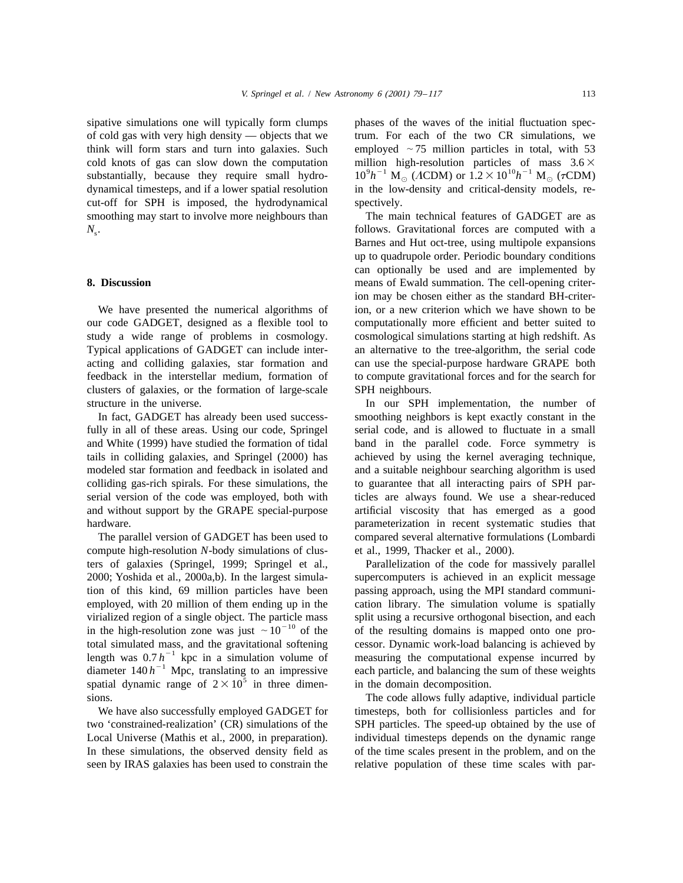of cold gas with very high density — objects that we trum. For each of the two CR simulations, we think will form stars and turn into galaxies. Such employed  $\sim$  75 million particles in total, with 53 cold knots of gas can slow down the computation million high-resolution particles of mass  $3.6 \times$  substantially, because they require small hydro-  $10^9 h^{-1} M_{\odot} (ACDM)$  or  $1.2 \times 10^{10} h^{-1} M_{\odot} (rCDM)$ dynamical timesteps, and if a lower spatial resolution in the low-density and critical-density models, recut-off for SPH is imposed, the hydrodynamical spectively. smoothing may start to involve more neighbours than The main technical features of GADGET are as *N*<sub>c</sub>.

our code GADGET, designed as a flexible tool to computationally more efficient and better suited to study a wide range of problems in cosmology. cosmological simulations starting at high redshift. As Typical applications of GADGET can include inter- an alternative to the tree-algorithm, the serial code acting and colliding galaxies, star formation and can use the special-purpose hardware GRAPE both feedback in the interstellar medium, formation of to compute gravitational forces and for the search for clusters of galaxies, or the formation of large-scale SPH neighbours. structure in the universe. In our SPH implementation, the number of

fully in all of these areas. Using our code, Springel serial code, and is allowed to fluctuate in a small and White (1999) have studied the formation of tidal band in the parallel code. Force symmetry is tails in colliding galaxies, and Springel (2000) has achieved by using the kernel averaging technique, modeled star formation and feedback in isolated and and a suitable neighbour searching algorithm is used colliding gas-rich spirals. For these simulations, the to guarantee that all interacting pairs of SPH parserial version of the code was employed, both with ticles are always found. We use a shear-reduced and without support by the GRAPE special-purpose artificial viscosity that has emerged as a good hardware. parameterization in recent systematic studies that

compute high-resolution *N*-body simulations of clus- et al., 1999, Thacker et al., 2000). ters of galaxies (Springel, 1999; Springel et al., Parallelization of the code for massively parallel 2000; Yoshida et al., 2000a,b). In the largest simula- supercomputers is achieved in an explicit message tion of this kind, 69 million particles have been passing approach, using the MPI standard communiemployed, with 20 million of them ending up in the cation library. The simulation volume is spatially virialized region of a single object. The particle mass split using a recursive orthogonal bisection, and each in the high-resolution zone was just  $\sim 10^{-10}$  of the resulting domains is mapped onto one pro-<br>total simula total simulated mass, and the gravitational softening cessor. Dynamic work-load balancing is achieved by length was  $0.7 h^{-1}$  kpc in a simulation volume of diameter  $140 h^{-1}$  Mpc, translating to an impressive each particl sions. The code allows fully adaptive, individual particle

two 'constrained-realization' (CR) simulations of the SPH particles. The speed-up obtained by the use of Local Universe (Mathis et al., 2000, in preparation). individual timesteps depends on the dynamic range In these simulations, the observed density field as of the time scales present in the problem, and on the seen by IRAS galaxies has been used to constrain the relative population of these time scales with par-

sipative simulations one will typically form clumps phases of the waves of the initial fluctuation spec-

Barnes and Hut oct-tree, using multipole expansions up to quadrupole order. Periodic boundary conditions can optionally be used and are implemented by **8. Discussion** means of Ewald summation. The cell-opening criterion may be chosen either as the standard BH-criter-We have presented the numerical algorithms of ion, or a new criterion which we have shown to be

In fact, GADGET has already been used success- smoothing neighbors is kept exactly constant in the The parallel version of GADGET has been used to compared several alternative formulations (Lombardi

We have also successfully employed GADGET for timesteps, both for collisionless particles and for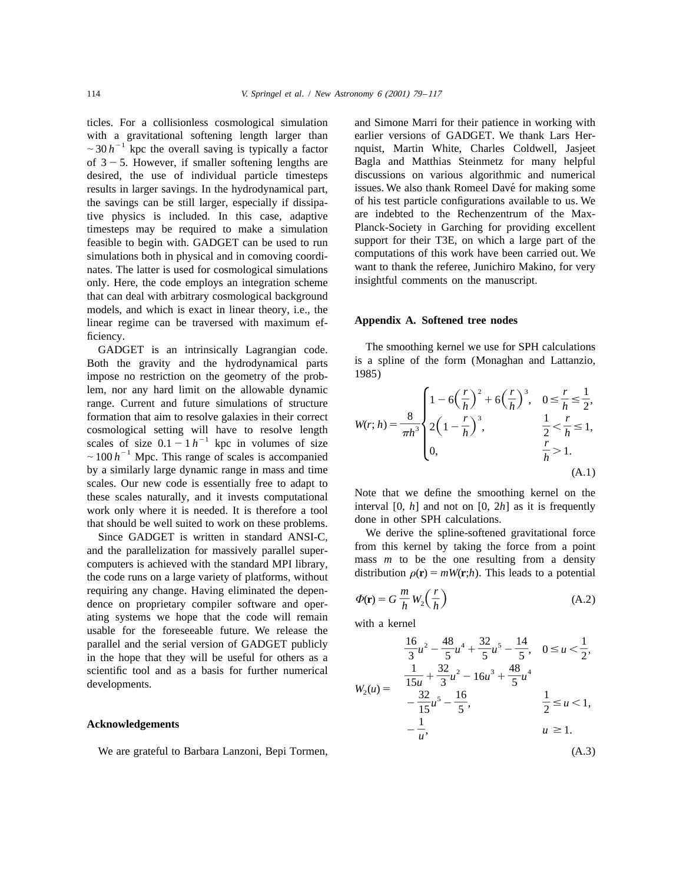with a gravitational softening length larger than earlier versions of GADGET. We thank Lars Her-  $\sim$  30  $h^{-1}$  kpc the overall saving is typically a factor undulary matrix White, Charles Coldwell, Jasjeet  $\sim$  30  $h^{-1}$  kpc the overall saving is typically a factor nquist, Martin White, Charles Coldwell, Jasjeet of  $3-5$ . However, if smaller softening lengths are Bagla and Matthias Steinmetz for many helpful of  $3 - 5$ . However, if smaller softening lengths are Bagla and Matthias Steinmetz for many helpful desired, the use of individual particle timestens discussions on various algorithmic and numerical desired, the use of individual particle timesteps discussions on various algorithmic and numerical results in larger savings. In the hydrodynamical part issues. We also thank Romeel Davé for making some results in larger savings. In the hydrodynamical part, issues. We also thank Romeel Davé for making some the savings can be still larger, especially if dissipa- of his test particle configurations available to us. We the savings can be still larger, especially if dissipa-<br>tive physics is included. In this case, adaptive are indebted to the Rechenzentrum of the Maxtive physics is included. In this case, adaptive are indebted to the Rechenzentrum of the Max-<br>timestens may be required to make a simulation Planck-Society in Garching for providing excellent timesteps may be required to make a simulation Planck-Society in Garching for providing excellent feasible to hegin with GADGET can be used to run support for their T3E, on which a large part of the feasible to begin with. GADGET can be used to run support for their T3E, on which a large part of the fearlier simulations both in physical and in comoving coordi-<br>computations of this work have been carried out. We simulations both in physical and in comoving coordi-<br>nates. The latter is used for cosmological simulations want to thank the referee, Junichiro Makino, for very nates. The latter is used for cosmological simulations want to thank the referee, Junichiro Makino,  $\frac{1}{100}$  want to thank the referee, Junichiro Makino,  $\frac{1}{100}$  want to thank the referee, Junichiro Makino,  $\frac{1}{10$ only. Here, the code employs an integration scheme that can deal with arbitrary cosmological background models, and which is exact in linear theory, i.e., the linear regime can be traversed with maximum ef-<br>**Appendix A. Softened tree nodes** ficiency.

Both the gravity and the hydrodynamical parts is a splitter is a splitter of the form  $(1985)$ impose no restriction on the geometry of the problem, nor any hard limit on the allowable dynamic 1 range. Current and future simulations of structure formation that aim to resolve galaxies in their correct formation that aim to resolve galaxies in their correct<br>cosmological setting will have to resolve length  $W(r; h) = \frac{8}{\pi h^3} \begin{cases} 1 & o \left( \frac{h}{h} \right) & o \left( \frac{h}{h} \right) \\ 2 \left( 1 - \frac{r}{h} \right)^3, & \frac{1}{2} < \frac{r}{h} \le 1, \end{cases}$ scales of size  $0.1 - 1 h^{-1}$  kpc in volumes of size  $\sim$  100  $h^{-1}$  Mpc. This range of scales is accompanied by a similarly large dynamic range in mass and time scales. Our new code is essentially free to adapt to scales. Our new code is essentially free to adapt to<br>these scales naturally, and it invests computational<br>work only where it is needed. It is therefore a tool<br>that should be well suited to work on these problems.<br>Since GA

computers is achieved with the standard MPI library,<br>the code runs on a large variety of platforms, without distribution  $\rho(\mathbf{r}) = mW(\mathbf{r};h)$ . This leads to a potential requiring any change. Having eliminated the depen-<br>dence on proprietary compiler software and oper-<br>ating systems we hope that the code will remain ating systems we hope that the code will remain with a kernel usable for the foreseeable future. We release the parallel and the serial version of GADGET publicly<br>in the hope that they will be useful for others as a  $\left[\frac{16}{3}u^2 - \frac{48}{5}u^4 + \frac{32}{5}u^5 - \frac{14}{5}, 0 \le u < \frac{1}{2},\right]$ in the hope that they will be useful for others as a<br>scientific tool and as a basis for further numerical<br>developments. developments.  $W_2(u) = \begin{cases} 15u^{-1} & 3 \end{cases}$   $\frac{3}{16}$   $\frac{15u^{-1} - 3}{16}$  5

## **Acknowledgements** 1

We are grateful to Barbara Lanzoni, Bepi Tormen,  $(A.3)$ 

ticles. For a collisionless cosmological simulation and Simone Marri for their patience in working with with a gravitational softening length larger than earlier versions of GADGET. We thank Lars Her-

GADGET is an intrinsically Lagrangian code. The smoothing kernel we use for SPH calculations<br>of the straight of the smoothing for the form (Monaghan and Lattanzio,

$$
W(r; h) = \frac{8}{\pi h^3} \begin{cases} 1 - 6\left(\frac{r}{h}\right)^2 + 6\left(\frac{r}{h}\right)^3, & 0 \le \frac{r}{h} \le \frac{1}{2}, \\ 2\left(1 - \frac{r}{h}\right)^3, & \frac{1}{2} < \frac{r}{h} \le 1, \\ 0, & \frac{r}{h} > 1. \end{cases}
$$
(A.1)

Since GADGET is written in standard ANSI-C,<br>and the parallelization for massively parallel super-<br>from this kernel by taking the force from a point<br>computers is schiewed with the standard MPI library<br>mass  $m$  to be the on

$$
\Phi(\mathbf{r}) = G \frac{m}{h} W_2 \left(\frac{r}{h}\right) \tag{A.2}
$$

$$
W_2(u) = \begin{cases} \frac{16}{3}u^2 - \frac{48}{5}u^4 + \frac{32}{5}u^5 - \frac{14}{5}, & 0 \le u < \frac{1}{2}, \\ \frac{1}{15u} + \frac{32}{3}u^2 - 16u^3 + \frac{48}{5}u^4 \\ -\frac{32}{15}u^5 - \frac{16}{5}, & \frac{1}{2} \le u < 1, \\ -\frac{1}{u}, & u \ge 1. \end{cases}
$$
 (A.3)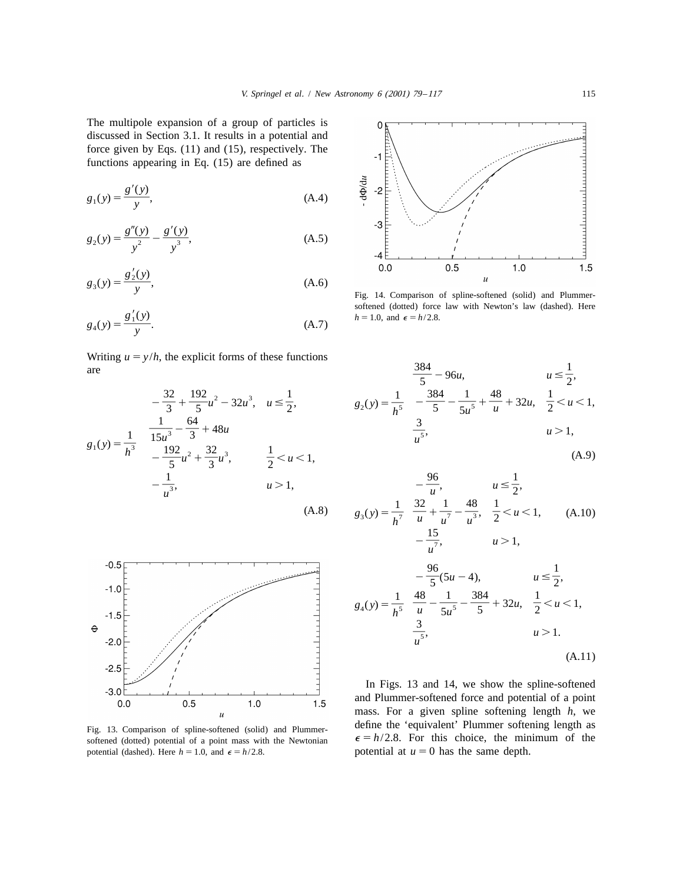The multipole expansion of a group of particles is discussed in Section 3.1. It results in a potential and force given by Eqs. (11) and (15), respectively. The functions appearing in Eq. (15) are defined as

$$
g_1(y) = \frac{g'(y)}{y},
$$
 (A.4)

$$
g_2(y) = \frac{g''(y)}{y^2} - \frac{g'(y)}{y^3},
$$
 (A.5)

$$
g_3(y) = \frac{g_2'(y)}{y},
$$
 (A.6)

$$
g_4(y) = \frac{g_1'(y)}{y}.
$$
 (A.7)

$$
g_{1}(y) = \frac{1}{h^{3}} \begin{cases} -\frac{32}{3} + \frac{192}{5}u^{2} - 32u^{3}, & u \leq \frac{1}{2}, \\ \frac{1}{15u^{3}} - \frac{64}{3} + 48u \\ & -\frac{192}{5}u^{2} + \frac{32}{3}u^{3}, & \frac{1}{2} < u < 1, \\ -\frac{1}{u^{3}}, & u > 1, \end{cases} \qquad g_{2}(y) = \frac{1}{h^{5}} \begin{cases} 5 & 90u, & u \leq 2, \\ -\frac{384}{5} - \frac{1}{5u^{5}} + \frac{48}{u} + 32u, & \frac{1}{2} < u < 1, \\ \frac{3}{u^{5}}, & u > 1, \end{cases}
$$
(A.9)



potential (dashed). Here  $h = 1.0$ , and  $\epsilon = h/2.8$ . potential at  $u = 0$  has the same depth.



softened (dotted) force law with Newton's law (dashed). Here  $h = 1.0$ , and  $\epsilon = h/2.8$ .

Writing 
$$
u = y/h
$$
, the explicit forms of these functions  
are  

$$
\begin{aligned}\n&\int \frac{32}{5} + \frac{192}{5} u^2 - 32u^3, \quad u \le \frac{1}{2}, \\
&\int \frac{1}{15u^3} - \frac{64}{3} + 48u \\
&= \frac{1}{2}, \\
&\int \frac{1}{192} \int \frac{64}{3} + 48u \\
&= \frac{1}{2}, \\
&= \frac{1}{2}. \\
&= \frac{1}{2}. \\
&= \frac{1}{2}. \\
&= \frac{1}{2}. \\
&= \frac{1}{2}. \\
&= \frac{1}{2}. \\
&= \frac{1}{2}. \\
&= \frac{1}{2}. \\
&= \frac{1}{2}. \\
&= \frac{1}{2}. \\
&= \frac{1}{2}. \\
&= \frac{1}{2}. \\
&= \frac{1}{2}. \\
&= \frac{1}{2}. \\
&= \frac{1}{2}. \\
&= \frac{1}{2}. \\
&= \frac{1}{2}. \\
&= \frac{1}{2}. \\
&= \frac{1}{2}. \\
&= \frac{1}{2}. \\
&= \frac{1}{2}. \\
&= \frac{1}{2}. \\
&= \frac{1}{2}. \\
&= \frac{1}{2}. \\
&= \frac{1}{2}. \\
&= \frac{1}{2}. \\
&= \frac{1}{2}. \\
&= \frac{1}{2}. \\
&= \frac{1}{2}. \\
&= \frac{1}{2}. \\
&= \frac{1}{2}. \\
&= \frac{1}{2}. \\
&= \frac{1}{2}. \\
&= \frac{1}{2}. \\
&= \frac{1}{2}. \\
&= \frac{1}{2}. \\
&= \frac{1}{2}. \\
&= \frac{1}{2}. \\
&= \frac{1}{2}. \\
&= \frac{1}{2}. \\
&= \frac{1}{2}. \\
&= \frac{1}{2}. \\
&= \frac{1}{2}. \\
&= \frac{1}{2}. \\
&= \frac{1}{2}. \\
&= \frac{1}{2}. \\
&= \frac{1}{2}. \\
&= \frac{1}{2}. \\
&= \frac{1}{2}. \\
&= \frac{1}{2}. \\
&= \frac{1}{2}. \\
&= \frac{1}{2}. \\
&= \frac{1}{2}. \\
&= \frac{1}{2}. \\
&= \frac{1}{2}. \\
&= \frac{1}{2}. \\
&= \frac{1}{2}. \\
&= \frac{1}{2}. \\
&= \frac{1}{2}. \\
&= \frac{1}{2}. \\
&= \frac{1}{2}. \\
&
$$

(A.8) 
$$
g_3(y) = \frac{1}{h^7} \begin{cases} \frac{-96}{u}, & u \le \frac{1}{2}, \\ \frac{32}{u} + \frac{1}{u^7} - \frac{48}{u^3}, & \frac{1}{2} < u < 1, \\ -\frac{15}{u^7}, & u > 1, \end{cases}
$$
 (A.10)  

$$
g_4(y) = \frac{1}{h^5} \begin{cases} \frac{-96}{5}(5u - 4), & u \le \frac{1}{2}, \\ \frac{48}{u} - \frac{1}{5u^5} - \frac{384}{5} + 32u, & \frac{1}{2} < u < 1, \\ \frac{3}{u^5}, & u > 1. \end{cases}
$$
 (A.11)

In Figs. 13 and 14, we show the spline-softened and Plummer-softened force and potential of a point mass. For a given spline softening length *h*, we Fig. 13. Comparison of spline-softened (solid) and Plummer-<br>define the 'equivalent' Plummer softening length as softened (dotted) potential of a point mass with the Newtonian  $\epsilon = h/2.8$ . For this choice, the minimum of the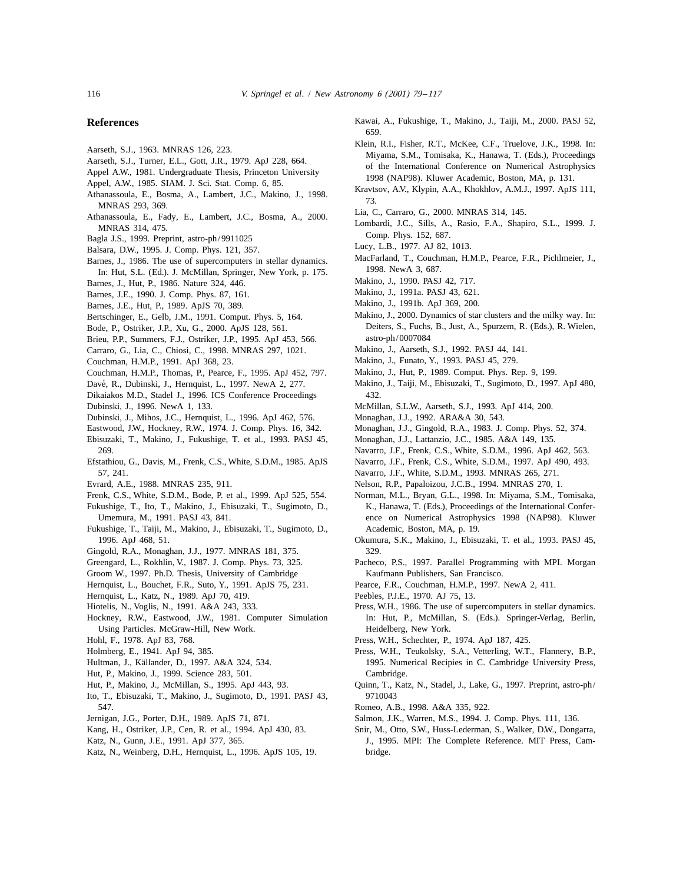- 
- 
- 
- 
- 
- 
- 
- 
- Barnes, J., 1986. The use of supercomputers in stellar dynamics.<br>
In: Hut, S.L. (Ed.). J. McMillan, Springer, New York, p. 175. <sup>1998</sup>. NewA 3, 687.<br>
Barnes J. Hut, P. 1986. Nature 324, 446 Makino, J., 1990. PASJ 42, 717.
- Barnes, J., Hut, P., 1986. Nature 324, 446. Makino, J., 1990. PASJ 42, 717.<br>Rarnes, J.E. 1990. J. Comp. Phys. 87, 161. Makino, J., 1991a. PASJ 43, 621.
- Barnes, J.E., 1990. J. Comp. Phys. 87, 161. Makino, J., 1991a. PASJ 43, 621.<br>Rarnes, J.E., Hut. P. 1989. ApJS 70, 389. Makino, J., 1991b. ApJ 369, 200.
- Barnes, J.E., Hut, P., 1989. ApJS 70, 389.
- 
- 
- Brieu, P.P., Summers, F.J., Ostriker, J.P., 1995. ApJ 453, 566. astro-ph/0007084<br>Carraro, G., Lia, C., Chiosi, C., 1998. MNRAS 297, 1021. Makino, J., Aarseth, S.J., 1992. PASJ 44, 141.
- Carraro, G., Lia, C., Chiosi, C., 1998. MNRAS 297, 1021.
- 
- Couchman, H.M.P., Thomas, P., Pearce, F., 1995. ApJ 452, 797. Makino, J., Hut, P., 1989. Comput. Phys. Rep. 9, 199.
- 
- Dikaiakos M.D., Stadel J., 1996. ICS Conference Proceedings 432. Dubinski, J., 1996. NewA 1, 133. McMillan, S.L.W., Aarseth, S.J., 1993. ApJ 414, 200.
- Dubinski, J., Mihos, J.C., Hernquist, L., 1996. ApJ 462, 576. Monaghan, J.J., 1992. ARA&A 30, 543.
- 
- 269. Navarro, J.F., Frenk, C.S., White, S.D.M., 1996. ApJ 462, 563.
- 57, 241. Navarro, J.F., White, S.D.M., 1993. MNRAS 265, 271.
- 
- 
- 
- Fukushige, T., Taiji, M., Makino, J., Ebisuzaki, T., Sugimoto, D., Academic, Boston, MA, p. 19. 1996. ApJ 468, 51. Okumura, S.K., Makino, J., Ebisuzaki, T. et al., 1993. PASJ 45,
- Gingold, R.A., Monaghan, J.J., 1977. MNRAS 181, 375. 329.
- 
- Groom W., 1997. Ph.D. Thesis, University of Cambridge Kaufmann Publishers, San Francisco.
- Hernquist, L., Bouchet, F.R., Suto, Y., 1991. ApJS 75, 231. Pearce, F.R., Couchman, H.M.P., 1997. NewA 2, 411.
- Hernquist, L., Katz, N., 1989. ApJ 70, 419. Peebles, P.J.E., 1970. AJ 75, 13.
- 
- Using Particles. McGraw-Hill, New Work. Heidelberg, New York.
- 
- 
- 
- Hut, P., Makino, J., 1999. Science 283, 501. Cambridge.
- 
- Ito, T., Ebisuzaki, T., Makino, J., Sugimoto, D., 1991. PASJ 43, 9710043 547. Romeo, A.B., 1998. A&A 335, 922.
- 
- 
- 
- Katz, N., Weinberg, D.H., Hernquist, L., 1996. ApJS 105, 19. bridge.
- **References Kawai, A., Fukushige, T., Makino, J., Taiji, M., 2000. PASJ 52,** 659.
- Aarseth, S.J., 1963. MNRAS 126, 223.<br>
Aarseth, S.J., Turner, E.L., Gott, J.R., 1979. ApJ 228, 664. Miyama, S.M., Tomisaka, K., Hanawa, T. (Eds.), Proceedings<br>
Appel A.W., 1981. Undergraduate Thesis, Princeton University of
	-
	-
	-
	-
	-
	-
	-
	-
- Bertschinger, E., Gelb, J.M., 1991. Comput. Phys. 5, 164. Makino, J., 2000. Dynamics of star clusters and the milky way. In: Bode, P., Ostriker, J.P., Xu, G., 2000. ApJS 128, 561. Deiters, S., Fuchs, B., Just, A., Spurzem, R. (Eds.), R. Wielen, Brieu. P.P., Summers. F.J., Ostriker, J.P., 1995. ApJ 453, 566. astro-ph/0007084
	-
- Couchman, H.M.P., 1991. ApJ 368, 23. Makino, J., Funato, Y., 1993. PASJ 45, 279.
	-
- Davé, R., Dubinski, J., Hernquist, L., 1997. NewA 2, 277. Makino, J., Taiji, M., Ebisuzaki, T., Sugimoto, D., 1997. ApJ 480,
	-
	-
- Eastwood, J.W., Hockney, R.W., 1974. J. Comp. Phys. 16, 342. Monaghan, J.J., Gingold, R.A., 1983. J. Comp. Phys. 52, 374.
- Ebisuzaki, T., Makino, J., Fukushige, T. et al., 1993. PASJ 45, Monaghan, J.J., Lattanzio, J.C., 1985. A&A 149, 135.
	-
- Efstathiou, G., Davis, M., Frenk, C.S., White, S.D.M., 1985. ApJS Navarro, J.F., Frenk, C.S., White, S.D.M., 1997. ApJ 490, 493.
	-
- Evrard, A.E., 1988. MNRAS 235, 911. Nelson, R.P., Papaloizou, J.C.B., 1994. MNRAS 270, 1.
- Frenk, C.S., White, S.D.M., Bode, P. et al., 1999. ApJ 525, 554. Norman, M.L., Bryan, G.L., 1998. In: Miyama, S.M., Tomisaka, Fukushige, T., Ito, T., Makino, J., Ebisuzaki, T., Sugimoto, D., K., Hanawa, T. (Eds.), Proceedings of the International Confer-Umemura, M., 1991. PASJ 43, 841. ence on Numerical Astrophysics 1998 (NAP98). Kluwer
	-
- Greengard, L., Rokhlin, V., 1987. J. Comp. Phys. 73, 325. Pacheco, P.S., 1997. Parallel Programming with MPI. Morgan
	-
	-
- Hiotelis, N., Voglis, N., 1991. A&A 243, 333. Press, W.H., 1986. The use of supercomputers in stellar dynamics. Hockney, R.W., Eastwood, J.W., 1981. Computer Simulation In: Hut, P., McMillan, S. (Eds.). Springer-Verlag, Berlin,
- Hohl, F., 1978. ApJ 83, 768. Press, W.H., Schechter, P., 1974. ApJ 187, 425.
- Holmberg, E., 1941. ApJ 94, 385. Press, W.H., Teukolsky, S.A., Vetterling, W.T., Flannery, B.P., Hultman, J., Källander, D., 1997. A&A 324, 534. 1995. Numerical Recipies in C. Cambridge University Press,
- Hut, P., Makino, J., McMillan, S., 1995. ApJ 443, 93. Quinn, T., Katz, N., Stadel, J., Lake, G., 1997. Preprint, astro-ph/
	-
- Jernigan, J.G., Porter, D.H., 1989. ApJS 71, 871. Salmon, J.K., Warren, M.S., 1994. J. Comp. Phys. 111, 136.
- Kang, H., Ostriker, J.P., Cen, R. et al., 1994. ApJ 430, 83. Snir, M., Otto, S.W., Huss-Lederman, S., Walker, D.W., Dongarra, Katz, N., Gunn, J.E., 1991. ApJ 377, 365.  $J., 1995.$  MPI: The Complete Reference. MIT Press, Cam-